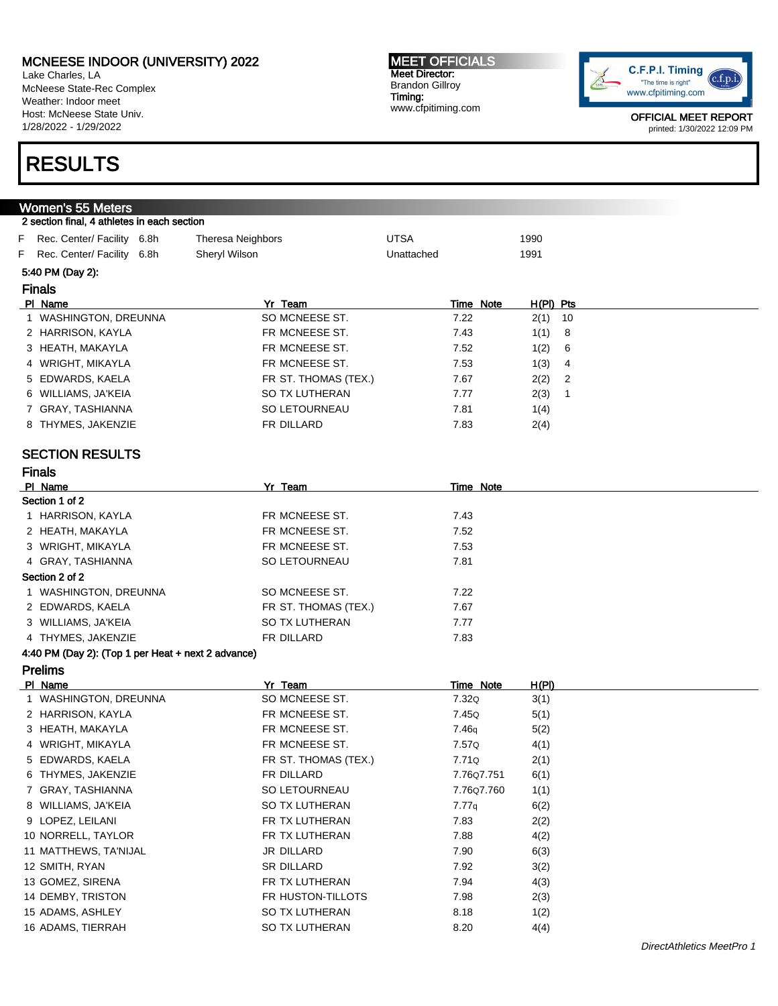Lake Charles, LA McNeese State-Rec Complex Weather: Indoor meet Host: McNeese State Univ. 1/28/2022 - 1/29/2022

#### MEET OFFICIALS Meet Director: Brandon Gillroy Timing: www.cfpitiming.com



OFFICIAL MEET REPORT printed: 1/30/2022 12:09 PM

# RESULTS

#### Women's 55 Meters 2 section final, 4 athletes in each section F Rec. Center/ Facility 6.8h Theresa Neighbors **IDTSA** 1990 F Rec. Center/ Facility 6.8h Sheryl Wilson Sherwick Contracted Unattached 1991 5:40 PM (Day 2): Finals Pl Name Yr Team Time Note H(Pl) Pts 1 WASHINGTON, DREUNNA SO MCNEESE ST. 22 2(1) 10 2 HARRISON, KAYLA FR MCNEESE ST. 2.43 1(1) 8 3 HEATH, MAKAYLA **FR MCNEESE ST.** 7.52 1(2) 6 4 WRIGHT, MIKAYLA **FR MCNEESE ST.** 7.53 1(3) 4 5 EDWARDS, KAELA FR ST. THOMAS (TEX.) 7.67 2(2) 2 6 WILLIAMS, JA'KEIA SO TX LUTHERAN 7.77 2(3) 1 7 GRAY, TASHIANNA SO LETOURNEAU 7.81 1(4) 8 THYMES, JAKENZIE THE SERIE FR DILLARD THE R 2(4) SECTION RESULTS Finals PI Name Time Note Section 1 of 2 1 HARRISON, KAYLA FR MCNEESE ST. 2.43 2 HEATH, MAKAYLA **FR MCNEESE ST.** 7.52 3 WRIGHT, MIKAYLA **FR MCNEESE ST.** 7.53 4 GRAY, TASHIANNA SO LETOURNEAU 7.81 Section 2 of 2 1 WASHINGTON, DREUNNA SO MCNEESE ST.  $7.22$ 2 EDWARDS, KAELA FR ST. THOMAS (TEX.) 7.67 3 WILLIAMS, JA'KEIA SO TX LUTHERAN 7.77 4 THYMES, JAKENZIE FR DILLARD FR DILLARD 7.83 4:40 PM (Day 2): (Top 1 per Heat + next 2 advance) Prelims Pl Name Yr Team Time Note H(Pl) 1 WASHINGTON, DREUNNA SO MCNEESE ST. 232Q 3(1) 2 HARRISON, KAYLA **FR MCNEESE ST.** 7.45Q 5(1) 3 HEATH, MAKAYLA FR MCNEESE ST. 2006 7.46q 5(2) 4 WRIGHT, MIKAYLA **FR MCNEESE ST.** 7.57Q 4(1) 5 EDWARDS, KAELA FR ST. THOMAS (TEX.) 7.71Q 2(1) 6 THYMES, JAKENZIE FR DILLARD 7.76Q7.751 6(1) 7 GRAY, TASHIANNA SO LETOURNEAU 7.76Q7.760 1(1) 8 WILLIAMS, JA'KEIA SO TX LUTHERAN 7.77q 6(2) 9 LOPEZ, LEILANI FR TX LUTHERAN 7.83 2(2) 10 NORRELL, TAYLOR FR TX LUTHERAN 7.88 4(2)

11 MATTHEWS, TA'NIJAL JR DILLARD 7.90 6(3) 12 SMITH, RYAN SR DILLARD 7.92 3(2) 13 GOMEZ, SIRENA 1992 (13) THE TX LUTHERAN 13 GOMEZ, SIRENA 14(3) 14 DEMBY, TRISTON FR HUSTON-TILLOTS 7.98 2(3) 15 ADAMS, ASHLEY **SO TX LUTHERAN** 8.18 1(2) 16 ADAMS, TIERRAH SO TX LUTHERAN 8.20 4(4)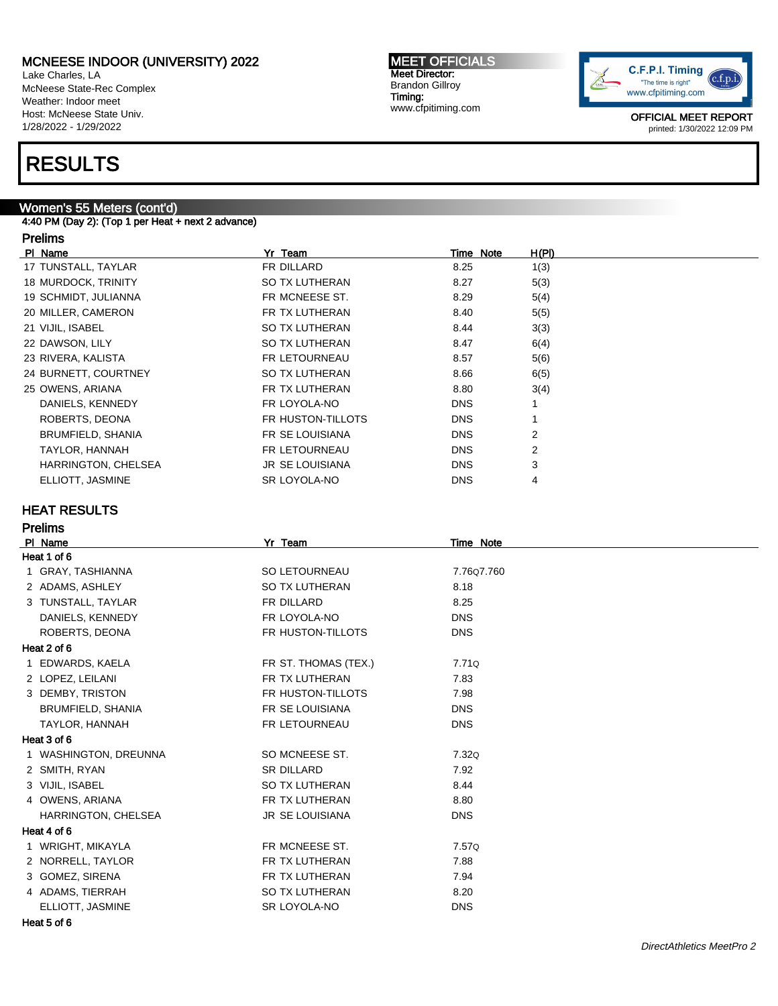Lake Charles, LA McNeese State-Rec Complex Weather: Indoor meet Host: McNeese State Univ. 1/28/2022 - 1/29/2022

# RESULTS

### Women's 55 Meters (cont'd)

4:40 PM (Day 2): (Top 1 per Heat + next 2 advance)

### Prelims

| PI Name              | Yr Team                | Time Note  | H(PI)          |
|----------------------|------------------------|------------|----------------|
| 17 TUNSTALL, TAYLAR  | FR DILLARD             | 8.25       | 1(3)           |
| 18 MURDOCK, TRINITY  | SO TX LUTHERAN         | 8.27       | 5(3)           |
| 19 SCHMIDT, JULIANNA | FR MCNEESE ST.         | 8.29       | 5(4)           |
| 20 MILLER, CAMERON   | FR TX LUTHERAN         | 8.40       | 5(5)           |
| 21 VIJIL, ISABEL     | SO TX LUTHERAN         | 8.44       | 3(3)           |
| 22 DAWSON, LILY      | SO TX LUTHERAN         | 8.47       | 6(4)           |
| 23 RIVERA, KALISTA   | FR LETOURNEAU          | 8.57       | 5(6)           |
| 24 BURNETT, COURTNEY | SO TX LUTHERAN         | 8.66       | 6(5)           |
| 25 OWENS, ARIANA     | FR TX LUTHERAN         | 8.80       | 3(4)           |
| DANIELS, KENNEDY     | FR LOYOLA-NO           | <b>DNS</b> |                |
| ROBERTS, DEONA       | FR HUSTON-TILLOTS      | <b>DNS</b> |                |
| BRUMFIELD, SHANIA    | <b>FR SE LOUISIANA</b> | <b>DNS</b> | 2              |
| TAYLOR, HANNAH       | FR LETOURNEAU          | <b>DNS</b> | $\overline{2}$ |
| HARRINGTON, CHELSEA  | <b>JR SE LOUISIANA</b> | <b>DNS</b> | 3              |
| ELLIOTT, JASMINE     | SR LOYOLA-NO           | <b>DNS</b> | 4              |
|                      |                        |            |                |

MEET OFFICIALS Meet Director: Brandon Gillroy Timing:

www.cfpitiming.com

### HEAT RESULTS

### Prelims

| PI Name               | Yr Team              | Time Note  |  |
|-----------------------|----------------------|------------|--|
| Heat 1 of 6           |                      |            |  |
| 1 GRAY, TASHIANNA     | SO LETOURNEAU        | 7.7607.760 |  |
| 2 ADAMS, ASHLEY       | SO TX LUTHERAN       | 8.18       |  |
| 3 TUNSTALL, TAYLAR    | FR DILLARD           | 8.25       |  |
| DANIELS, KENNEDY      | FR LOYOLA-NO         | <b>DNS</b> |  |
| ROBERTS, DEONA        | FR HUSTON-TILLOTS    | <b>DNS</b> |  |
| Heat 2 of 6           |                      |            |  |
| 1 EDWARDS, KAELA      | FR ST. THOMAS (TEX.) | 7.71Q      |  |
| 2 LOPEZ, LEILANI      | FR TX LUTHERAN       | 7.83       |  |
| 3 DEMBY, TRISTON      | FR HUSTON-TILLOTS    | 7.98       |  |
| BRUMFIELD, SHANIA     | FR SE LOUISIANA      | <b>DNS</b> |  |
| TAYLOR, HANNAH        | FR LETOURNEAU        | <b>DNS</b> |  |
| Heat 3 of 6           |                      |            |  |
| 1 WASHINGTON, DREUNNA | SO MCNEESE ST.       | 7.32Q      |  |
| 2 SMITH, RYAN         | <b>SR DILLARD</b>    | 7.92       |  |
| 3 VIJIL, ISABEL       | SO TX LUTHERAN       | 8.44       |  |
| 4 OWENS, ARIANA       | FR TX LUTHERAN       | 8.80       |  |
| HARRINGTON, CHELSEA   | JR SE LOUISIANA      | <b>DNS</b> |  |
| Heat 4 of 6           |                      |            |  |
| 1 WRIGHT, MIKAYLA     | FR MCNEESE ST.       | 7.57Q      |  |
| 2 NORRELL, TAYLOR     | FR TX LUTHERAN       | 7.88       |  |
| 3 GOMEZ, SIRENA       | FR TX LUTHERAN       | 7.94       |  |
| 4 ADAMS, TIERRAH      | SO TX LUTHERAN       | 8.20       |  |
| ELLIOTT, JASMINE      | SR LOYOLA-NO         | <b>DNS</b> |  |
|                       |                      |            |  |

Heat 5 of 6

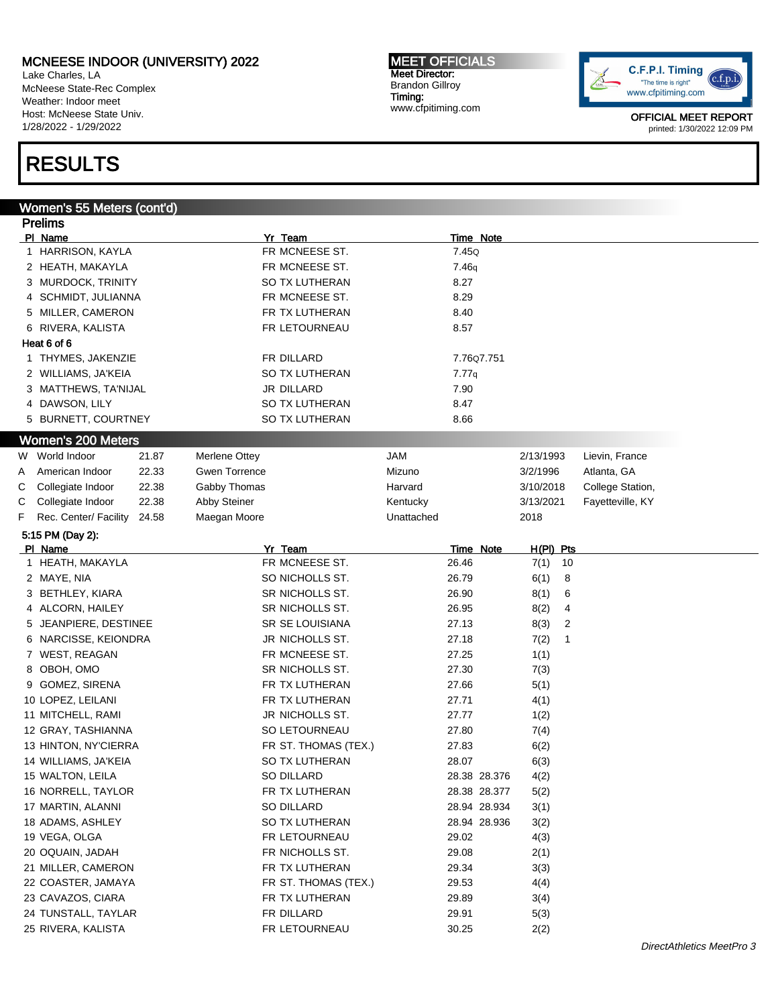Lake Charles, LA McNeese State-Rec Complex Weather: Indoor meet Host: McNeese State Univ. 1/28/2022 - 1/29/2022

# RESULTS

### Women's 55 Meters (cont'd)

| <b>Prelims</b> |                                                       |       |                      |                      |            |       |              |             |    |                  |  |  |
|----------------|-------------------------------------------------------|-------|----------------------|----------------------|------------|-------|--------------|-------------|----|------------------|--|--|
|                | PI Name                                               |       |                      | Yr Team              |            |       | Time Note    |             |    |                  |  |  |
|                | 1 HARRISON, KAYLA                                     |       |                      | FR MCNEESE ST.       |            | 7.45Q |              |             |    |                  |  |  |
|                | 2 HEATH, MAKAYLA                                      |       |                      | FR MCNEESE ST.       |            | 7.46q |              |             |    |                  |  |  |
|                | 3 MURDOCK, TRINITY                                    |       |                      | SO TX LUTHERAN       |            | 8.27  |              |             |    |                  |  |  |
|                | 4 SCHMIDT, JULIANNA                                   |       |                      | FR MCNEESE ST.       |            | 8.29  |              |             |    |                  |  |  |
|                | 5 MILLER, CAMERON                                     |       |                      | FR TX LUTHERAN       |            | 8.40  |              |             |    |                  |  |  |
|                | 6 RIVERA, KALISTA                                     |       |                      | FR LETOURNEAU        |            | 8.57  |              |             |    |                  |  |  |
|                | Heat 6 of 6                                           |       |                      |                      |            |       |              |             |    |                  |  |  |
|                | 1 THYMES, JAKENZIE                                    |       |                      | FR DILLARD           |            |       | 7.7607.751   |             |    |                  |  |  |
|                | 2 WILLIAMS, JA'KEIA                                   |       |                      | SO TX LUTHERAN       |            | 7.77q |              |             |    |                  |  |  |
|                | 3 MATTHEWS, TA'NIJAL                                  |       |                      | JR DILLARD           |            | 7.90  |              |             |    |                  |  |  |
|                | 4 DAWSON, LILY                                        |       |                      | SO TX LUTHERAN       |            | 8.47  |              |             |    |                  |  |  |
|                | 5 BURNETT, COURTNEY                                   |       |                      | SO TX LUTHERAN       |            | 8.66  |              |             |    |                  |  |  |
|                |                                                       |       |                      |                      |            |       |              |             |    |                  |  |  |
|                | <b>Women's 200 Meters</b>                             |       |                      |                      |            |       |              |             |    |                  |  |  |
| W              | World Indoor                                          | 21.87 | Merlene Ottey        |                      | <b>JAM</b> |       |              | 2/13/1993   |    | Lievin, France   |  |  |
| Α              | American Indoor                                       | 22.33 | <b>Gwen Torrence</b> |                      | Mizuno     |       |              | 3/2/1996    |    | Atlanta, GA      |  |  |
| С              | Collegiate Indoor                                     | 22.38 | Gabby Thomas         |                      | Harvard    |       |              | 3/10/2018   |    | College Station, |  |  |
| С              | Collegiate Indoor                                     | 22.38 | <b>Abby Steiner</b>  |                      | Kentucky   |       |              | 3/13/2021   |    | Fayetteville, KY |  |  |
| F              | Rec. Center/ Facility                                 | 24.58 | Maegan Moore         |                      | Unattached |       |              | 2018        |    |                  |  |  |
|                | 5:15 PM (Day 2):                                      |       |                      |                      |            |       |              |             |    |                  |  |  |
|                | PI Name                                               |       |                      | Yr Team              |            |       | Time Note    | $H(PI)$ Pts |    |                  |  |  |
|                | 1 HEATH, MAKAYLA                                      |       |                      | FR MCNEESE ST.       |            | 26.46 |              | 7(1)        | 10 |                  |  |  |
|                | 2 MAYE, NIA                                           |       |                      | SO NICHOLLS ST.      |            | 26.79 |              | 6(1)        | 8  |                  |  |  |
|                | 3 BETHLEY, KIARA                                      |       |                      | SR NICHOLLS ST.      |            | 26.90 |              | 8(1)        | 6  |                  |  |  |
|                | 4 ALCORN, HAILEY                                      |       |                      | SR NICHOLLS ST.      |            | 26.95 |              | 8(2)        | 4  |                  |  |  |
|                | 5 JEANPIERE, DESTINEE                                 |       |                      | SR SE LOUISIANA      |            | 27.13 |              | 8(3)        | 2  |                  |  |  |
|                | 6 NARCISSE, KEIONDRA                                  |       |                      | JR NICHOLLS ST.      |            | 27.18 |              | 7(2)        | 1  |                  |  |  |
|                | 7 WEST, REAGAN                                        |       |                      | FR MCNEESE ST.       |            | 27.25 |              | 1(1)        |    |                  |  |  |
|                | 8 OBOH, OMO                                           |       |                      | SR NICHOLLS ST.      |            | 27.30 |              | 7(3)        |    |                  |  |  |
|                | 9 GOMEZ, SIRENA                                       |       |                      | FR TX LUTHERAN       |            | 27.66 |              | 5(1)        |    |                  |  |  |
|                | 10 LOPEZ, LEILANI                                     |       |                      | FR TX LUTHERAN       |            | 27.71 |              | 4(1)        |    |                  |  |  |
|                | 11 MITCHELL, RAMI                                     |       |                      | JR NICHOLLS ST.      |            | 27.77 |              | 1(2)        |    |                  |  |  |
|                | 12 GRAY, TASHIANNA                                    |       |                      | SO LETOURNEAU        |            | 27.80 |              | 7(4)        |    |                  |  |  |
|                | 13 HINTON, NY'CIERRA                                  |       |                      | FR ST. THOMAS (TEX.) |            | 27.83 |              | 6(2)        |    |                  |  |  |
|                | 14 WILLIAMS, JA'KEIA                                  |       |                      | SO TX LUTHERAN       |            | 28.07 |              | 6(3)        |    |                  |  |  |
|                | 15 WALTON, LEILA                                      |       |                      | <b>SO DILLARD</b>    |            |       | 28.38 28.376 | 4(2)        |    |                  |  |  |
|                | 16 NORRELL, TAYLOR                                    |       |                      |                      |            |       |              |             |    |                  |  |  |
|                |                                                       |       |                      | FR TX LUTHERAN       |            |       | 28.38 28.377 | 5(2)        |    |                  |  |  |
|                | 17 MARTIN, ALANNI                                     |       |                      | SO DILLARD           |            |       | 28.94 28.934 | 3(1)        |    |                  |  |  |
|                | 18 ADAMS, ASHLEY                                      |       |                      | SO TX LUTHERAN       |            |       | 28.94 28.936 | 3(2)        |    |                  |  |  |
|                | 19 VEGA, OLGA                                         |       |                      | FR LETOURNEAU        |            | 29.02 |              | 4(3)        |    |                  |  |  |
|                | 20 OQUAIN, JADAH                                      |       |                      | FR NICHOLLS ST.      |            | 29.08 |              | 2(1)        |    |                  |  |  |
|                | 21 MILLER, CAMERON<br>FR TX LUTHERAN<br>29.34<br>3(3) |       |                      |                      |            |       |              |             |    |                  |  |  |
|                | 22 COASTER, JAMAYA                                    |       |                      | FR ST. THOMAS (TEX.) |            | 29.53 |              | 4(4)        |    |                  |  |  |
|                | 23 CAVAZOS, CIARA                                     |       |                      | FR TX LUTHERAN       |            | 29.89 |              | 3(4)        |    |                  |  |  |
|                | 24 TUNSTALL, TAYLAR                                   |       |                      | FR DILLARD           |            | 29.91 |              | 5(3)        |    |                  |  |  |
|                | 25 RIVERA, KALISTA                                    |       |                      | FR LETOURNEAU        |            | 30.25 |              | 2(2)        |    |                  |  |  |

MEET OFFICIALS Meet Director: Brandon Gillroy Timing: www.cfpitiming.com

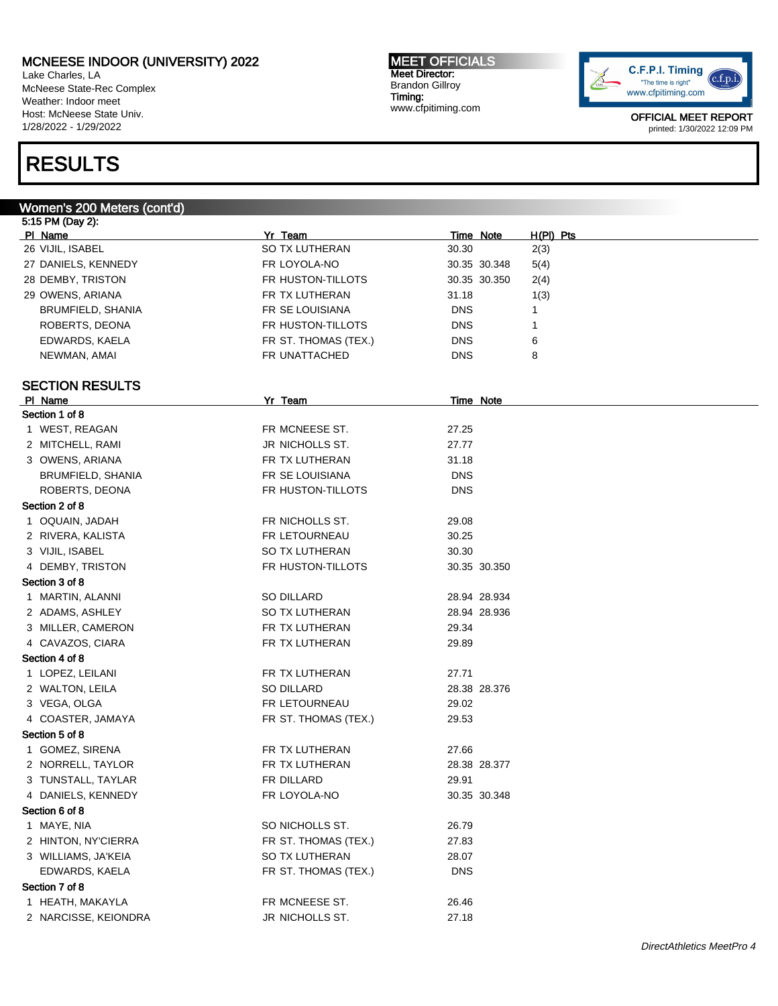Lake Charles, LA McNeese State-Rec Complex Weather: Indoor meet Host: McNeese State Univ. 1/28/2022 - 1/29/2022

# RESULTS

#### MEET OFFICIALS Meet Director: Brandon Gillroy Timing: www.cfpitiming.com



| Women's 200 Meters (cont'd) |                      |                  |              |             |
|-----------------------------|----------------------|------------------|--------------|-------------|
| 5:15 PM (Day 2):            |                      |                  |              |             |
| PI Name                     | Yr Team              |                  | Time Note    | $H(PI)$ Pts |
| 26 VIJIL, ISABEL            | SO TX LUTHERAN       | 30.30            |              | 2(3)        |
| 27 DANIELS, KENNEDY         | FR LOYOLA-NO         |                  | 30.35 30.348 | 5(4)        |
| 28 DEMBY, TRISTON           | FR HUSTON-TILLOTS    |                  | 30.35 30.350 | 2(4)        |
| 29 OWENS, ARIANA            | FR TX LUTHERAN       | 31.18            |              | 1(3)        |
| BRUMFIELD, SHANIA           | FR SE LOUISIANA      | DNS              |              | 1           |
| ROBERTS, DEONA              | FR HUSTON-TILLOTS    | <b>DNS</b>       |              | 1           |
| EDWARDS, KAELA              | FR ST. THOMAS (TEX.) | <b>DNS</b>       |              | 6           |
| NEWMAN, AMAI                | FR UNATTACHED        | DNS              |              | 8           |
|                             |                      |                  |              |             |
| <b>SECTION RESULTS</b>      |                      |                  |              |             |
| PI Name                     | Yr Team              | <b>Time Note</b> |              |             |
| Section 1 of 8              |                      |                  |              |             |
| 1 WEST, REAGAN              | FR MCNEESE ST.       | 27.25            |              |             |
| 2 MITCHELL, RAMI            | JR NICHOLLS ST.      | 27.77            |              |             |
| 3 OWENS, ARIANA             | FR TX LUTHERAN       | 31.18            |              |             |
| <b>BRUMFIELD, SHANIA</b>    | FR SE LOUISIANA      | <b>DNS</b>       |              |             |
| ROBERTS, DEONA              | FR HUSTON-TILLOTS    | <b>DNS</b>       |              |             |
| Section 2 of 8              |                      |                  |              |             |
| 1 OQUAIN, JADAH             | FR NICHOLLS ST.      | 29.08            |              |             |
| 2 RIVERA, KALISTA           | FR LETOURNEAU        | 30.25            |              |             |
| 3 VIJIL, ISABEL             | SO TX LUTHERAN       | 30.30            |              |             |
| 4 DEMBY, TRISTON            | FR HUSTON-TILLOTS    |                  | 30.35 30.350 |             |
| Section 3 of 8              |                      |                  |              |             |
| 1 MARTIN, ALANNI            | SO DILLARD           |                  | 28.94 28.934 |             |
| 2 ADAMS, ASHLEY             | SO TX LUTHERAN       |                  | 28.94 28.936 |             |
| 3 MILLER, CAMERON           | FR TX LUTHERAN       | 29.34            |              |             |
| 4 CAVAZOS, CIARA            | FR TX LUTHERAN       | 29.89            |              |             |
| Section 4 of 8              |                      |                  |              |             |
| 1 LOPEZ, LEILANI            | FR TX LUTHERAN       | 27.71            |              |             |
| 2 WALTON, LEILA             | SO DILLARD           |                  | 28.38 28.376 |             |
| 3 VEGA, OLGA                | FR LETOURNEAU        | 29.02            |              |             |
| 4 COASTER, JAMAYA           | FR ST. THOMAS (TEX.) | 29.53            |              |             |
| Section 5 of 8              |                      |                  |              |             |
| 1 GOMEZ, SIRENA             | FR TX LUTHERAN       | 27.66            |              |             |
| 2 NORRELL, TAYLOR           | FR TX LUTHERAN       |                  | 28.38 28.377 |             |
| 3 TUNSTALL, TAYLAR          | FR DILLARD           | 29.91            |              |             |
| 4 DANIELS, KENNEDY          | FR LOYOLA-NO         |                  | 30.35 30.348 |             |
| Section 6 of 8              |                      |                  |              |             |
| 1 MAYE, NIA                 | SO NICHOLLS ST.      | 26.79            |              |             |
| 2 HINTON, NY'CIERRA         | FR ST. THOMAS (TEX.) | 27.83            |              |             |
| 3 WILLIAMS, JA'KEIA         | SO TX LUTHERAN       | 28.07            |              |             |
| EDWARDS, KAELA              | FR ST. THOMAS (TEX.) | <b>DNS</b>       |              |             |
| Section 7 of 8              |                      |                  |              |             |
| 1 HEATH, MAKAYLA            | FR MCNEESE ST.       | 26.46            |              |             |
| 2 NARCISSE, KEIONDRA        | JR NICHOLLS ST.      | 27.18            |              |             |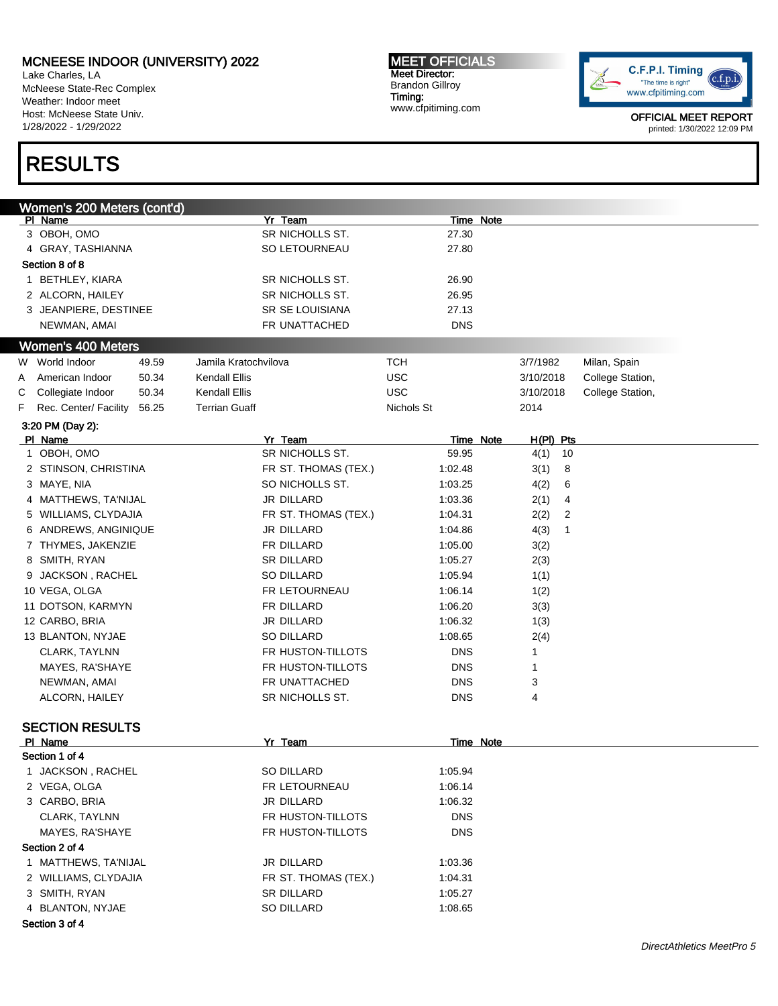Lake Charles, LA McNeese State-Rec Complex Weather: Indoor meet Host: McNeese State Univ. 1/28/2022 - 1/29/2022

# RESULTS

MEET OFFICIALS Meet Director: Brandon Gillroy Timing: www.cfpitiming.com



| Women's 200 Meters (cont'd)         |                      |                  |             |                  |
|-------------------------------------|----------------------|------------------|-------------|------------------|
| PI Name                             | Yr Team              | Time Note        |             |                  |
| 3 OBOH, OMO                         | SR NICHOLLS ST.      | 27.30            |             |                  |
| 4 GRAY, TASHIANNA                   | SO LETOURNEAU        | 27.80            |             |                  |
| Section 8 of 8                      |                      |                  |             |                  |
| 1 BETHLEY, KIARA                    | SR NICHOLLS ST.      | 26.90            |             |                  |
| 2 ALCORN, HAILEY                    | SR NICHOLLS ST.      | 26.95            |             |                  |
| 3 JEANPIERE, DESTINEE               | SR SE LOUISIANA      | 27.13            |             |                  |
| NEWMAN, AMAI                        | FR UNATTACHED        | <b>DNS</b>       |             |                  |
| <b>Women's 400 Meters</b>           |                      |                  |             |                  |
| W World Indoor<br>49.59             | Jamila Kratochvilova | <b>TCH</b>       | 3/7/1982    | Milan, Spain     |
| American Indoor<br>50.34<br>A       | Kendall Ellis        | <b>USC</b>       | 3/10/2018   | College Station, |
| С<br>Collegiate Indoor<br>50.34     | Kendall Ellis        | <b>USC</b>       | 3/10/2018   | College Station, |
| Rec. Center/ Facility<br>F<br>56.25 | <b>Terrian Guaff</b> | Nichols St       | 2014        |                  |
|                                     |                      |                  |             |                  |
| 3:20 PM (Day 2):<br>PI Name         | Yr Team              | <b>Time Note</b> | $H(PI)$ Pts |                  |
| 1 OBOH, OMO                         | SR NICHOLLS ST.      | 59.95            | 4(1)<br>10  |                  |
| 2 STINSON, CHRISTINA                | FR ST. THOMAS (TEX.) | 1:02.48          | 3(1)<br>8   |                  |
| 3 MAYE, NIA                         | SO NICHOLLS ST.      | 1:03.25          | 4(2)<br>6   |                  |
| 4 MATTHEWS, TA'NIJAL                | JR DILLARD           | 1:03.36          | 2(1)<br>4   |                  |
| 5 WILLIAMS, CLYDAJIA                | FR ST. THOMAS (TEX.) | 1:04.31          | 2(2)<br>2   |                  |
| 6 ANDREWS, ANGINIQUE                | JR DILLARD           | 1:04.86          | 4(3)<br>1   |                  |
| 7 THYMES, JAKENZIE                  | FR DILLARD           | 1:05.00          |             |                  |
| 8 SMITH, RYAN                       |                      | 1:05.27          | 3(2)        |                  |
|                                     | <b>SR DILLARD</b>    |                  | 2(3)        |                  |
| 9 JACKSON, RACHEL                   | <b>SO DILLARD</b>    | 1:05.94          | 1(1)        |                  |
| 10 VEGA, OLGA                       | FR LETOURNEAU        | 1:06.14          | 1(2)        |                  |
| 11 DOTSON, KARMYN                   | FR DILLARD           | 1:06.20          | 3(3)        |                  |
| 12 CARBO, BRIA                      | JR DILLARD           | 1:06.32          | 1(3)        |                  |
| 13 BLANTON, NYJAE                   | <b>SO DILLARD</b>    | 1:08.65          | 2(4)        |                  |
| CLARK, TAYLNN                       | FR HUSTON-TILLOTS    | <b>DNS</b>       | 1           |                  |
| MAYES, RA'SHAYE                     | FR HUSTON-TILLOTS    | <b>DNS</b>       | 1           |                  |
| NEWMAN, AMAI                        | FR UNATTACHED        | <b>DNS</b>       | 3           |                  |
| ALCORN, HAILEY                      | SR NICHOLLS ST.      | <b>DNS</b>       | 4           |                  |
|                                     |                      |                  |             |                  |
| <b>SECTION RESULTS</b><br>PI Name   | Yr Team              | <b>Time Note</b> |             |                  |
| Section 1 of 4                      |                      |                  |             |                  |
| JACKSON, RACHEL                     | SO DILLARD           | 1:05.94          |             |                  |
| 2 VEGA, OLGA                        | FR LETOURNEAU        | 1:06.14          |             |                  |
| 3 CARBO, BRIA                       | JR DILLARD           | 1:06.32          |             |                  |
| CLARK, TAYLNN                       | FR HUSTON-TILLOTS    | <b>DNS</b>       |             |                  |
|                                     | FR HUSTON-TILLOTS    |                  |             |                  |
| MAYES, RA'SHAYE                     |                      | <b>DNS</b>       |             |                  |
| Section 2 of 4                      |                      |                  |             |                  |
| 1 MATTHEWS, TA'NIJAL                | JR DILLARD           | 1:03.36          |             |                  |
| 2 WILLIAMS, CLYDAJIA                | FR ST. THOMAS (TEX.) | 1:04.31          |             |                  |
| 3 SMITH, RYAN                       | <b>SR DILLARD</b>    | 1:05.27          |             |                  |
| 4 BLANTON, NYJAE                    | SO DILLARD           | 1:08.65          |             |                  |
| Section 3 of 4                      |                      |                  |             |                  |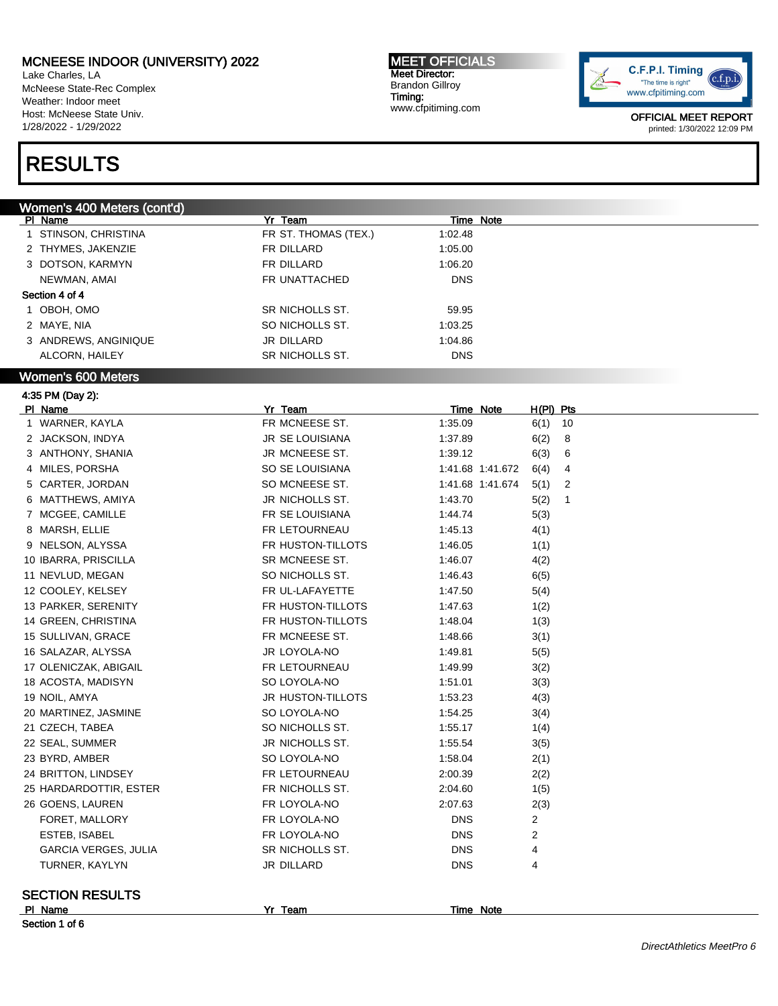1 STINSON, CHRISTINA **FR ST. THOMAS (TEX.)** 1:02.48

Lake Charles, LA McNeese State-Rec Complex Weather: Indoor meet Host: McNeese State Univ. 1/28/2022 - 1/29/2022

# RESULTS

#### Women's 400 Meters (cont'd) PI Name **Yr Team** Yr Team Time Note

2 THYMES, JAKENZIE FR DILLARD 1:05.00 3 DOTSON, KARMYN FR DILLARD 1:06.20 NEWMAN, AMAI GER UNATTACHED DNS Section 4 of 4 1 OBOH, OMO SR NICHOLLS ST. 59.95 2 MAYE, NIA SO NICHOLLS ST. 2 MAYE, NIA SO NICHOLLS ST. 3 ANDREWS, ANGINIQUE JR DILLARD 1:04.86 ALCORN, HAILEY **SR NICHOLLS ST.** DNS Women's 600 Meters 4:35 PM (Day 2): Pl Name Yr Team Time Note H(Pl) Pts 1 WARNER, KAYLA 10 10 FR MCNEESE ST. 1:35.09 6(1) 10 2 JACKSON, INDYA JR SE LOUISIANA 1:37.89 6(2) 8 3 ANTHONY, SHANIA JR MCNEESE ST. 1:39.12 6(3) 6 4 MILES, PORSHA SO SE LOUISIANA 1:41.68 1:41.672 6(4) 4 5 CARTER, JORDAN SO MCNEESE ST. 1:41.68 1:41.674 5(1) 2 6 MATTHEWS, AMIYA JR NICHOLLS ST. 1:43.70 5(2) 1 7 MCGEE, CAMILLE **1:44.74** 5(3) 8 MARSH, ELLIE FR LETOURNEAU 1:45.13 4(1) 9 NELSON, ALYSSA FR HUSTON-TILLOTS 1:46.05 1(1) 10 IBARRA, PRISCILLA SR MCNEESE ST. 1:46.07 4(2) 11 NEVLUD, MEGAN 6(5) SO NICHOLLS ST. 1:46.43 6(5) 12 COOLEY, KELSEY **FR UL-LAFAYETTE** 1:47.50 5(4) 13 PARKER, SERENITY FR HUSTON-TILLOTS 1:47.63 1(2) 14 GREEN, CHRISTINA FR HUSTON-TILLOTS 1:48.04 1(3) 15 SULLIVAN, GRACE **FR MCNEESE ST.** 1:48.66 3(1) 16 SALAZAR, ALYSSA JR LOYOLA-NO 1:49.81 5(5) 17 OLENICZAK, ABIGAIL **FR LETOURNEAU** 1:49.99 3(2) 18 ACOSTA, MADISYN SO LOYOLA-NO 1:51.01 3(3) 19 NOIL, AMYA 1:53.23 4(3) JR HUSTON-TILLOTS 1:53.23 4(3) 20 MARTINEZ, JASMINE SO LOYOLA-NO 1:54.25 3(4) 21 CZECH, TABEA SO NICHOLLS ST. 1:55.17 1(4) 22 SEAL, SUMMER JR NICHOLLS ST. 1:55.54 3(5) 23 BYRD, AMBER SO LOYOLA-NO 1:58.04 2(1) 24 BRITTON, LINDSEY FR LETOURNEAU 2:00.39 2(2) 25 HARDARDOTTIR, ESTER FR NICHOLLS ST. 2:04.60 1(5) 26 GOENS, LAUREN FR LOYOLA-NO 2:07.63 2(3) FORET, MALLORY **FRILOYOLA-NO** FRILOYOLA-NO DNS 2 ESTEB, ISABEL FR LOYOLA-NO DNS 2 GARCIA VERGES, JULIA SR NICHOLLS ST. DNS 4 TURNER, KAYLYN JR DILLARD DNS 4

#### SECTION RESULTS

Pl Name Yr Team Time Note

Section 1 of 6

MEET OFFICIALS Meet Director: Brandon Gillroy Timing: www.cfpitiming.com

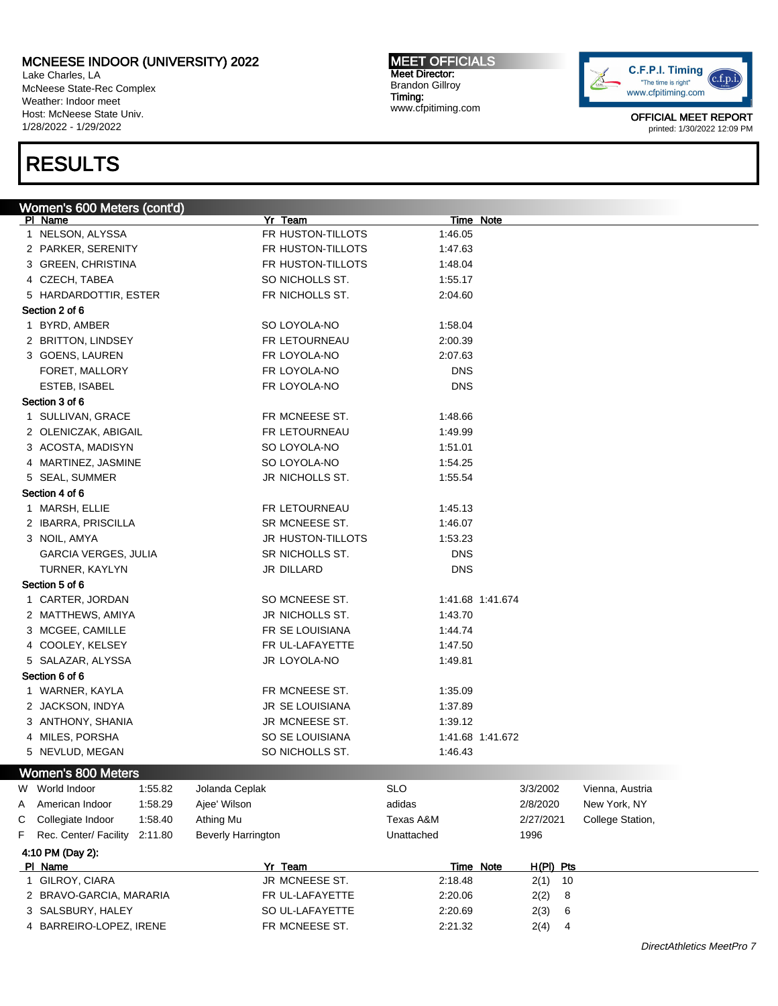Lake Charles, LA McNeese State-Rec Complex Weather: Indoor meet Host: McNeese State Univ. 1/28/2022 - 1/29/2022

# RESULTS

MEET OFFICIALS Meet Director: Brandon Gillroy Timing: www.cfpitiming.com



|   | Women's 600 Meters (cont'd) |         |                           |                   |                  |                  |           |           |                  |
|---|-----------------------------|---------|---------------------------|-------------------|------------------|------------------|-----------|-----------|------------------|
|   | PI Name                     |         |                           | Yr Team           |                  | Time Note        |           |           |                  |
|   | 1 NELSON, ALYSSA            |         |                           | FR HUSTON-TILLOTS | 1:46.05          |                  |           |           |                  |
|   | 2 PARKER, SERENITY          |         |                           | FR HUSTON-TILLOTS | 1:47.63          |                  |           |           |                  |
|   | 3 GREEN, CHRISTINA          |         |                           | FR HUSTON-TILLOTS | 1:48.04          |                  |           |           |                  |
|   | 4 CZECH, TABEA              |         |                           | SO NICHOLLS ST.   | 1:55.17          |                  |           |           |                  |
|   | 5 HARDARDOTTIR, ESTER       |         |                           | FR NICHOLLS ST.   | 2:04.60          |                  |           |           |                  |
|   | Section 2 of 6              |         |                           |                   |                  |                  |           |           |                  |
|   | 1 BYRD, AMBER               |         |                           | SO LOYOLA-NO      | 1:58.04          |                  |           |           |                  |
|   | 2 BRITTON, LINDSEY          |         |                           | FR LETOURNEAU     | 2:00.39          |                  |           |           |                  |
|   | 3 GOENS, LAUREN             |         |                           | FR LOYOLA-NO      | 2:07.63          |                  |           |           |                  |
|   | FORET, MALLORY              |         |                           | FR LOYOLA-NO      | <b>DNS</b>       |                  |           |           |                  |
|   | ESTEB, ISABEL               |         |                           | FR LOYOLA-NO      | <b>DNS</b>       |                  |           |           |                  |
|   | Section 3 of 6              |         |                           |                   |                  |                  |           |           |                  |
|   | 1 SULLIVAN, GRACE           |         |                           | FR MCNEESE ST.    | 1:48.66          |                  |           |           |                  |
|   | 2 OLENICZAK, ABIGAIL        |         |                           | FR LETOURNEAU     | 1:49.99          |                  |           |           |                  |
|   | 3 ACOSTA, MADISYN           |         |                           | SO LOYOLA-NO      | 1:51.01          |                  |           |           |                  |
|   | 4 MARTINEZ, JASMINE         |         |                           | SO LOYOLA-NO      | 1:54.25          |                  |           |           |                  |
|   | 5 SEAL, SUMMER              |         |                           | JR NICHOLLS ST.   | 1:55.54          |                  |           |           |                  |
|   | Section 4 of 6              |         |                           |                   |                  |                  |           |           |                  |
|   | 1 MARSH, ELLIE              |         |                           | FR LETOURNEAU     | 1:45.13          |                  |           |           |                  |
|   | 2 IBARRA, PRISCILLA         |         |                           | SR MCNEESE ST.    | 1:46.07          |                  |           |           |                  |
|   | 3 NOIL, AMYA                |         |                           | JR HUSTON-TILLOTS | 1:53.23          |                  |           |           |                  |
|   | <b>GARCIA VERGES, JULIA</b> |         |                           | SR NICHOLLS ST.   | <b>DNS</b>       |                  |           |           |                  |
|   | TURNER, KAYLYN              |         |                           | JR DILLARD        | <b>DNS</b>       |                  |           |           |                  |
|   | Section 5 of 6              |         |                           |                   |                  |                  |           |           |                  |
|   | 1 CARTER, JORDAN            |         |                           | SO MCNEESE ST.    | 1:41.68 1:41.674 |                  |           |           |                  |
|   | 2 MATTHEWS, AMIYA           |         |                           | JR NICHOLLS ST.   | 1:43.70          |                  |           |           |                  |
|   | 3 MCGEE, CAMILLE            |         |                           | FR SE LOUISIANA   | 1:44.74          |                  |           |           |                  |
|   | 4 COOLEY, KELSEY            |         |                           | FR UL-LAFAYETTE   | 1:47.50          |                  |           |           |                  |
|   | 5 SALAZAR, ALYSSA           |         |                           | JR LOYOLA-NO      | 1:49.81          |                  |           |           |                  |
|   | Section 6 of 6              |         |                           |                   |                  |                  |           |           |                  |
|   | 1 WARNER, KAYLA             |         |                           | FR MCNEESE ST.    | 1:35.09          |                  |           |           |                  |
|   | 2 JACKSON, INDYA            |         |                           | JR SE LOUISIANA   | 1:37.89          |                  |           |           |                  |
|   | 3 ANTHONY, SHANIA           |         |                           | JR MCNEESE ST.    | 1:39.12          |                  |           |           |                  |
|   | 4 MILES, PORSHA             |         |                           | SO SE LOUISIANA   | 1:41.68 1:41.672 |                  |           |           |                  |
|   | 5 NEVLUD, MEGAN             |         |                           | SO NICHOLLS ST.   | 1:46.43          |                  |           |           |                  |
|   |                             |         |                           |                   |                  |                  |           |           |                  |
|   | Women's 800 Meters          |         |                           |                   |                  |                  |           |           |                  |
| W | World Indoor                | 1:55.82 | Jolanda Ceplak            |                   | <b>SLO</b>       |                  | 3/3/2002  |           | Vienna, Austria  |
| A | American Indoor             | 1:58.29 | Ajee' Wilson              |                   | adidas           |                  | 2/8/2020  |           | New York, NY     |
| С | Collegiate Indoor           | 1:58.40 | Athing Mu                 |                   | Texas A&M        |                  | 2/27/2021 |           | College Station, |
| F | Rec. Center/ Facility       | 2:11.80 | <b>Beverly Harrington</b> |                   | Unattached       |                  | 1996      |           |                  |
|   | 4:10 PM (Day 2):            |         |                           |                   |                  |                  |           |           |                  |
|   | PI Name                     |         |                           | Yr Team           |                  | <b>Time Note</b> |           | H(PI) Pts |                  |
|   | 1 GILROY, CIARA             |         |                           | JR MCNEESE ST.    | 2:18.48          |                  | $2(1)$ 10 |           |                  |
|   | 2 BRAVO-GARCIA, MARARIA     |         |                           | FR UL-LAFAYETTE   | 2:20.06          |                  | 2(2)      | 8         |                  |
|   | 3 SALSBURY, HALEY           |         |                           | SO UL-LAFAYETTE   | 2:20.69          |                  | 2(3)      | 6         |                  |
|   | 4 BARREIRO-LOPEZ, IRENE     |         |                           | FR MCNEESE ST.    | 2:21.32          |                  | 2(4)      | 4         |                  |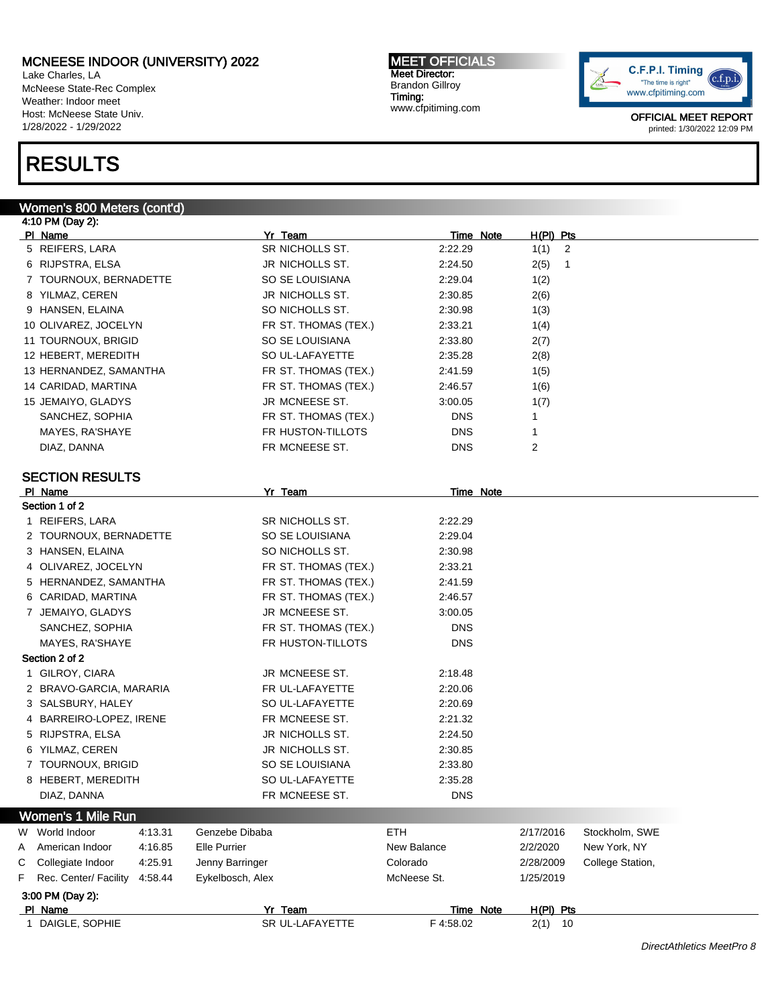Lake Charles, LA McNeese State-Rec Complex Weather: Indoor meet Host: McNeese State Univ. 1/28/2022 - 1/29/2022

# RESULTS

#### Women's 800 Meters (cont'd)

4:10 PM (Day 2): Pl Name Yr Team Time Note H(Pl) Pts 5 REIFERS, LARA SR NICHOLLS ST. 2:22.29 1(1) 2 6 RIJPSTRA, ELSA JR NICHOLLS ST. 2:24.50 2(5) 1 7 TOURNOUX, BERNADETTE SO SE LOUISIANA 2:29.04 1(2) 8 YILMAZ, CEREN JR NICHOLLS ST. 2:30.85 2(6) 9 HANSEN, ELAINA SO NICHOLLS ST. 2:30.98 1(3) 10 OLIVAREZ, JOCELYN FR ST. THOMAS (TEX.) 2:33.21 1(4) 11 TOURNOUX, BRIGID SO SE LOUISIANA 2:33.80 2(7) 12 HEBERT, MEREDITH SO UL-LAFAYETTE 2:35.28 2(8) 13 HERNANDEZ, SAMANTHA FR ST. THOMAS (TEX.) 2:41.59 1(5) 14 CARIDAD, MARTINA FR ST. THOMAS (TEX.) 2:46.57 1(6) 15 JEMAIYO, GLADYS JR MCNEESE ST. 3:00.05 1(7) SANCHEZ, SOPHIA FR ST. THOMAS (TEX.) DNS 1 MAYES, RA'SHAYE **Example 1** FR HUSTON-TILLOTS FR HUSTON TILL OF SAMPLE 2008 DIAZ, DANNA FR MCNEESE ST. DNS 2 SECTION RESULTS PI Name **Note 2018 PI Name** Note 2018 **PI Note 2018 PI Note 2018 PI Note 2018 PI Note 2018 PI Note 2018 PI Note 2018 PI Note 2018 PI Note 2018 PI Note 2018 PI Note 2018 PI Note 2018 PI Note 2018 P** Section 1 of 2 1 REIFERS, LARA SR NICHOLLS ST. 2:22.29 2 TOURNOUX, BERNADETTE SO SE LOUISIANA 2:29.04 3 HANSEN, ELAINA SO NICHOLLS ST. 2:30.98 4 OLIVAREZ, JOCELYN FR ST. THOMAS (TEX.) 2:33.21 5 HERNANDEZ, SAMANTHA FR ST. THOMAS (TEX.) 2:41.59 6 CARIDAD, MARTINA FR ST. THOMAS (TEX.) 2:46.57 7 JEMAIYO, GLADYS JR MCNEESE ST. 3:00.05 SANCHEZ, SOPHIA **FR ST. THOMAS (TEX.)** DNS MAYES, RA'SHAYE FR HUSTON-TILLOTS DNS Section 2 of 2 1 GILROY, CIARA **1 CIARA 1 CIACCI CIACCI ST.** JR MCNEESE ST. 2:18.48 2 BRAVO-GARCIA, MARARIA FR UL-LAFAYETTE 2:20.06 3 SALSBURY, HALEY SO UL-LAFAYETTE 2:20.69 4 BARREIRO-LOPEZ, IRENE FR MCNEESE ST. 2:21.32 5 RIJPSTRA, ELSA JR NICHOLLS ST. 2:24.50 6 YILMAZ, CEREN JR NICHOLLS ST. 2:30.85 7 TOURNOUX, BRIGID SO SE LOUISIANA 2:33.80 8 HEBERT, MEREDITH SO UL-LAFAYETTE 2:35.28 DIAZ, DANNA DIAZ, DANNA DIAZ, DANNA DIAZ, DANNA DIAZ, DANS Women's 1 Mile Run W World Indoor  $4:13.31$  Genzebe Dibaba  $2/17/2016$  Stockholm, SWE A American Indoor 4:16.85 Elle Purrier New Balance 2/2/2020 New York, NY C Collegiate Indoor 4:25.91 Jenny Barringer Colorado 2/28/2009 College Station, F Rec. Center/ Facility 4:58.44 Eykelbosch, Alex McNeese St. 1/25/2019 3:00 PM (Day 2): Pl Name Yr Team Time Note H(Pl) Pts 1 DAIGLE, SOPHIE SR UL-LAFAYETTE F 4:58.02 2(1) 10

MEET OFFICIALS Meet Director: Brandon Gillroy Timing: www.cfpitiming.com

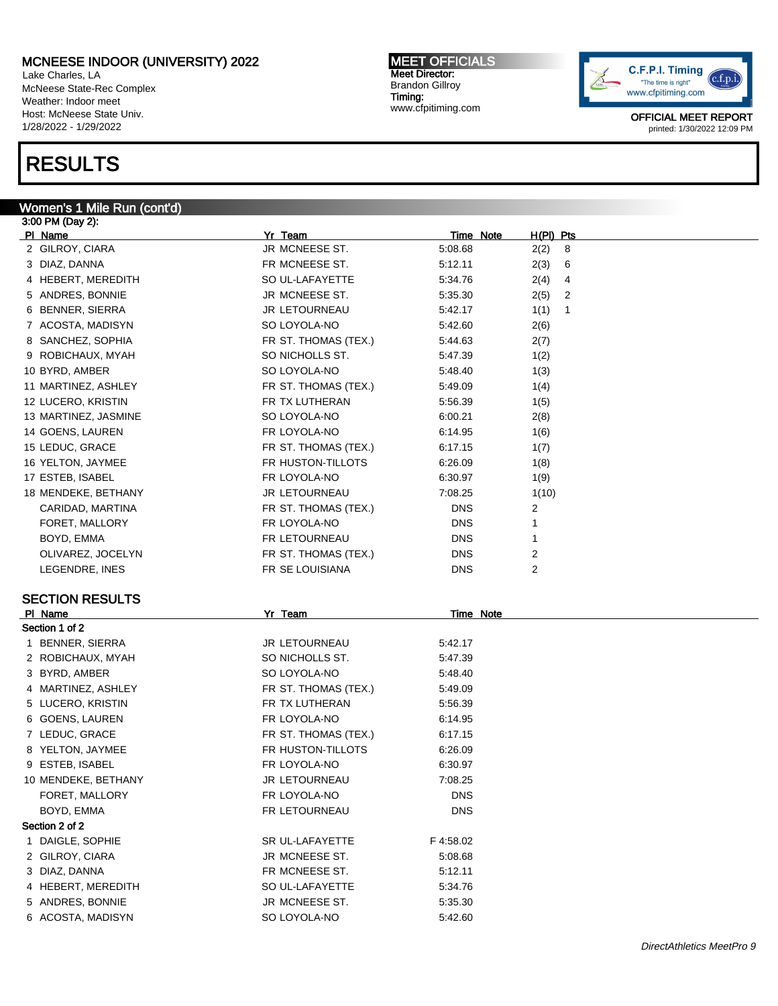Lake Charles, LA McNeese State-Rec Complex Weather: Indoor meet Host: McNeese State Univ. 1/28/2022 - 1/29/2022

# RESULTS

#### Women's 1 Mile Run (cont'd) 3:00 PM (Day 2):

Pl Name Yr Team Time Note H(Pl) Pts 2 GILROY, CIARA JR MCNEESE ST. 5:08.68 2(2) 8 3 DIAZ, DANNA FR MCNEESE ST. 5:12.11 2(3) 6 4 HEBERT, MEREDITH SO UL-LAFAYETTE 5:34.76 2(4) 4 5 ANDRES, BONNIE JR MCNEESE ST. 5:35.30 2(5) 2 6 BENNER, SIERRA 110 1 JR LETOURNEAU 5:42.17 1(1) 1 7 ACOSTA, MADISYN SO LOYOLA-NO 5:42.60 2(6) 8 SANCHEZ, SOPHIA FR ST. THOMAS (TEX.) 5:44.63 2(7) 9 ROBICHAUX, MYAH SO NICHOLLS ST. 5:47.39 1(2) 10 BYRD, AMBER SO LOYOLA-NO 5:48.40 1(3) 11 MARTINEZ, ASHLEY **FR ST. THOMAS (TEX.)** 5:49.09 1(4) 12 LUCERO, KRISTIN FR TX LUTHERAN 5:56.39 1(5) 13 MARTINEZ, JASMINE SO LOYOLA-NO 6:00.21 2(8) 14 GOENS, LAUREN FR LOYOLA-NO 6:14.95 1(6) 15 LEDUC, GRACE FR ST. THOMAS (TEX.) 6:17.15 1(7) 16 YELTON, JAYMEE THE FR HUSTON-TILLOTS 6:26.09 1(8) 17 ESTEB, ISABEL 19 10 100 FR LOYOLA-NO 6:30.97 1(9) 18 MENDEKE, BETHANY JR LETOURNEAU 7:08.25 1(10) CARIDAD, MARTINA FR ST. THOMAS (TEX.) DNS 2 FORET, MALLORY **FRILOYOLA-NO** FRILOYOLA-NO DNS 1 BOYD, EMMA **EXAMPLE 1** FR LETOURNEAU **DIS** DNS 1 OLIVAREZ, JOCELYN **EXALL EXECUTE FR** ST. THOMAS (TEX.) DNS 2 LEGENDRE, INES FR SE LOUISIANA DNS 2 SECTION RESULTS PI Name **Note 2018** Yr Team **You are Set and Yr Team** Time Note Section 1 of 2 1 BENNER, SIERRA JR LETOURNEAU 5:42.17 2 ROBICHAUX, MYAH SO NICHOLLS ST. 5:47.39 3 BYRD, AMBER SO LOYOLA-NO 5:48.40 4 MARTINEZ, ASHLEY **FR ST. THOMAS (TEX.)** 5:49.09 5 LUCERO, KRISTIN FR TX LUTHERAN 5:56.39 6 GOENS, LAUREN FR LOYOLA-NO 6:14.95 7 LEDUC, GRACE **FR ST. THOMAS (TEX.)** 6:17.15 8 YELTON, JAYMEE FR HUSTON-TILLOTS 6:26.09 9 ESTEB, ISABEL FR LOYOLA-NO 6:30.97 10 MENDEKE, BETHANY JR LETOURNEAU 7:08.25 FORET, MALLORY FR LOYOLA-NO DNS BOYD, EMMA FRIETOURNEAU DNS Section 2 of 2 1 DAIGLE, SOPHIE SR UL-LAFAYETTE F 4:58.02 2 GILROY, CIARA 3:08.68 3 DIAZ, DANNA 6:12.11

4 HEBERT, MEREDITH SO UL-LAFAYETTE 5:34.76 5 ANDRES, BONNIE JR MCNEESE ST. 5:35.30 6 ACOSTA, MADISYN SO LOYOLA-NO 5:42.60

MEET OFFICIALS

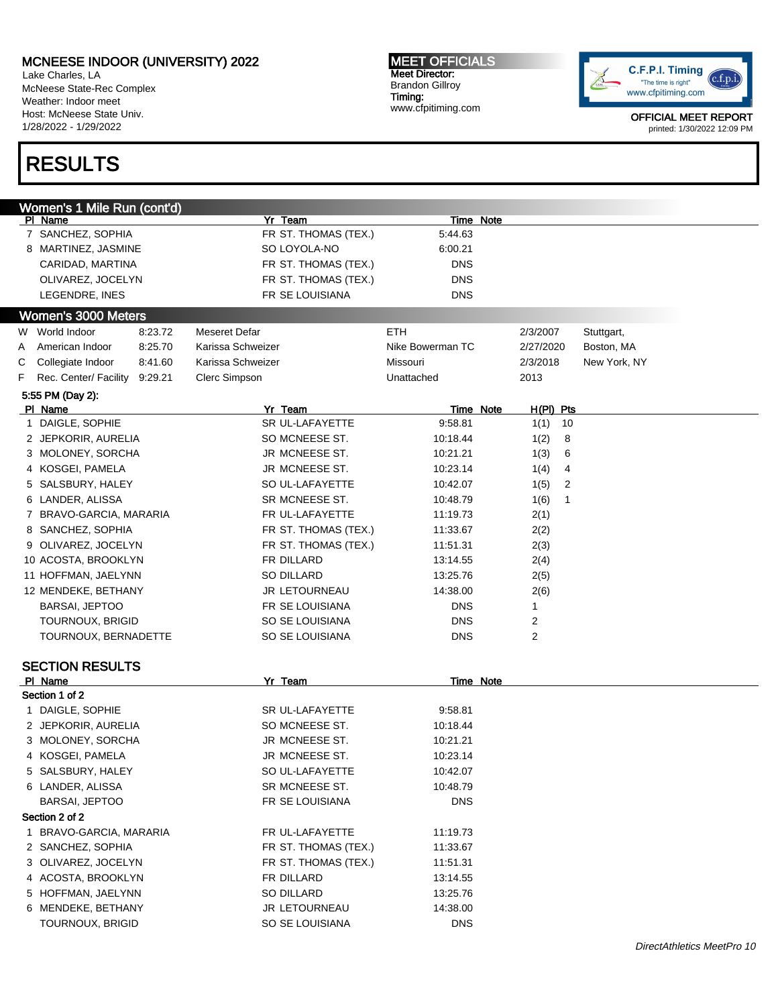Lake Charles, LA McNeese State-Rec Complex Weather: Indoor meet Host: McNeese State Univ. 1/28/2022 - 1/29/2022

# RESULTS

MEET OFFICIALS Meet Director: Brandon Gillroy Timing: www.cfpitiming.com



|   | Women's 1 Mile Run (cont'd)       |         |                      |                  |                  |             |              |
|---|-----------------------------------|---------|----------------------|------------------|------------------|-------------|--------------|
|   | PI Name                           |         | Yr Team              |                  | Time Note        |             |              |
|   | 7 SANCHEZ, SOPHIA                 |         | FR ST. THOMAS (TEX.) | 5:44.63          |                  |             |              |
|   | 8 MARTINEZ, JASMINE               |         | SO LOYOLA-NO         | 6:00.21          |                  |             |              |
|   | CARIDAD, MARTINA                  |         | FR ST. THOMAS (TEX.) | <b>DNS</b>       |                  |             |              |
|   | OLIVAREZ, JOCELYN                 |         | FR ST. THOMAS (TEX.) | <b>DNS</b>       |                  |             |              |
|   | LEGENDRE, INES                    |         | FR SE LOUISIANA      | <b>DNS</b>       |                  |             |              |
|   | Women's 3000 Meters               |         |                      |                  |                  |             |              |
|   | W World Indoor                    | 8:23.72 | Meseret Defar        | <b>ETH</b>       |                  | 2/3/2007    | Stuttgart,   |
| A | American Indoor                   | 8:25.70 | Karissa Schweizer    | Nike Bowerman TC |                  | 2/27/2020   | Boston, MA   |
| С | Collegiate Indoor                 | 8:41.60 | Karissa Schweizer    | Missouri         |                  | 2/3/2018    | New York, NY |
| F | Rec. Center/ Facility             | 9:29.21 | Clerc Simpson        | Unattached       |                  | 2013        |              |
|   | 5:55 PM (Day 2):                  |         |                      |                  |                  |             |              |
|   | PI Name                           |         | Yr Team              |                  | <b>Time Note</b> | $H(PI)$ Pts |              |
|   | 1 DAIGLE, SOPHIE                  |         | SR UL-LAFAYETTE      | 9:58.81          |                  | 1(1)<br>10  |              |
|   | 2 JEPKORIR, AURELIA               |         | SO MCNEESE ST.       | 10:18.44         |                  | 1(2)<br>8   |              |
|   | 3 MOLONEY, SORCHA                 |         | JR MCNEESE ST.       | 10:21.21         |                  | 1(3)<br>6   |              |
|   | 4 KOSGEI, PAMELA                  |         | JR MCNEESE ST.       | 10:23.14         |                  | 1(4)<br>4   |              |
|   | 5 SALSBURY, HALEY                 |         | SO UL-LAFAYETTE      | 10:42.07         |                  | 1(5)<br>2   |              |
|   | 6 LANDER, ALISSA                  |         | SR MCNEESE ST.       | 10:48.79         |                  | 1(6)<br>1   |              |
|   | 7 BRAVO-GARCIA, MARARIA           |         | FR UL-LAFAYETTE      | 11:19.73         |                  | 2(1)        |              |
|   | 8 SANCHEZ, SOPHIA                 |         | FR ST. THOMAS (TEX.) | 11:33.67         |                  | 2(2)        |              |
|   | 9 OLIVAREZ, JOCELYN               |         | FR ST. THOMAS (TEX.) | 11:51.31         |                  | 2(3)        |              |
|   | 10 ACOSTA, BROOKLYN               |         | FR DILLARD           | 13:14.55         |                  | 2(4)        |              |
|   | 11 HOFFMAN, JAELYNN               |         | SO DILLARD           | 13:25.76         |                  | 2(5)        |              |
|   | 12 MENDEKE, BETHANY               |         | JR LETOURNEAU        | 14:38.00         |                  | 2(6)        |              |
|   | <b>BARSAI, JEPTOO</b>             |         | FR SE LOUISIANA      | <b>DNS</b>       |                  | 1           |              |
|   | TOURNOUX, BRIGID                  |         | SO SE LOUISIANA      | <b>DNS</b>       |                  | 2           |              |
|   | TOURNOUX, BERNADETTE              |         | SO SE LOUISIANA      | <b>DNS</b>       |                  | 2           |              |
|   |                                   |         |                      |                  |                  |             |              |
|   | <b>SECTION RESULTS</b><br>PI Name |         | Yr Team              |                  | Time Note        |             |              |
|   | Section 1 of 2                    |         |                      |                  |                  |             |              |
|   | 1 DAIGLE, SOPHIE                  |         | SR UL-LAFAYETTE      | 9:58.81          |                  |             |              |
|   | 2 JEPKORIR, AURELIA               |         | SO MCNEESE ST.       | 10:18.44         |                  |             |              |
|   | 3 MOLONEY, SORCHA                 |         | JR MCNEESE ST.       | 10:21.21         |                  |             |              |
|   | 4 KOSGEI, PAMELA                  |         | JR MCNEESE ST.       | 10:23.14         |                  |             |              |
|   | 5 SALSBURY, HALEY                 |         | SO UL-LAFAYETTE      | 10:42.07         |                  |             |              |
|   | 6 LANDER, ALISSA                  |         | SR MCNEESE ST.       | 10:48.79         |                  |             |              |
|   | <b>BARSAI, JEPTOO</b>             |         | FR SE LOUISIANA      | <b>DNS</b>       |                  |             |              |
|   | Section 2 of 2                    |         |                      |                  |                  |             |              |
|   | 1 BRAVO-GARCIA, MARARIA           |         | FR UL-LAFAYETTE      | 11:19.73         |                  |             |              |
|   | 2 SANCHEZ, SOPHIA                 |         | FR ST. THOMAS (TEX.) | 11:33.67         |                  |             |              |
|   |                                   |         | FR ST. THOMAS (TEX.) |                  |                  |             |              |
|   | 3 OLIVAREZ, JOCELYN               |         |                      | 11:51.31         |                  |             |              |
|   | 4 ACOSTA, BROOKLYN                |         | FR DILLARD           | 13:14.55         |                  |             |              |
|   | 5 HOFFMAN, JAELYNN                |         | SO DILLARD           | 13:25.76         |                  |             |              |
|   | 6 MENDEKE, BETHANY                |         | JR LETOURNEAU        | 14:38.00         |                  |             |              |
|   | TOURNOUX, BRIGID                  |         | SO SE LOUISIANA      | <b>DNS</b>       |                  |             |              |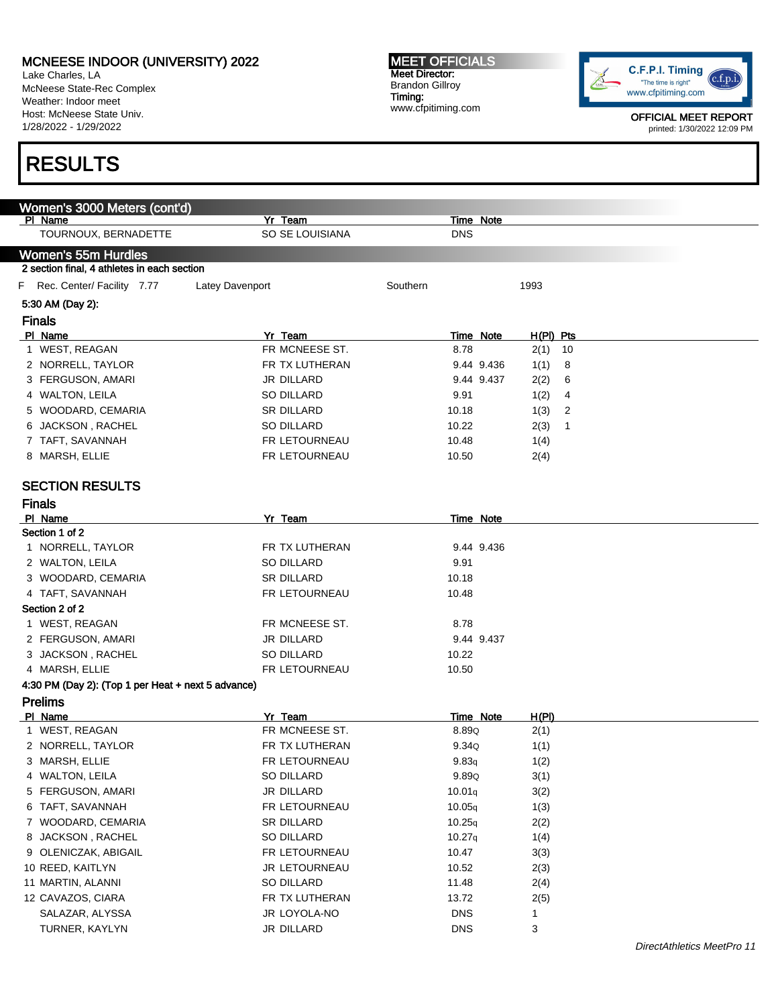Lake Charles, LA McNeese State-Rec Complex Weather: Indoor meet Host: McNeese State Univ. 1/28/2022 - 1/29/2022

# RESULTS

MEET OFFICIALS Meet Director: Brandon Gillroy Timing: www.cfpitiming.com



| Women's 3000 Meters (cont'd)<br>PI Name                                   | Yr Team           | Time Note        |              |                            |
|---------------------------------------------------------------------------|-------------------|------------------|--------------|----------------------------|
| TOURNOUX, BERNADETTE                                                      | SO SE LOUISIANA   | <b>DNS</b>       |              |                            |
|                                                                           |                   |                  |              |                            |
| <b>Women's 55m Hurdles</b><br>2 section final, 4 athletes in each section |                   |                  |              |                            |
| F Rec. Center/ Facility 7.77                                              | Latey Davenport   | Southern         | 1993         |                            |
| 5:30 AM (Day 2):                                                          |                   |                  |              |                            |
| <b>Finals</b>                                                             |                   |                  |              |                            |
| PI Name                                                                   | Yr Team           | <b>Time Note</b> | H(PI) Pts    |                            |
| 1 WEST, REAGAN                                                            | FR MCNEESE ST.    | 8.78             | $2(1)$ 10    |                            |
| 2 NORRELL, TAYLOR                                                         | FR TX LUTHERAN    | 9.44 9.436       | 1(1)<br>8    |                            |
| 3 FERGUSON, AMARI                                                         | JR DILLARD        | 9.44 9.437       | 2(2)<br>6    |                            |
| 4 WALTON, LEILA                                                           | <b>SO DILLARD</b> | 9.91             | 1(2)<br>4    |                            |
| 5 WOODARD, CEMARIA                                                        | SR DILLARD        | 10.18            | 1(3)<br>2    |                            |
| 6 JACKSON, RACHEL                                                         | <b>SO DILLARD</b> | 10.22            | 2(3)<br>-1   |                            |
| 7 TAFT, SAVANNAH                                                          | FR LETOURNEAU     | 10.48            | 1(4)         |                            |
| 8 MARSH, ELLIE                                                            | FR LETOURNEAU     | 10.50            | 2(4)         |                            |
|                                                                           |                   |                  |              |                            |
| <b>SECTION RESULTS</b>                                                    |                   |                  |              |                            |
| <b>Finals</b>                                                             |                   |                  |              |                            |
| PI Name                                                                   | Yr Team           | Time Note        |              |                            |
| Section 1 of 2                                                            |                   |                  |              |                            |
| 1 NORRELL, TAYLOR                                                         | FR TX LUTHERAN    | 9.44 9.436       |              |                            |
| 2 WALTON, LEILA                                                           | <b>SO DILLARD</b> | 9.91             |              |                            |
| 3 WOODARD, CEMARIA                                                        | <b>SR DILLARD</b> | 10.18            |              |                            |
| 4 TAFT, SAVANNAH                                                          | FR LETOURNEAU     | 10.48            |              |                            |
| Section 2 of 2                                                            |                   |                  |              |                            |
| 1 WEST, REAGAN                                                            | FR MCNEESE ST.    | 8.78             |              |                            |
| 2 FERGUSON, AMARI                                                         | JR DILLARD        | 9.44 9.437       |              |                            |
| 3 JACKSON, RACHEL                                                         | SO DILLARD        | 10.22            |              |                            |
| 4 MARSH, ELLIE                                                            | FR LETOURNEAU     | 10.50            |              |                            |
| 4:30 PM (Day 2): (Top 1 per Heat + next 5 advance)                        |                   |                  |              |                            |
| <b>Prelims</b>                                                            |                   |                  |              |                            |
| PI Name                                                                   | Yr Team           | Time Note        | <u>H(PI)</u> |                            |
| 1 WEST, REAGAN                                                            | FR MCNEESE ST.    | 8.89Q            | 2(1)         |                            |
| 2 NORRELL, TAYLOR                                                         | FR TX LUTHERAN    | 9.34Q            | 1(1)         |                            |
| 3 MARSH, ELLIE                                                            | FR LETOURNEAU     | 9.83q            | 1(2)         |                            |
| 4 WALTON, LEILA                                                           | SO DILLARD        | 9.89Q            | 3(1)         |                            |
| 5 FERGUSON, AMARI                                                         | JR DILLARD        | 10.01q           | 3(2)         |                            |
| 6 TAFT, SAVANNAH                                                          | FR LETOURNEAU     | 10.05q           | 1(3)         |                            |
| WOODARD, CEMARIA<br>7                                                     | SR DILLARD        | 10.25q           | 2(2)         |                            |
| 8 JACKSON, RACHEL                                                         | SO DILLARD        | 10.27q           | 1(4)         |                            |
| 9 OLENICZAK, ABIGAIL                                                      | FR LETOURNEAU     | 10.47            | 3(3)         |                            |
| 10 REED, KAITLYN                                                          | JR LETOURNEAU     | 10.52            | 2(3)         |                            |
| 11 MARTIN, ALANNI                                                         | SO DILLARD        | 11.48            | 2(4)         |                            |
| 12 CAVAZOS, CIARA                                                         | FR TX LUTHERAN    | 13.72            | 2(5)         |                            |
| SALAZAR, ALYSSA                                                           | JR LOYOLA-NO      | <b>DNS</b>       | 1            |                            |
| TURNER, KAYLYN                                                            | JR DILLARD        | <b>DNS</b>       | 3            |                            |
|                                                                           |                   |                  |              | DirectAthletics MeetPro 11 |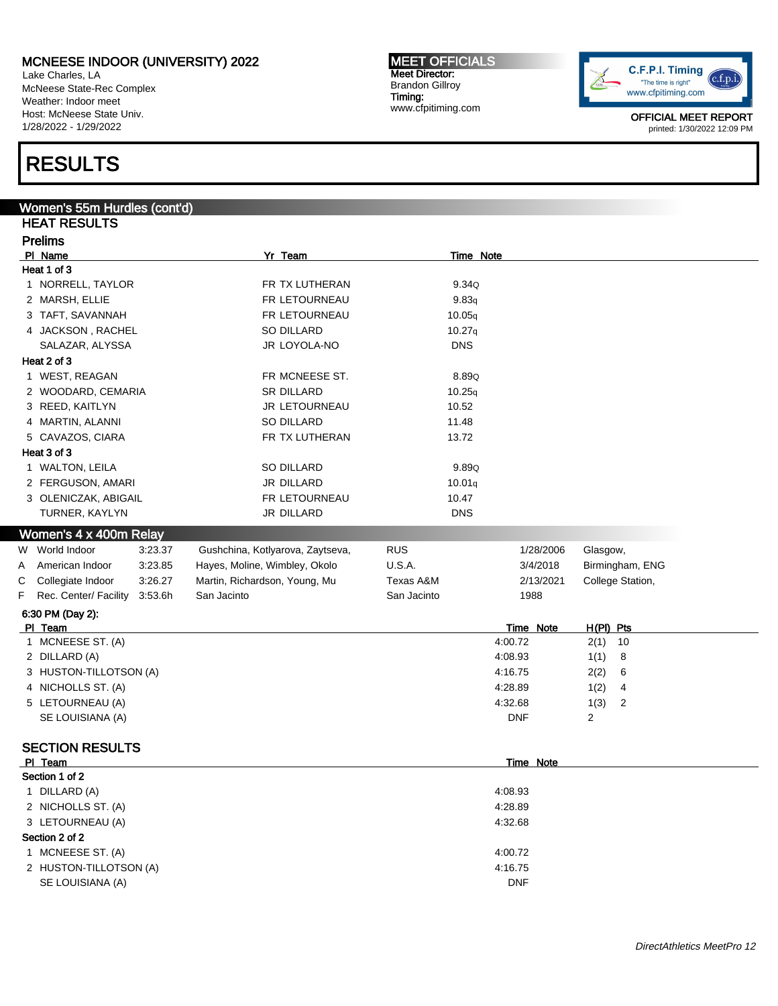Lake Charles, LA McNeese State-Rec Complex Weather: Indoor meet Host: McNeese State Univ. 1/28/2022 - 1/29/2022

# RESULTS

### Women's 55m Hurdles (cont'd) HEAT RESULTS Prelims PI Name **Note 2018** Yr Team **You are Set and Yr Team** Time Note Heat 1 of 3 1 NORRELL, TAYLOR **FR TX LUTHERAN** 9.34Q 2 MARSH, ELLIE **FR LETOURNEAU** 9.83<sub>q</sub> 3 TAFT, SAVANNAH **FR LETOURNEAU** 10.05<sub>q</sub> 4 JACKSON , RACHEL SO DILLARD SO DILLARD 10.27q SALAZAR, ALYSSA JR LOYOLA-NO DNS Heat 2 of 3 1 WEST, REAGAN 6.89Q 2 WOODARD, CEMARIA SR DILLARD 10.25q 3 REED, KAITLYN 10.52 4 MARTIN, ALANNI SO DILLARD 11.48 5 CAVAZOS, CIARA FR TX LUTHERAN 13.72 Heat 3 of 3 1 WALTON, LEILA 89.890 2 FERGUSON, AMARI JR DILLARD JR DILLARD 10.01q 3 OLENICZAK, ABIGAIL **FR LETOURNEAU** 10.47 TURNER, KAYLYN JR DILLARD DNS Women's 4 x 400m Relay W World Indoor 3:23.37 Gushchina, Kotlyarova, Zaytseva, RUS 1/28/2006 Glasgow, A American Indoor 3:23.85 Hayes, Moline, Wimbley, Okolo U.S.A. 3/4/2018 Birmingham, ENG C Collegiate Indoor 3:26.27 Martin, Richardson, Young, Mu Texas A&M 2/13/2021 College Station, F Rec. Center/ Facility 3:53.6h San Jacinto San Jacinto San Jacinto 1988 6:30 PM (Day 2): Pl Team Time Note H(Pl) Pts 1 MCNEESE ST. (A) 4:00.72 2(1) 10 2 DILLARD (A) 4:08.93 1(1) 8 3 HUSTON-TILLOTSON (A) 4:16.75 2(2) 6 4 NICHOLLS ST. (A) 4328.89 1(2) 4:28.89 1(2) 4 5 LETOURNEAU (A) 2 2 2 3 2 3 3 4:32.68 1(3) 2 4:32.68 1(3) 2 SE LOUISIANA (A) DNF 2 SECTION RESULTS Pl Team Time Note

|                        | 11110 1100 |  |
|------------------------|------------|--|
| Section 1 of 2         |            |  |
| 1 DILLARD (A)          | 4:08.93    |  |
| 2 NICHOLLS ST. (A)     | 4:28.89    |  |
| 3 LETOURNEAU (A)       | 4:32.68    |  |
| Section 2 of 2         |            |  |
| 1 MCNEESE ST. (A)      | 4:00.72    |  |
| 2 HUSTON-TILLOTSON (A) | 4:16.75    |  |
| SE LOUISIANA (A)       | <b>DNF</b> |  |
|                        |            |  |



MEET OFFICIALS Meet Director: Brandon Gillroy Timing:

www.cfpitiming.com

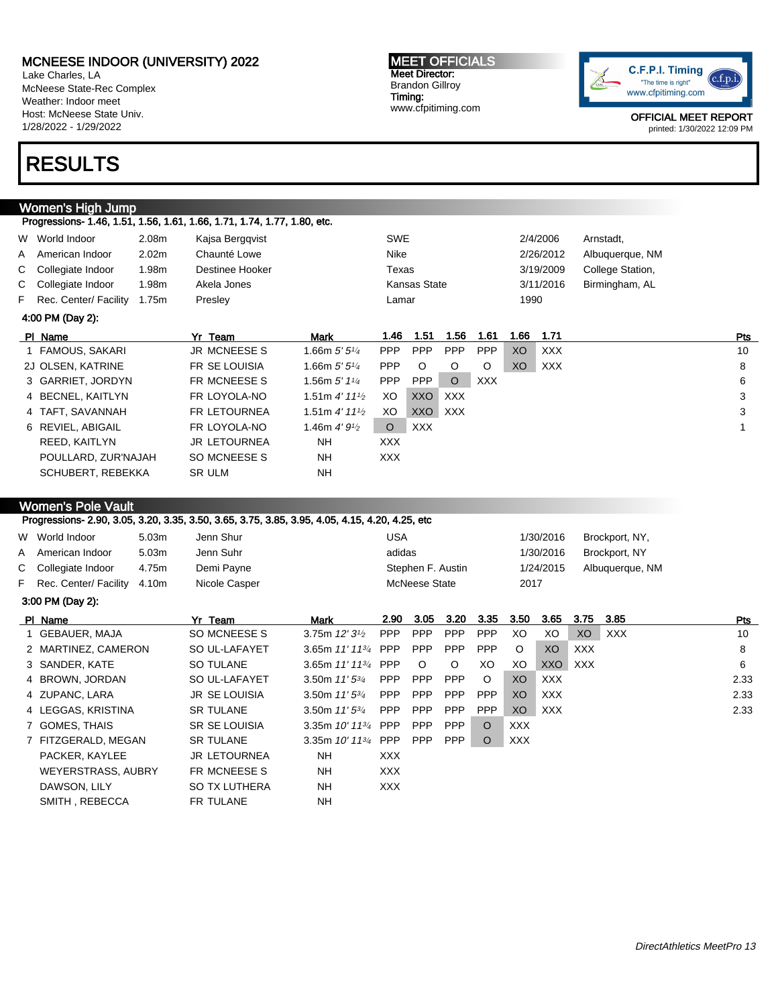Lake Charles, LA McNeese State-Rec Complex Weather: Indoor meet Host: McNeese State Univ. 1/28/2022 - 1/29/2022

# RESULTS

#### Women's High Jump Progressions- 1.46, 1.51, 1.56, 1.61, 1.66, 1.71, 1.74, 1.77, 1.80, etc.

| W World Indoor          | 2.08m             | Kajsa Berggvist | <b>SWE</b>   | 2/4/2006  | Arnstadt.        |
|-------------------------|-------------------|-----------------|--------------|-----------|------------------|
| A American Indoor       | 2.02 <sub>m</sub> | Chaunté Lowe    | Nike         | 2/26/2012 | Albuquerque, NM  |
| C Collegiate Indoor     | .98m              | Destinee Hooker | Texas        | 3/19/2009 | College Station, |
| C Collegiate Indoor     | .98m              | Akela Jones     | Kansas State | 3/11/2016 | Birmingham, AL   |
| F Rec. Center/ Facility | 1.75m             | Presley         | Lamar        | 1990      |                  |

| 4:00 PM (Day 2):    |                     |                                            |            |            |            |            |                |      |     |  |
|---------------------|---------------------|--------------------------------------------|------------|------------|------------|------------|----------------|------|-----|--|
| PI Name             | Yr Team             | Mark                                       | 1.46       | 1.51       | 1.56       | 1.61       | 1.66           | 1.71 | Pts |  |
| 1 FAMOUS, SAKARI    | <b>JR MCNEESE S</b> | 1.66m $5'5''_4$                            | <b>PPP</b> | <b>PPP</b> | <b>PPP</b> | <b>PPP</b> | X <sub>O</sub> | XXX  | 10  |  |
| 2J OLSEN, KATRINE   | FR SE LOUISIA       | 1.66m $5'5''$                              | <b>PPP</b> | $\circ$    | O          | O          | XO             | XXX  | 8   |  |
| 3 GARRIET, JORDYN   | FR MCNEESE S        | 1.56m $5'$ 1 $\frac{1}{4}$                 | <b>PPP</b> | PPP        | $\circ$    | <b>XXX</b> |                |      | 6   |  |
| 4 BECNEL, KAITLYN   | FR LOYOLA-NO        | 1.51m $4'$ 11 $\frac{1}{2}$                | XO         | XXO        | <b>XXX</b> |            |                |      | 3   |  |
| 4 TAFT, SAVANNAH    | <b>FR LETOURNEA</b> | 1.51 m $4'$ 11 <sup>1</sup> / <sub>2</sub> | XO         | <b>XXO</b> | XXX        |            |                |      | 3   |  |
| 6 REVIEL, ABIGAIL   | FR LOYOLA-NO        | 1.46m $4'9\frac{1}{2}$                     | $\circ$    | XXX        |            |            |                |      |     |  |
| REED, KAITLYN       | <b>JR LETOURNEA</b> | NΗ                                         | XXX.       |            |            |            |                |      |     |  |
| POULLARD, ZUR'NAJAH | SO MCNEESE S        | <b>NH</b>                                  | XXX.       |            |            |            |                |      |     |  |
| SCHUBERT, REBEKKA   | <b>SR ULM</b>       | <b>NH</b>                                  |            |            |            |            |                |      |     |  |

#### Women's Pole Vault

|    |                         |       | Progressions- 2.90, 3.05, 3.20, 3.35, 3.50, 3.65, 3.75, 3.85, 3.95, 4.05, 4.15, 4.20, 4.25, etc |                         |            |                      |            |            |            |            |            |                 |      |
|----|-------------------------|-------|-------------------------------------------------------------------------------------------------|-------------------------|------------|----------------------|------------|------------|------------|------------|------------|-----------------|------|
|    | W World Indoor          | 5.03m | Jenn Shur                                                                                       |                         | <b>USA</b> |                      |            |            |            | 1/30/2016  |            | Brockport, NY,  |      |
| A  | American Indoor         | 5.03m | Jenn Suhr                                                                                       |                         | adidas     |                      |            |            |            | 1/30/2016  |            | Brockport, NY   |      |
| C. | Collegiate Indoor       | 4.75m | Demi Payne                                                                                      |                         |            | Stephen F. Austin    |            |            |            | 1/24/2015  |            | Albuquerque, NM |      |
|    | F Rec. Center/ Facility | 4.10m | Nicole Casper                                                                                   |                         |            | <b>McNeese State</b> |            |            | 2017       |            |            |                 |      |
|    | 3:00 PM (Day 2):        |       |                                                                                                 |                         |            |                      |            |            |            |            |            |                 |      |
|    | PI Name                 |       | Yr Team                                                                                         | Mark                    | 2.90       | 3.05                 | 3.20       | 3.35       | 3.50       | 3.65       | 3.75       | 3.85            | Pts  |
|    | 1 GEBAUER, MAJA         |       | SO MCNEESE S                                                                                    | 3.75m $12'3^{1/2}$      | <b>PPP</b> | <b>PPP</b>           | <b>PPP</b> | <b>PPP</b> | XO         | XO         | XO         | <b>XXX</b>      | 10   |
|    | 2 MARTINEZ, CAMERON     |       | SO UL-LAFAYET                                                                                   | 3.65m $11'$ $11^{3}/$   | <b>PPP</b> | <b>PPP</b>           | <b>PPP</b> | <b>PPP</b> | $\circ$    | XO         | <b>XXX</b> |                 | 8    |
|    | 3 SANDER, KATE          |       | <b>SO TULANE</b>                                                                                | 3.65m $11'$ $11^{3}/_4$ | <b>PPP</b> | $\circ$              | O          | XO         | XO         | <b>XXO</b> | <b>XXX</b> |                 | 6    |
|    | 4 BROWN, JORDAN         |       | SO UL-LAFAYET                                                                                   | 3.50m $11'5^{3/4}$      | <b>PPP</b> | <b>PPP</b>           | <b>PPP</b> | $\circ$    | XO         | <b>XXX</b> |            |                 | 2.33 |
|    | 4 ZUPANC, LARA          |       | <b>JR SE LOUISIA</b>                                                                            | 3.50m $11'5^{3}/4$      | <b>PPP</b> | <b>PPP</b>           | <b>PPP</b> | <b>PPP</b> | XO         | <b>XXX</b> |            |                 | 2.33 |
|    | 4 LEGGAS, KRISTINA      |       | <b>SR TULANE</b>                                                                                | 3.50m $11'5^{3/4}$      | <b>PPP</b> | <b>PPP</b>           | <b>PPP</b> | <b>PPP</b> | XO         | <b>XXX</b> |            |                 | 2.33 |
|    | 7 GOMES, THAIS          |       | <b>SR SE LOUISIA</b>                                                                            | 3.35m $10'$ $11^{3/4}$  | <b>PPP</b> | <b>PPP</b>           | <b>PPP</b> | $\circ$    | <b>XXX</b> |            |            |                 |      |
|    | 7 FITZGERALD, MEGAN     |       | <b>SR TULANE</b>                                                                                | 3.35m $10'$ $11^{3}/_4$ | <b>PPP</b> | <b>PPP</b>           | <b>PPP</b> | $\circ$    | XXX        |            |            |                 |      |
|    | PACKER, KAYLEE          |       | <b>JR LETOURNEA</b>                                                                             | <b>NH</b>               | XXX        |                      |            |            |            |            |            |                 |      |
|    | WEYERSTRASS, AUBRY      |       | FR MCNEESE S                                                                                    | NH.                     | XXX.       |                      |            |            |            |            |            |                 |      |
|    | DAWSON, LILY            |       | <b>SO TX LUTHERA</b>                                                                            | NH.                     | XXX        |                      |            |            |            |            |            |                 |      |
|    | SMITH, REBECCA          |       | FR TULANE                                                                                       | <b>NH</b>               |            |                      |            |            |            |            |            |                 |      |

#### MEET OFFICIALS Meet Director: Brandon Gillroy Timing: www.cfpitiming.com

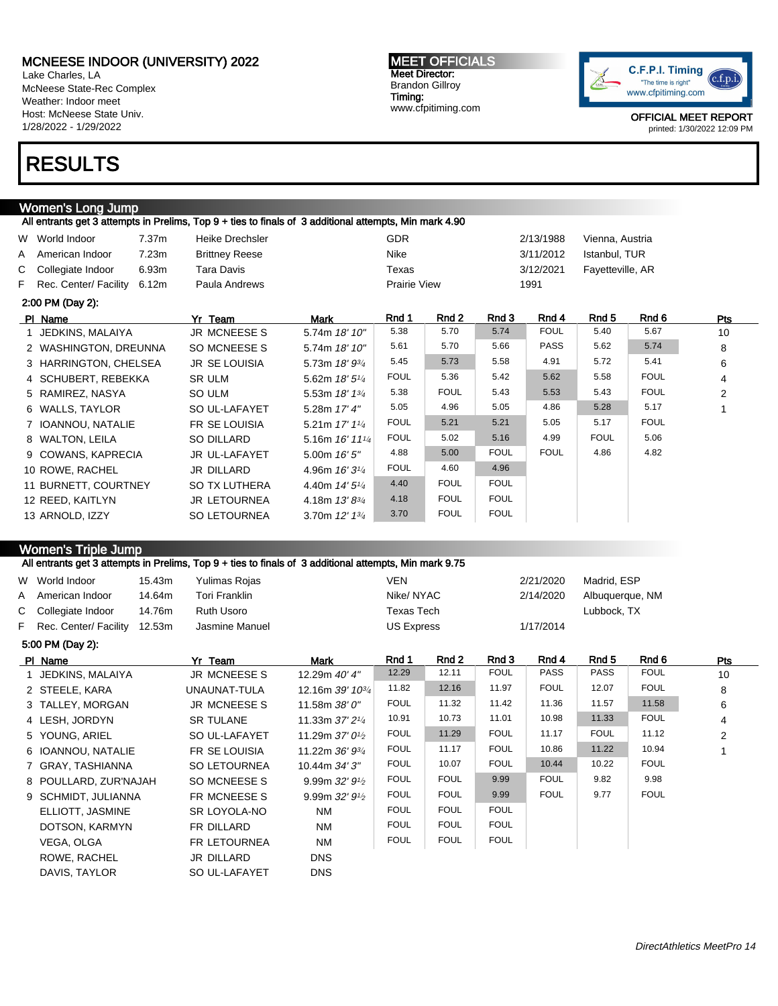Lake Charles, LA McNeese State-Rec Complex Weather: Indoor meet Host: McNeese State Univ. 1/28/2022 - 1/29/2022

# RESULTS

## Women's Long Jump

|   |                         |       | All entrants get 3 attempts in Prelims, Top 9 + ties to finals of 3 additional attempts, Min mark 4.90 |                                            |                     |             |             |             |                  |             |                |
|---|-------------------------|-------|--------------------------------------------------------------------------------------------------------|--------------------------------------------|---------------------|-------------|-------------|-------------|------------------|-------------|----------------|
|   | W World Indoor          | 7.37m | Heike Drechsler                                                                                        |                                            | <b>GDR</b>          |             |             | 2/13/1988   | Vienna, Austria  |             |                |
| A | American Indoor         | 7.23m | <b>Brittney Reese</b>                                                                                  |                                            | Nike                |             |             | 3/11/2012   | Istanbul, TUR    |             |                |
|   | C Collegiate Indoor     | 6.93m | Tara Davis                                                                                             |                                            | Texas               |             |             | 3/12/2021   | Fayetteville, AR |             |                |
|   | F Rec. Center/ Facility | 6.12m | Paula Andrews                                                                                          |                                            | <b>Prairie View</b> |             |             | 1991        |                  |             |                |
|   | 2:00 PM (Day 2):        |       |                                                                                                        |                                            |                     |             |             |             |                  |             |                |
|   | PI Name                 |       | Yr Team                                                                                                | Mark                                       | Rnd 1               | Rnd 2       | Rnd 3       | Rnd 4       | Rnd 5            | Rnd 6       | Pts            |
|   | 1 JEDKINS, MALAIYA      |       | <b>JR MCNEESES</b>                                                                                     | 5.74m 18' 10"                              | 5.38                | 5.70        | 5.74        | <b>FOUL</b> | 5.40             | 5.67        | 10             |
|   | 2 WASHINGTON, DREUNNA   |       | SO MCNEESE S                                                                                           | 5.74m 18' 10"                              | 5.61                | 5.70        | 5.66        | <b>PASS</b> | 5.62             | 5.74        | 8              |
|   | 3 HARRINGTON, CHELSEA   |       | <b>JR SE LOUISIA</b>                                                                                   | 5.73m 18' 93/4                             | 5.45                | 5.73        | 5.58        | 4.91        | 5.72             | 5.41        | 6              |
|   | 4 SCHUBERT, REBEKKA     |       | SR ULM                                                                                                 | 5.62m $18'5''$                             | <b>FOUL</b>         | 5.36        | 5.42        | 5.62        | 5.58             | <b>FOUL</b> | 4              |
|   | 5 RAMIREZ, NASYA        |       | SO ULM                                                                                                 | 5.53m $18'1^{3/4}$                         | 5.38                | <b>FOUL</b> | 5.43        | 5.53        | 5.43             | <b>FOUL</b> | $\overline{2}$ |
|   | 6 WALLS, TAYLOR         |       | SO UL-LAFAYET                                                                                          | 5.28m 17' 4"                               | 5.05                | 4.96        | 5.05        | 4.86        | 5.28             | 5.17        |                |
|   | 7 IOANNOU, NATALIE      |       | FR SE LOUISIA                                                                                          | 5.21m $17'1'4$                             | <b>FOUL</b>         | 5.21        | 5.21        | 5.05        | 5.17             | <b>FOUL</b> |                |
|   | 8 WALTON, LEILA         |       | SO DILLARD                                                                                             | 5.16m $16'$ 11 <sup>1</sup> / <sub>4</sub> | <b>FOUL</b>         | 5.02        | 5.16        | 4.99        | <b>FOUL</b>      | 5.06        |                |
|   | 9 COWANS, KAPRECIA      |       | JR UL-LAFAYET                                                                                          | 5.00m 16' 5"                               | 4.88                | 5.00        | <b>FOUL</b> | <b>FOUL</b> | 4.86             | 4.82        |                |
|   | 10 ROWE, RACHEL         |       | <b>JR DILLARD</b>                                                                                      | 4.96m $16'3'4$                             | <b>FOUL</b>         | 4.60        | 4.96        |             |                  |             |                |
|   | 11 BURNETT, COURTNEY    |       | <b>SO TX LUTHERA</b>                                                                                   | 4.40m $14'5''$                             | 4.40                | <b>FOUL</b> | <b>FOUL</b> |             |                  |             |                |
|   | 12 REED, KAITLYN        |       | <b>JR LETOURNEA</b>                                                                                    | 4.18m $13'8^{3/4}$                         | 4.18                | <b>FOUL</b> | <b>FOUL</b> |             |                  |             |                |
|   | 13 ARNOLD, IZZY         |       | SO LETOURNEA                                                                                           | 3.70m $12'$ $13'$                          | 3.70                | <b>FOUL</b> | <b>FOUL</b> |             |                  |             |                |

### Women's Triple Jump

All entrants get 3 attempts in Prelims, Top 9 + ties to finals of 3 additional attempts, Min mark 9.75

|   | W World Indoor          | 15.43m | Yulimas Rojas       |                              | <b>VEN</b>        |             |             | 2/21/2020   | Madrid, ESP     |             |     |
|---|-------------------------|--------|---------------------|------------------------------|-------------------|-------------|-------------|-------------|-----------------|-------------|-----|
| A | American Indoor         | 14.64m | Tori Franklin       |                              | Nike/NYAC         |             |             | 2/14/2020   | Albuquerque, NM |             |     |
|   | C Collegiate Indoor     | 14.76m | Ruth Usoro          |                              | Texas Tech        |             |             |             | Lubbock, TX     |             |     |
|   | F Rec. Center/ Facility | 12.53m | Jasmine Manuel      |                              | <b>US Express</b> |             |             | 1/17/2014   |                 |             |     |
|   | 5:00 PM (Day 2):        |        |                     |                              |                   |             |             |             |                 |             |     |
|   | PI Name                 |        | Yr Team             | Mark                         | Rnd 1             | Rnd 2       | Rnd 3       | Rnd 4       | Rnd 5           | Rnd 6       | Pts |
|   | 1 JEDKINS, MALAIYA      |        | <b>JR MCNEESES</b>  | 12.29m 40' 4"                | 12.29             | 12.11       | <b>FOUL</b> | <b>PASS</b> | <b>PASS</b>     | <b>FOUL</b> | 10  |
|   | 2 STEELE, KARA          |        | UNAUNAT-TULA        | 12.16m 39' 10 <sup>3/4</sup> | 11.82             | 12.16       | 11.97       | <b>FOUL</b> | 12.07           | <b>FOUL</b> | 8   |
|   | 3 TALLEY, MORGAN        |        | JR MCNEESE S        | 11.58m 38' 0"                | <b>FOUL</b>       | 11.32       | 11.42       | 11.36       | 11.57           | 11.58       | 6   |
|   | 4 LESH, JORDYN          |        | <b>SR TULANE</b>    | 11.33m 37' 21/4              | 10.91             | 10.73       | 11.01       | 10.98       | 11.33           | <b>FOUL</b> | 4   |
|   | 5 YOUNG, ARIEL          |        | SO UL-LAFAYET       | 11.29m 37' 0 <sup>1/2</sup>  | <b>FOUL</b>       | 11.29       | <b>FOUL</b> | 11.17       | <b>FOUL</b>     | 11.12       | 2   |
|   | 6 IOANNOU, NATALIE      |        | FR SE LOUISIA       | 11.22m 36' 93/4              | <b>FOUL</b>       | 11.17       | <b>FOUL</b> | 10.86       | 11.22           | 10.94       |     |
|   | 7 GRAY, TASHIANNA       |        | <b>SO LETOURNEA</b> | 10.44m 34' 3"                | <b>FOUL</b>       | 10.07       | <b>FOUL</b> | 10.44       | 10.22           | <b>FOUL</b> |     |
|   | 8 POULLARD, ZUR'NAJAH   |        | SO MCNEESE S        | 9.99m $32'9'$                | <b>FOUL</b>       | <b>FOUL</b> | 9.99        | <b>FOUL</b> | 9.82            | 9.98        |     |
|   | 9 SCHMIDT, JULIANNA     |        | FR MCNEESE S        | 9.99m $32'$ $9\frac{1}{2}$   | <b>FOUL</b>       | <b>FOUL</b> | 9.99        | <b>FOUL</b> | 9.77            | <b>FOUL</b> |     |
|   | ELLIOTT, JASMINE        |        | SR LOYOLA-NO        | <b>NM</b>                    | <b>FOUL</b>       | <b>FOUL</b> | <b>FOUL</b> |             |                 |             |     |
|   | DOTSON, KARMYN          |        | FR DILLARD          | NM                           | <b>FOUL</b>       | <b>FOUL</b> | <b>FOUL</b> |             |                 |             |     |
|   | VEGA, OLGA              |        | FR LETOURNEA        | <b>NM</b>                    | <b>FOUL</b>       | <b>FOUL</b> | <b>FOUL</b> |             |                 |             |     |
|   | ROWE, RACHEL            |        | JR DILLARD          | <b>DNS</b>                   |                   |             |             |             |                 |             |     |
|   | DAVIS, TAYLOR           |        | SO UL-LAFAYET       | <b>DNS</b>                   |                   |             |             |             |                 |             |     |
|   |                         |        |                     |                              |                   |             |             |             |                 |             |     |

#### MEET OFFICIALS Meet Director: Brandon Gillroy Timing: www.cfpitiming.com

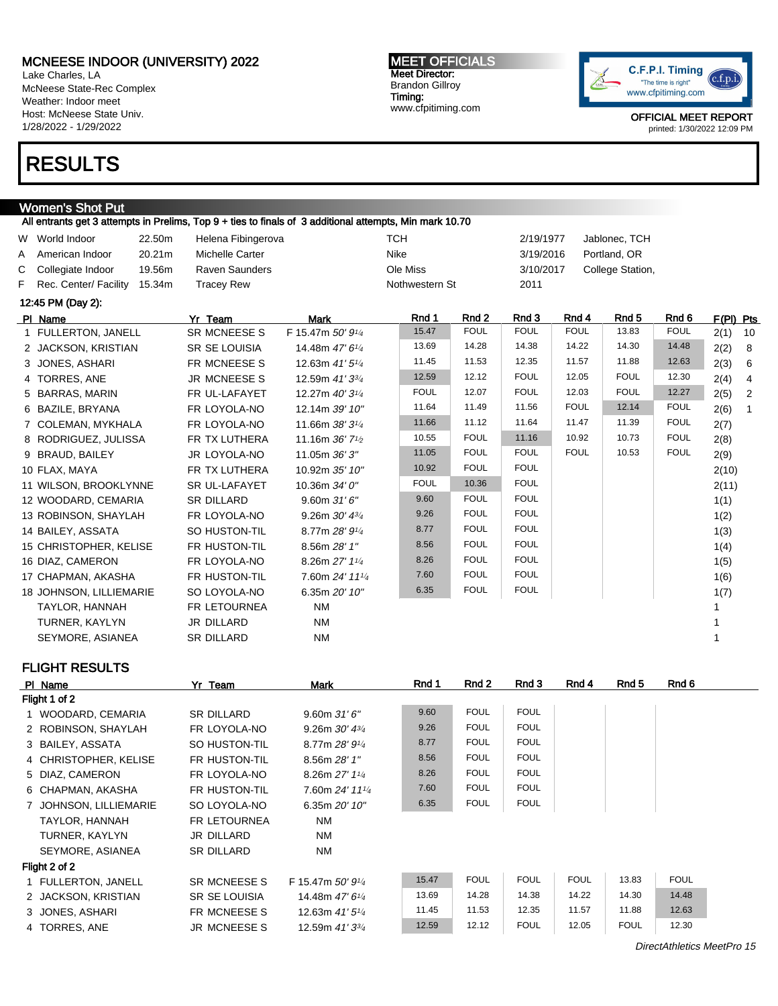Lake Charles, LA McNeese State-Rec Complex Weather: Indoor meet Host: McNeese State Univ. 1/28/2022 - 1/29/2022

# RESULTS

### Women's Shot Put

All entrants get 3 attempts in Prelims, Top 9 + ties to finals of 3 additional attempts, Min mark 10.70 W World Indoor and 22.50m Helena Fibingerova and a CH 2/19/1977 Jablonec, TCH A American Indoor 20.21m Michelle Carter Nike Nike 3/19/2016 Portland, OR C Collegiate Indoor 19.56m Raven Saunders Ole Miss Ole Miss 3/10/2017 College Station, F Rec. Center/ Facility 15.34m Tracey Rew Nothwestern St 2011 12:45 PM (Day 2): PIName Yr Team Mark Rnd 1 Rnd 2 Rnd 3 Rnd 4 Rnd 5 Rnd 6 F(Pl) Pts 1 FULLERTON, JANELL SR MCNEESE S F 15.47m 50' 91/<sup>4</sup> 15.47 FOUL FOUL FOUL 13.83 FOUL 2(1) 10 2 JACKSON, KRISTIAN SR SE LOUISIA 14.48m 47' 6<sup>1/4</sup> 13.69 14.28 14.38 14.22 14.30 14.48 2(2) 8 3 JONES, ASHARI FR MCNEESE S 12.63m 41' 51/<sup>4</sup> 11.45 11.53 12.35 11.57 11.88 12.63 2(3) 6 4 TORRES, ANE JR MCNEESE S 12.59m 41' 33/<sup>4</sup> 12.59 12.12 FOUL 12.05 FOUL 12.30 2(4) 4 5 BARRAS, MARIN FR UL-LAFAYET 12.27m 40' 314 FOUL 12.07 FOUL 12.03 FOUL 12.27 2(5) 2 6 BAZILE, BRYANA FR LOYOLA-NO 12.14m 39' 10" 11.64 11.49 11.56 FOUL 12.14 FOUL 2(6) 1 7 COLEMAN, MYKHALA FR LOYOLA-NO 11.66m 38' 3<sup>1/4</sup> 11.66 11.12 11.64 11.47 11.39 FOUL 2(7) 8 RODRIGUEZ, JULISSA FR TX LUTHERA 11.16m 36' 7<sup>1</sup>/2 10.55 FOUL 11.16 10.92 10.73 FOUL 2(8) 9 BRAUD, BAILEY JR LOYOLA-NO 11.05m 36' 3" 11.05 FOUL FOUL FOUL 10.53 FOUL 2(9) 10 FLAX, MAYA FR TX LUTHERA 10.92m 35' 10" 10.92 FOUL FOUL  $\vert$  FOUL 2(10) 11 WILSON, BROOKLYNNE SR UL-LAFAYET 10.36m 34' 0" FOUL 10.36 FOUL 10.36 FOUL 2(11) 12 WOODARD, CEMARIA SR DILLARD 9.60m 31' 6" 9.60 FOUL FOUL 1(1) 13 ROBINSON, SHAYLAH FR LOYOLA-NO 9.26m 30' 43/4 9.26 FOUL FOUL 1(2) 14 BAILEY, ASSATA SO HUSTON-TIL 8.77m 28' 91/4 8.77 FOUL FOUL 1(3) 15 CHRISTOPHER, KELISE FR HUSTON-TIL 8.56m 28' 1" 8.56 FOUL FOUL 1(4) 16 DIAZ, CAMERON FR LOYOLA-NO 8.26m 27' 11/<sup>4</sup> 8.26 FOUL FOUL 1(5) 17 CHAPMAN, AKASHA FR HUSTON-TIL 7.60m 24' 11<sup>1</sup>/4 7.60 FOUL FOUL 1(6) 18 JOHNSON, LILLIEMARIE SO LOYOLA-NO 6.35m 20' 10" 6.35 FOUL FOUL 1(7) TAYLOR, HANNAH FR LETOURNEA NM 1999 EXAMPLE TAYLOR, HANNAH 1 TURNER, KAYLYN JR DILLARD NM 1 SEYMORE, ASIANEA SR DILLARD NM 1

FLIGHT RESULTS

| PI Name               | Yr Team              | Mark                        | Rnd 1 | Rnd 2       | Rnd 3       | Rnd 4       | Rnd 5       | Rnd 6       |
|-----------------------|----------------------|-----------------------------|-------|-------------|-------------|-------------|-------------|-------------|
| Flight 1 of 2         |                      |                             |       |             |             |             |             |             |
| WOODARD, CEMARIA      | SR DILLARD           | 9.60m31'6''                 | 9.60  | <b>FOUL</b> | <b>FOUL</b> |             |             |             |
| 2 ROBINSON, SHAYLAH   | FR LOYOLA-NO         | 9.26m $30'$ $4\frac{3}{4}$  | 9.26  | <b>FOUL</b> | <b>FOUL</b> |             |             |             |
| 3 BAILEY, ASSATA      | SO HUSTON-TIL        | 8.77m $28'9'4$              | 8.77  | <b>FOUL</b> | <b>FOUL</b> |             |             |             |
| 4 CHRISTOPHER, KELISE | FR HUSTON-TIL        | 8.56m 28' 1"                | 8.56  | <b>FOUL</b> | <b>FOUL</b> |             |             |             |
| 5 DIAZ, CAMERON       | FR LOYOLA-NO         | 8.26m $27'$ 1 $\frac{1}{4}$ | 8.26  | <b>FOUL</b> | <b>FOUL</b> |             |             |             |
| 6 CHAPMAN, AKASHA     | FR HUSTON-TIL        | 7.60m 24' 111/4             | 7.60  | <b>FOUL</b> | <b>FOUL</b> |             |             |             |
| JOHNSON, LILLIEMARIE  | SO LOYOLA-NO         | 6.35m 20' 10"               | 6.35  | <b>FOUL</b> | <b>FOUL</b> |             |             |             |
| TAYLOR, HANNAH        | <b>FR LETOURNEA</b>  | <b>NM</b>                   |       |             |             |             |             |             |
| TURNER, KAYLYN        | <b>JR DILLARD</b>    | NM                          |       |             |             |             |             |             |
| SEYMORE, ASIANEA      | <b>SR DILLARD</b>    | <b>NM</b>                   |       |             |             |             |             |             |
| Flight 2 of 2         |                      |                             |       |             |             |             |             |             |
| 1 FULLERTON, JANELL   | SR MCNEESE S         | F 15.47m $50'9'4$           | 15.47 | <b>FOUL</b> | <b>FOUL</b> | <b>FOUL</b> | 13.83       | <b>FOUL</b> |
| 2 JACKSON, KRISTIAN   | <b>SR SE LOUISIA</b> | 14.48m $47'6''_4$           | 13.69 | 14.28       | 14.38       | 14.22       | 14.30       | 14.48       |
| 3 JONES, ASHARI       | FR MCNEESE S         | 12.63m $41'5\frac{1}{4}$    | 11.45 | 11.53       | 12.35       | 11.57       | 11.88       | 12.63       |
| 4 TORRES, ANE         | <b>JR MCNEESE S</b>  | 12.59m 41' 3 <sup>3/4</sup> | 12.59 | 12.12       | <b>FOUL</b> | 12.05       | <b>FOUL</b> | 12.30       |

MEET OFFICIALS Meet Director: Brandon Gillroy Timing: www.cfpitiming.com



OFFICIAL MEET REPORT printed: 1/30/2022 12:09 PM

DirectAthletics MeetPro 15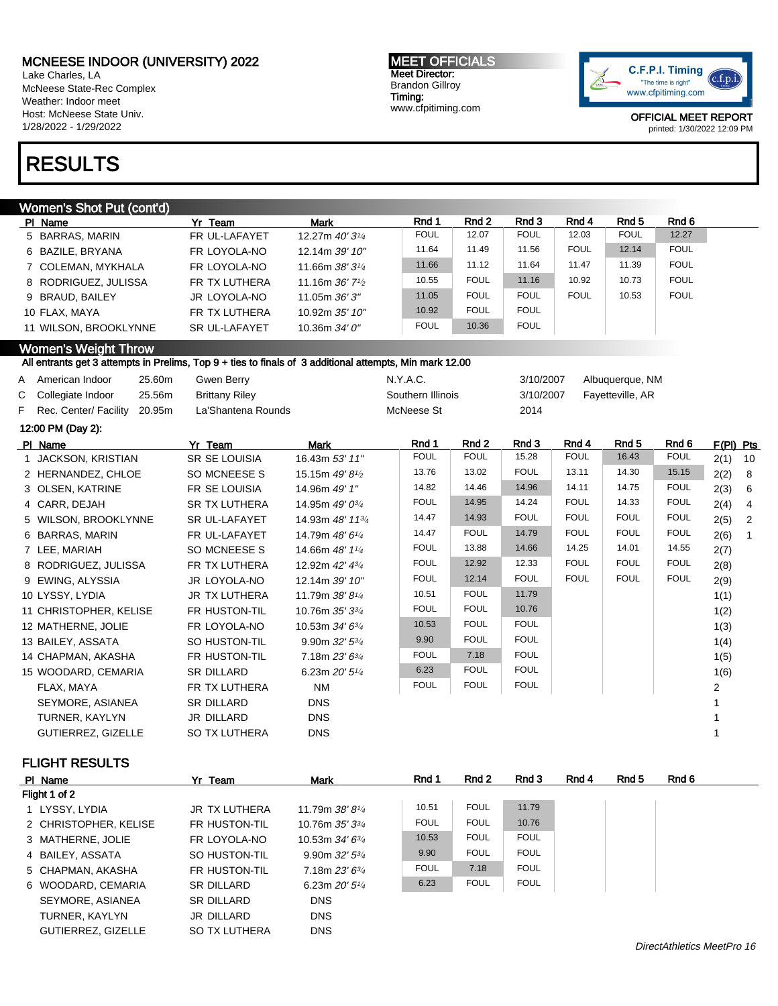Lake Charles, LA McNeese State-Rec Complex Weather: Indoor meet Host: McNeese State Univ. 1/28/2022 - 1/29/2022

# RESULTS

#### Women's Shot Put (cont'd)

| PI Name               | Yr Team              | <b>Mark</b>                                | Rnd 1       | Rnd 2       | Rnd 3       | Rnd 4       | Rnd 5       | Rnd 6       |
|-----------------------|----------------------|--------------------------------------------|-------------|-------------|-------------|-------------|-------------|-------------|
| 5 BARRAS, MARIN       | FR UL-LAFAYET        | 12.27m $40'3^{1/4}$                        | <b>FOUL</b> | 12.07       | <b>FOUL</b> | 12.03       | <b>FOUL</b> | 12.27       |
| 6 BAZILE, BRYANA      | FR LOYOLA-NO         | 12.14m 39' 10"                             | 11.64       | 11.49       | 11.56       | <b>FOUL</b> | 12.14       | <b>FOUL</b> |
| 7 COLEMAN, MYKHALA    | FR LOYOLA-NO         | 11.66m $38'3^{1/4}$                        | 11.66       | 11.12       | 11.64       | 11.47       | 11.39       | <b>FOUL</b> |
| 8 RODRIGUEZ, JULISSA  | FR TX LUTHERA        | 11.16m $36'$ 7 <sup>1</sup> / <sub>2</sub> | 10.55       | <b>FOUL</b> | 11.16       | 10.92       | 10.73       | <b>FOUL</b> |
| 9 BRAUD, BAILEY       | JR LOYOLA-NO         | 11.05m 36' 3"                              | 11.05       | <b>FOUL</b> | <b>FOUL</b> | <b>FOUL</b> | 10.53       | <b>FOUL</b> |
| 10 FLAX. MAYA         | FR TX LUTHERA        | 10.92m 35' 10"                             | 10.92       | <b>FOUL</b> | <b>FOUL</b> |             |             |             |
| 11 WILSON, BROOKLYNNE | <b>SR UL-LAFAYET</b> | 10.36m 34' 0"                              | <b>FOUL</b> | 10.36       | <b>FOUL</b> |             |             |             |

MEET OFFICIALS Meet Director: Brandon Gillroy Timing:

www.cfpitiming.com

#### Women's Weight Throw

#### All entrants get 3 attempts in Prelims, Top 9 + ties to finals of 3 additional attempts, Min mark 12.00

| A American Indoor              | 25.60m | Gwen Berry            | N.Y.A.C.          | 3/10/2007 | Albuquerque, NM  |
|--------------------------------|--------|-----------------------|-------------------|-----------|------------------|
| C Collegiate Indoor            | 25.56m | <b>Brittany Riley</b> | Southern Illinois | 3/10/2007 | Fayetteville, AR |
| F Rec. Center/ Facility 20.95m |        | La'Shantena Rounds    | McNeese St        | 2014      |                  |
| 12:00 PM (Day 2):              |        |                       |                   |           |                  |

| PI Name                   | Yr Team              | Mark                         | Rnd 1       | Rnd 2       | Rnd 3       | Rnd 4       | Rnd 5       | Rnd 6       | F(PI) Pts |                 |
|---------------------------|----------------------|------------------------------|-------------|-------------|-------------|-------------|-------------|-------------|-----------|-----------------|
| 1 JACKSON, KRISTIAN       | SR SE LOUISIA        | 16.43m 53' 11"               | <b>FOUL</b> | <b>FOUL</b> | 15.28       | <b>FOUL</b> | 16.43       | <b>FOUL</b> | $2(1)$ 10 |                 |
| 2 HERNANDEZ, CHLOE        | SO MCNEESE S         | 15.15m 49'8 <sup>1</sup> /2  | 13.76       | 13.02       | <b>FOUL</b> | 13.11       | 14.30       | 15.15       | 2(2)      | 8 <sup>8</sup>  |
| 3 OLSEN, KATRINE          | FR SE LOUISIA        | 14.96m 49' 1"                | 14.82       | 14.46       | 14.96       | 14.11       | 14.75       | <b>FOUL</b> | 2(3)      | $6\overline{6}$ |
| 4 CARR, DEJAH             | <b>SR TX LUTHERA</b> | 14.95m 49' 0 <sup>3/4</sup>  | <b>FOUL</b> | 14.95       | 14.24       | <b>FOUL</b> | 14.33       | <b>FOUL</b> | 2(4)      | $\overline{4}$  |
| 5 WILSON, BROOKLYNNE      | <b>SR UL-LAFAYET</b> | 14.93m 48' 11 <sup>3/4</sup> | 14.47       | 14.93       | <b>FOUL</b> | <b>FOUL</b> | <b>FOUL</b> | <b>FOUL</b> | 2(5)      | $\overline{2}$  |
| 6 BARRAS, MARIN           | FR UL-LAFAYET        | 14.79m 48' 61/4              | 14.47       | <b>FOUL</b> | 14.79       | <b>FOUL</b> | <b>FOUL</b> | <b>FOUL</b> | 2(6)      | $\overline{1}$  |
| 7 LEE, MARIAH             | SO MCNEESE S         | 14.66m 48' 11/4              | <b>FOUL</b> | 13.88       | 14.66       | 14.25       | 14.01       | 14.55       | 2(7)      |                 |
| 8 RODRIGUEZ, JULISSA      | FR TX LUTHERA        | 12.92m 42' 4 <sup>3/4</sup>  | <b>FOUL</b> | 12.92       | 12.33       | <b>FOUL</b> | <b>FOUL</b> | <b>FOUL</b> | 2(8)      |                 |
| 9 EWING, ALYSSIA          | JR LOYOLA-NO         | 12.14m 39' 10"               | <b>FOUL</b> | 12.14       | <b>FOUL</b> | <b>FOUL</b> | <b>FOUL</b> | <b>FOUL</b> | 2(9)      |                 |
| 10 LYSSY, LYDIA           | JR TX LUTHERA        | 11.79m $38'8'4$              | 10.51       | <b>FOUL</b> | 11.79       |             |             |             | 1(1)      |                 |
| 11 CHRISTOPHER, KELISE    | FR HUSTON-TIL        | 10.76m $35'3^{3}/4$          | <b>FOUL</b> | <b>FOUL</b> | 10.76       |             |             |             | 1(2)      |                 |
| 12 MATHERNE, JOLIE        | FR LOYOLA-NO         | 10.53m $34'6^{3/4}$          | 10.53       | <b>FOUL</b> | <b>FOUL</b> |             |             |             | 1(3)      |                 |
| 13 BAILEY, ASSATA         | SO HUSTON-TIL        | 9.90m $32'$ $5\frac{3}{4}$   | 9.90        | <b>FOUL</b> | <b>FOUL</b> |             |             |             | 1(4)      |                 |
| 14 CHAPMAN, AKASHA        | FR HUSTON-TIL        | 7.18m $23'6^{3/4}$           | <b>FOUL</b> | 7.18        | <b>FOUL</b> |             |             |             | 1(5)      |                 |
| 15 WOODARD, CEMARIA       | <b>SR DILLARD</b>    | 6.23m $20'5''$               | 6.23        | <b>FOUL</b> | <b>FOUL</b> |             |             |             | 1(6)      |                 |
| FLAX, MAYA                | FR TX LUTHERA        | <b>NM</b>                    | <b>FOUL</b> | <b>FOUL</b> | <b>FOUL</b> |             |             |             | 2         |                 |
| SEYMORE, ASIANEA          | <b>SR DILLARD</b>    | <b>DNS</b>                   |             |             |             |             |             |             |           |                 |
| TURNER, KAYLYN            | JR DILLARD           | <b>DNS</b>                   |             |             |             |             |             |             |           |                 |
| <b>GUTIERREZ, GIZELLE</b> | <b>SO TX LUTHERA</b> | <b>DNS</b>                   |             |             |             |             |             |             |           |                 |

#### FLIGHT RESULTS

| PI Name               | Yr Team              | Mark                    | Rnd 1       | Rnd 2       | Rnd 3       | Rnd 4 | Rnd 5 | Rnd 6 |
|-----------------------|----------------------|-------------------------|-------------|-------------|-------------|-------|-------|-------|
| Flight 1 of 2         |                      |                         |             |             |             |       |       |       |
| 1 LYSSY, LYDIA        | <b>JR TX LUTHERA</b> | 11.79m $38'8''$         | 10.51       | <b>FOUL</b> | 11.79       |       |       |       |
| 2 CHRISTOPHER, KELISE | FR HUSTON-TIL        | 10.76m $35'3^{3}/4$     | <b>FOUL</b> | <b>FOUL</b> | 10.76       |       |       |       |
| 3 MATHERNE, JOLIE     | FR LOYOLA-NO         | 10.53m $34'6^{3}/4$     | 10.53       | <b>FOUL</b> | <b>FOUL</b> |       |       |       |
| 4 BAILEY, ASSATA      | SO HUSTON-TIL        | 9.90m $32'5^{3}/4$      | 9.90        | <b>FOUL</b> | <b>FOUL</b> |       |       |       |
| 5 CHAPMAN, AKASHA     | FR HUSTON-TIL        | 7.18m $23'6^{3}/4$      | <b>FOUL</b> | 7.18        | <b>FOUL</b> |       |       |       |
| 6 WOODARD, CEMARIA    | SR DILLARD           | 6.23m $20'5\frac{1}{4}$ | 6.23        | <b>FOUL</b> | <b>FOUL</b> |       |       |       |
| SEYMORE, ASIANEA      | SR DILLARD           | <b>DNS</b>              |             |             |             |       |       |       |
| TURNER, KAYLYN        | JR DILLARD           | <b>DNS</b>              |             |             |             |       |       |       |
| GUTIERREZ, GIZELLE    | SO TX LUTHERA        | <b>DNS</b>              |             |             |             |       |       |       |

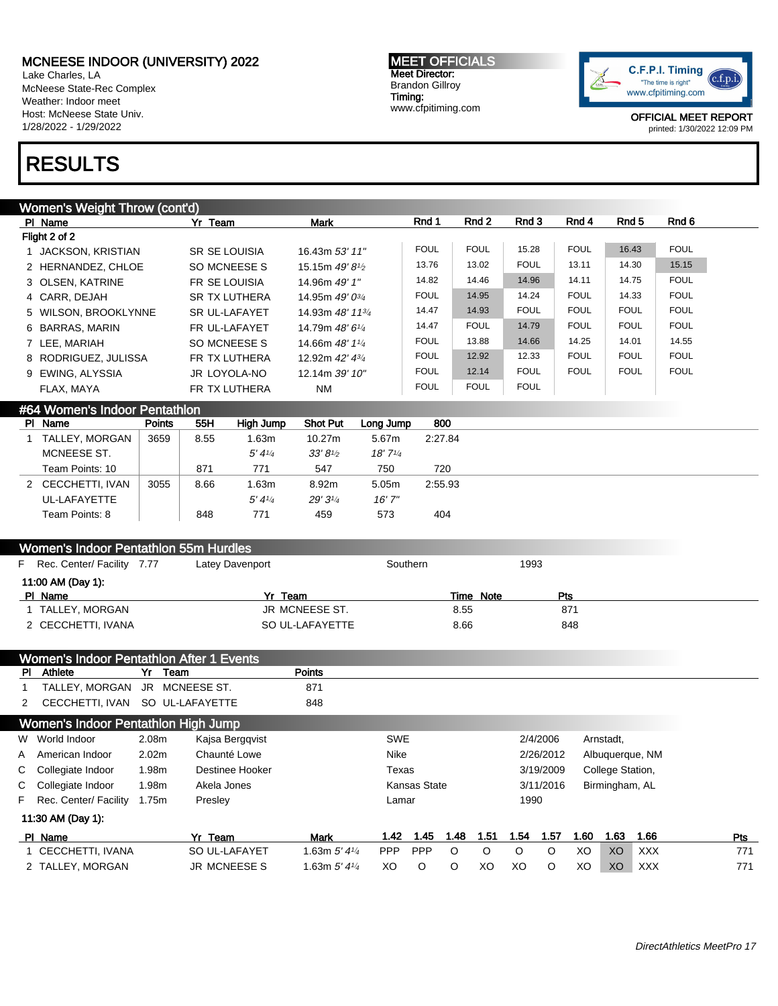Lake Charles, LA McNeese State-Rec Complex Weather: Indoor meet Host: McNeese State Univ. 1/28/2022 - 1/29/2022

# RESULTS

#### MEET OFFICIALS Meet Director: Brandon Gillroy Timing: www.cfpitiming.com



OFFICIAL MEET REPORT printed: 1/30/2022 12:09 PM

| Women's Weight Throw (cont'd) |                      |                              |             |             |             |             |             |             |
|-------------------------------|----------------------|------------------------------|-------------|-------------|-------------|-------------|-------------|-------------|
| PI Name                       | Yr Team              | <b>Mark</b>                  | Rnd 1       | Rnd 2       | Rnd 3       | Rnd 4       | Rnd 5       | Rnd 6       |
| Flight 2 of 2                 |                      |                              |             |             |             |             |             |             |
| 1 JACKSON, KRISTIAN           | SR SE LOUISIA        | 16.43m 53' 11"               | <b>FOUL</b> | <b>FOUL</b> | 15.28       | <b>FOUL</b> | 16.43       | <b>FOUL</b> |
| 2 HERNANDEZ, CHLOE            | SO MCNEESE S         | 15.15m $49'8\%$              | 13.76       | 13.02       | <b>FOUL</b> | 13.11       | 14.30       | 15.15       |
| 3 OLSEN, KATRINE              | FR SE LOUISIA        | 14.96m 49' 1"                | 14.82       | 14.46       | 14.96       | 14.11       | 14.75       | <b>FOUL</b> |
| 4 CARR, DEJAH                 | <b>SR TX LUTHERA</b> | 14.95m $49'0^{3}/4$          | <b>FOUL</b> | 14.95       | 14.24       | <b>FOUL</b> | 14.33       | <b>FOUL</b> |
| 5 WILSON, BROOKLYNNE          | <b>SR UL-LAFAYET</b> | 14.93m 48' 11 <sup>3/4</sup> | 14.47       | 14.93       | <b>FOUL</b> | <b>FOUL</b> | <b>FOUL</b> | <b>FOUL</b> |
| 6 BARRAS, MARIN               | FR UL-LAFAYET        | 14.79m 48' 61/4              | 14.47       | <b>FOUL</b> | 14.79       | <b>FOUL</b> | <b>FOUL</b> | <b>FOUL</b> |
| 7 LEE, MARIAH                 | SO MCNEESE S         | 14.66m $48'$ 1 $\frac{1}{4}$ | <b>FOUL</b> | 13.88       | 14.66       | 14.25       | 14.01       | 14.55       |
| 8 RODRIGUEZ, JULISSA          | FR TX LUTHERA        | 12.92m 42' 434               | <b>FOUL</b> | 12.92       | 12.33       | <b>FOUL</b> | <b>FOUL</b> | <b>FOUL</b> |
| 9 EWING, ALYSSIA              | JR LOYOLA-NO         | 12.14m $39'10''$             | <b>FOUL</b> | 12.14       | <b>FOUL</b> | <b>FOUL</b> | <b>FOUL</b> | <b>FOUL</b> |
| FLAX. MAYA                    | FR TX LUTHERA        | <b>NM</b>                    | <b>FOUL</b> | <b>FOUL</b> | <b>FOUL</b> |             |             |             |
|                               |                      |                              |             |             |             |             |             |             |

### #64 Women's Indoor Pentathlon

| PI Name           | <b>Points</b> | 55H  | High Jump | <b>Shot Put</b>   | Long Jump | 800     |
|-------------------|---------------|------|-----------|-------------------|-----------|---------|
| TALLEY, MORGAN    | 3659          | 8.55 | 1.63m     | 10.27m            | 5.67m     | 2:27.84 |
| MCNEESE ST.       |               |      | 5'4''     | $33'8\frac{1}{2}$ | 18'7'4    |         |
| Team Points: 10   |               | 871  | 771       | 547               | 750       | 720     |
| 2 CECCHETTI, IVAN | 3055          | 8.66 | 1.63m     | 8.92m             | 5.05m     | 2:55.93 |
| UL-LAFAYETTE      |               |      | 5'4''     | 29'3''            | 16'7''    |         |
| Team Points: 8    |               | 848  | 771       | 459               | 573       | 404     |

#### Women's Indoor Pentathlon 55m Hurdles

| F Rec. Center/ Facility 7.77 | Latey Davenport | Southern  | 1993 |
|------------------------------|-----------------|-----------|------|
| 11:00 AM (Day 1):            |                 |           |      |
| PI Name                      | Yr<br>Team      | Time Note | Pts  |
| TALLEY, MORGAN               | JR MCNEESE ST.  | 8.55      | 871  |
| 2 CECCHETTI, IVANA           | SO UL-LAFAYETTE | 8.66      | 848  |
|                              |                 |           |      |

#### Women's Indoor Pentathlon After 1 Events

| <b>PI</b> | Athlete                             | Yr                | Team                | <b>Points</b>              |            |              |         |         |         |           |      |                  |                 |     |
|-----------|-------------------------------------|-------------------|---------------------|----------------------------|------------|--------------|---------|---------|---------|-----------|------|------------------|-----------------|-----|
|           | TALLEY. MORGAN                      | JR.               | MCNEESE ST.         | 871                        |            |              |         |         |         |           |      |                  |                 |     |
| 2         | CECCHETTI. IVAN                     |                   | SO UL-LAFAYETTE     | 848                        |            |              |         |         |         |           |      |                  |                 |     |
|           | Women's Indoor Pentathlon High Jump |                   |                     |                            |            |              |         |         |         |           |      |                  |                 |     |
|           | W World Indoor                      | 2.08m             | Kajsa Bergqvist     |                            | <b>SWE</b> |              |         |         |         | 2/4/2006  |      | Arnstadt,        |                 |     |
| A         | American Indoor                     | 2.02 <sub>m</sub> | Chaunté Lowe        |                            | Nike       |              |         |         |         | 2/26/2012 |      |                  | Albuquerque, NM |     |
|           | C Collegiate Indoor                 | 1.98m             | Destinee Hooker     |                            | Texas      |              |         |         |         | 3/19/2009 |      | College Station, |                 |     |
|           | C Collegiate Indoor                 | 1.98m             | Akela Jones         |                            |            | Kansas State |         |         |         | 3/11/2016 |      | Birmingham, AL   |                 |     |
|           | F Rec. Center/ Facility             | 1.75m             | Presley             |                            | Lamar      |              |         |         | 1990    |           |      |                  |                 |     |
|           | 11:30 AM (Day 1):                   |                   |                     |                            |            |              |         |         |         |           |      |                  |                 |     |
|           | PI Name                             |                   | Yr Team             | <b>Mark</b>                | 1.42       | 1.45         | 1.48    | 1.51    | 1.54    | 1.57      | 1.60 | 1.63             | 1.66            | Pts |
|           | 1 CECCHETTI, IVANA                  |                   | SO UL-LAFAYET       | 1.63m $5'$ 4 $\frac{1}{4}$ | <b>PPP</b> | <b>PPP</b>   | $\circ$ | $\circ$ | $\circ$ | $\circ$   | XO   | XO               | <b>XXX</b>      | 771 |
|           | 2 TALLEY, MORGAN                    |                   | <b>JR MCNEESE S</b> | 1.63m $5'$ 4 $\frac{1}{4}$ | XO         | O            | O       | XO      | XO      | $\circ$   | XO   | XO               | <b>XXX</b>      | 771 |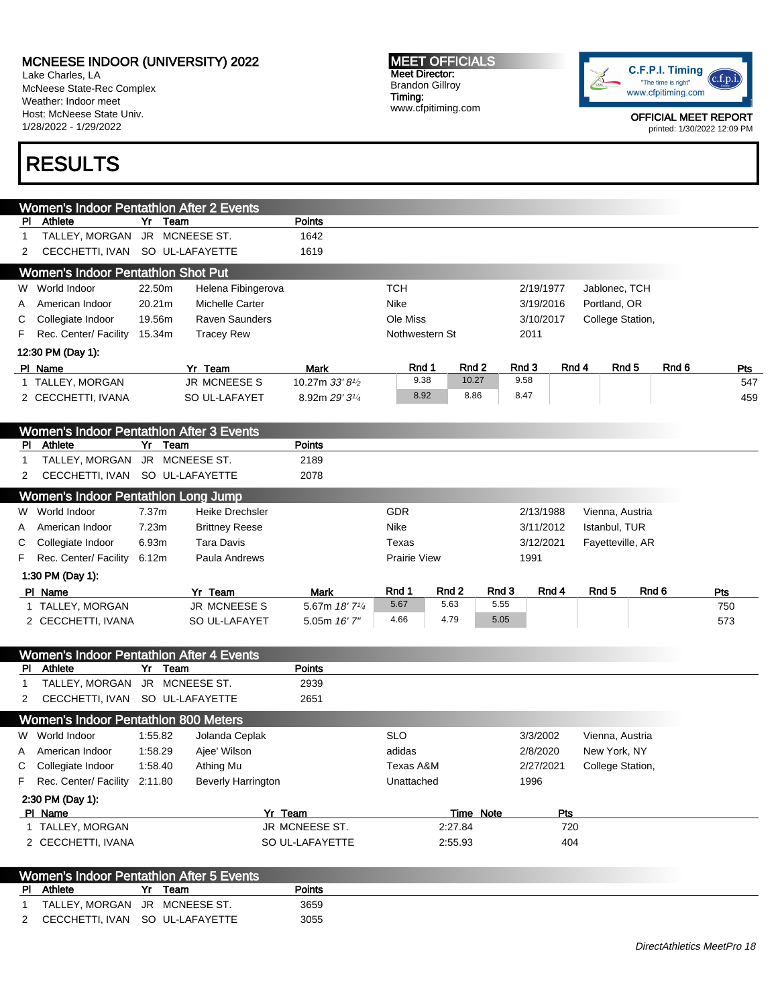Lake Charles, LA McNeese State-Rec Complex Weather: Indoor meet Host: McNeese State Univ. 1/28/2022 - 1/29/2022

# RESULTS

MEET OFFICIALS Meet Director: Brandon Gillroy Timing: www.cfpitiming.com



| <b>Women's Indoor Pentathlon After 2 Events</b><br>Points<br>Athlete<br>Yr Team<br>PI.<br>TALLEY, MORGAN<br>JR MCNEESE ST.<br>1642<br>1<br>SO UL-LAFAYETTE<br>CECCHETTI, IVAN<br>1619<br>2<br><b>Women's Indoor Pentathlon Shot Put</b><br><b>TCH</b><br>W World Indoor<br>22.50m<br>Helena Fibingerova<br>2/19/1977<br>Jablonec, TCH<br>20.21m<br><b>Nike</b><br>Portland, OR<br>American Indoor<br>Michelle Carter<br>3/19/2016<br>A<br><b>Raven Saunders</b><br>Ole Miss<br>Collegiate Indoor<br>19.56m<br>3/10/2017<br>College Station,<br>С<br>Rec. Center/ Facility<br>15.34m<br><b>Tracey Rew</b><br>Nothwestern St<br>2011<br>F<br>12:30 PM (Day 1):<br>Rnd 3<br>Rnd 4<br>Rnd <sub>5</sub><br>Rnd <sub>6</sub><br>Rnd 1<br>Rnd 2<br>PI Name<br>Yr Team<br>Mark<br>9.38<br>9.58<br>10.27<br>1 TALLEY, MORGAN<br><b>JR MCNEESES</b><br>10.27m 33' 81/2<br>8.92<br>8.47<br>8.86<br>SO UL-LAFAYET<br>8.92m 29' 31/4<br>2 CECCHETTI, IVANA<br><b>Women's Indoor Pentathlon After 3 Events</b><br>Athlete<br><b>Points</b><br>Yr<br>Team<br>PI.<br>TALLEY, MORGAN<br>JR MCNEESE ST.<br>2189<br>1<br>CECCHETTI, IVAN SO UL-LAFAYETTE<br>2078<br>2<br>Women's Indoor Pentathion Long Jump<br>World Indoor<br>GDR<br>7.37 <sub>m</sub><br><b>Heike Drechsler</b><br>2/13/1988<br>Vienna, Austria<br>W<br>7.23m<br>Nike<br>American Indoor<br><b>Brittney Reese</b><br>3/11/2012<br>Istanbul, TUR<br>A<br><b>Tara Davis</b><br>Collegiate Indoor<br>6.93m<br>Texas<br>3/12/2021<br>Fayetteville, AR<br>C<br>Rec. Center/ Facility<br>6.12m<br>Paula Andrews<br><b>Prairie View</b><br>1991<br>F<br>1:30 PM (Day 1): |     |
|-------------------------------------------------------------------------------------------------------------------------------------------------------------------------------------------------------------------------------------------------------------------------------------------------------------------------------------------------------------------------------------------------------------------------------------------------------------------------------------------------------------------------------------------------------------------------------------------------------------------------------------------------------------------------------------------------------------------------------------------------------------------------------------------------------------------------------------------------------------------------------------------------------------------------------------------------------------------------------------------------------------------------------------------------------------------------------------------------------------------------------------------------------------------------------------------------------------------------------------------------------------------------------------------------------------------------------------------------------------------------------------------------------------------------------------------------------------------------------------------------------------------------------------------------------------------------------------------------------------------|-----|
|                                                                                                                                                                                                                                                                                                                                                                                                                                                                                                                                                                                                                                                                                                                                                                                                                                                                                                                                                                                                                                                                                                                                                                                                                                                                                                                                                                                                                                                                                                                                                                                                                   |     |
|                                                                                                                                                                                                                                                                                                                                                                                                                                                                                                                                                                                                                                                                                                                                                                                                                                                                                                                                                                                                                                                                                                                                                                                                                                                                                                                                                                                                                                                                                                                                                                                                                   |     |
|                                                                                                                                                                                                                                                                                                                                                                                                                                                                                                                                                                                                                                                                                                                                                                                                                                                                                                                                                                                                                                                                                                                                                                                                                                                                                                                                                                                                                                                                                                                                                                                                                   |     |
|                                                                                                                                                                                                                                                                                                                                                                                                                                                                                                                                                                                                                                                                                                                                                                                                                                                                                                                                                                                                                                                                                                                                                                                                                                                                                                                                                                                                                                                                                                                                                                                                                   |     |
|                                                                                                                                                                                                                                                                                                                                                                                                                                                                                                                                                                                                                                                                                                                                                                                                                                                                                                                                                                                                                                                                                                                                                                                                                                                                                                                                                                                                                                                                                                                                                                                                                   |     |
|                                                                                                                                                                                                                                                                                                                                                                                                                                                                                                                                                                                                                                                                                                                                                                                                                                                                                                                                                                                                                                                                                                                                                                                                                                                                                                                                                                                                                                                                                                                                                                                                                   |     |
|                                                                                                                                                                                                                                                                                                                                                                                                                                                                                                                                                                                                                                                                                                                                                                                                                                                                                                                                                                                                                                                                                                                                                                                                                                                                                                                                                                                                                                                                                                                                                                                                                   |     |
|                                                                                                                                                                                                                                                                                                                                                                                                                                                                                                                                                                                                                                                                                                                                                                                                                                                                                                                                                                                                                                                                                                                                                                                                                                                                                                                                                                                                                                                                                                                                                                                                                   |     |
|                                                                                                                                                                                                                                                                                                                                                                                                                                                                                                                                                                                                                                                                                                                                                                                                                                                                                                                                                                                                                                                                                                                                                                                                                                                                                                                                                                                                                                                                                                                                                                                                                   |     |
|                                                                                                                                                                                                                                                                                                                                                                                                                                                                                                                                                                                                                                                                                                                                                                                                                                                                                                                                                                                                                                                                                                                                                                                                                                                                                                                                                                                                                                                                                                                                                                                                                   |     |
|                                                                                                                                                                                                                                                                                                                                                                                                                                                                                                                                                                                                                                                                                                                                                                                                                                                                                                                                                                                                                                                                                                                                                                                                                                                                                                                                                                                                                                                                                                                                                                                                                   | Pts |
|                                                                                                                                                                                                                                                                                                                                                                                                                                                                                                                                                                                                                                                                                                                                                                                                                                                                                                                                                                                                                                                                                                                                                                                                                                                                                                                                                                                                                                                                                                                                                                                                                   | 547 |
|                                                                                                                                                                                                                                                                                                                                                                                                                                                                                                                                                                                                                                                                                                                                                                                                                                                                                                                                                                                                                                                                                                                                                                                                                                                                                                                                                                                                                                                                                                                                                                                                                   | 459 |
|                                                                                                                                                                                                                                                                                                                                                                                                                                                                                                                                                                                                                                                                                                                                                                                                                                                                                                                                                                                                                                                                                                                                                                                                                                                                                                                                                                                                                                                                                                                                                                                                                   |     |
|                                                                                                                                                                                                                                                                                                                                                                                                                                                                                                                                                                                                                                                                                                                                                                                                                                                                                                                                                                                                                                                                                                                                                                                                                                                                                                                                                                                                                                                                                                                                                                                                                   |     |
|                                                                                                                                                                                                                                                                                                                                                                                                                                                                                                                                                                                                                                                                                                                                                                                                                                                                                                                                                                                                                                                                                                                                                                                                                                                                                                                                                                                                                                                                                                                                                                                                                   |     |
|                                                                                                                                                                                                                                                                                                                                                                                                                                                                                                                                                                                                                                                                                                                                                                                                                                                                                                                                                                                                                                                                                                                                                                                                                                                                                                                                                                                                                                                                                                                                                                                                                   |     |
|                                                                                                                                                                                                                                                                                                                                                                                                                                                                                                                                                                                                                                                                                                                                                                                                                                                                                                                                                                                                                                                                                                                                                                                                                                                                                                                                                                                                                                                                                                                                                                                                                   |     |
|                                                                                                                                                                                                                                                                                                                                                                                                                                                                                                                                                                                                                                                                                                                                                                                                                                                                                                                                                                                                                                                                                                                                                                                                                                                                                                                                                                                                                                                                                                                                                                                                                   |     |
|                                                                                                                                                                                                                                                                                                                                                                                                                                                                                                                                                                                                                                                                                                                                                                                                                                                                                                                                                                                                                                                                                                                                                                                                                                                                                                                                                                                                                                                                                                                                                                                                                   |     |
|                                                                                                                                                                                                                                                                                                                                                                                                                                                                                                                                                                                                                                                                                                                                                                                                                                                                                                                                                                                                                                                                                                                                                                                                                                                                                                                                                                                                                                                                                                                                                                                                                   |     |
|                                                                                                                                                                                                                                                                                                                                                                                                                                                                                                                                                                                                                                                                                                                                                                                                                                                                                                                                                                                                                                                                                                                                                                                                                                                                                                                                                                                                                                                                                                                                                                                                                   |     |
|                                                                                                                                                                                                                                                                                                                                                                                                                                                                                                                                                                                                                                                                                                                                                                                                                                                                                                                                                                                                                                                                                                                                                                                                                                                                                                                                                                                                                                                                                                                                                                                                                   |     |
|                                                                                                                                                                                                                                                                                                                                                                                                                                                                                                                                                                                                                                                                                                                                                                                                                                                                                                                                                                                                                                                                                                                                                                                                                                                                                                                                                                                                                                                                                                                                                                                                                   |     |
| Rnd 1<br>Rnd 2<br>Rnd 3<br>Rnd 4<br>Rnd <sub>5</sub><br>Rnd 6<br>PI Name<br>Yr Team<br><b>Mark</b>                                                                                                                                                                                                                                                                                                                                                                                                                                                                                                                                                                                                                                                                                                                                                                                                                                                                                                                                                                                                                                                                                                                                                                                                                                                                                                                                                                                                                                                                                                                | Pts |
| 5.55<br>5.67<br>5.63<br>1 TALLEY, MORGAN<br><b>JR MCNEESES</b><br>5.67m 18' 71/4                                                                                                                                                                                                                                                                                                                                                                                                                                                                                                                                                                                                                                                                                                                                                                                                                                                                                                                                                                                                                                                                                                                                                                                                                                                                                                                                                                                                                                                                                                                                  | 750 |
| 4.79<br>5.05<br>4.66<br>SO UL-LAFAYET<br>2 CECCHETTI, IVANA<br>5.05m 16' 7"                                                                                                                                                                                                                                                                                                                                                                                                                                                                                                                                                                                                                                                                                                                                                                                                                                                                                                                                                                                                                                                                                                                                                                                                                                                                                                                                                                                                                                                                                                                                       | 573 |
|                                                                                                                                                                                                                                                                                                                                                                                                                                                                                                                                                                                                                                                                                                                                                                                                                                                                                                                                                                                                                                                                                                                                                                                                                                                                                                                                                                                                                                                                                                                                                                                                                   |     |
| <b>Women's Indoor Pentathlon After 4 Events</b>                                                                                                                                                                                                                                                                                                                                                                                                                                                                                                                                                                                                                                                                                                                                                                                                                                                                                                                                                                                                                                                                                                                                                                                                                                                                                                                                                                                                                                                                                                                                                                   |     |
| Athlete<br>Team<br><b>Points</b><br><b>PI</b><br>Yr                                                                                                                                                                                                                                                                                                                                                                                                                                                                                                                                                                                                                                                                                                                                                                                                                                                                                                                                                                                                                                                                                                                                                                                                                                                                                                                                                                                                                                                                                                                                                               |     |
| TALLEY, MORGAN<br>JR MCNEESE ST.<br>2939<br>1                                                                                                                                                                                                                                                                                                                                                                                                                                                                                                                                                                                                                                                                                                                                                                                                                                                                                                                                                                                                                                                                                                                                                                                                                                                                                                                                                                                                                                                                                                                                                                     |     |
| CECCHETTI, IVAN SO UL-LAFAYETTE<br>2651<br>2                                                                                                                                                                                                                                                                                                                                                                                                                                                                                                                                                                                                                                                                                                                                                                                                                                                                                                                                                                                                                                                                                                                                                                                                                                                                                                                                                                                                                                                                                                                                                                      |     |
|                                                                                                                                                                                                                                                                                                                                                                                                                                                                                                                                                                                                                                                                                                                                                                                                                                                                                                                                                                                                                                                                                                                                                                                                                                                                                                                                                                                                                                                                                                                                                                                                                   |     |
| <b>Women's Indoor Pentathlon 800 Meters</b>                                                                                                                                                                                                                                                                                                                                                                                                                                                                                                                                                                                                                                                                                                                                                                                                                                                                                                                                                                                                                                                                                                                                                                                                                                                                                                                                                                                                                                                                                                                                                                       |     |
| W World Indoor<br>1:55.82<br>Jolanda Ceplak<br><b>SLO</b><br>3/3/2002<br>Vienna, Austria                                                                                                                                                                                                                                                                                                                                                                                                                                                                                                                                                                                                                                                                                                                                                                                                                                                                                                                                                                                                                                                                                                                                                                                                                                                                                                                                                                                                                                                                                                                          |     |
| American Indoor<br>1:58.29<br>Ajee' Wilson<br>adidas<br>2/8/2020<br>New York, NY<br>A                                                                                                                                                                                                                                                                                                                                                                                                                                                                                                                                                                                                                                                                                                                                                                                                                                                                                                                                                                                                                                                                                                                                                                                                                                                                                                                                                                                                                                                                                                                             |     |
| 1:58.40<br>Collegiate Indoor<br>Athing Mu<br>Texas A&M<br>2/27/2021<br>College Station,<br>С<br>Rec. Center/ Facility                                                                                                                                                                                                                                                                                                                                                                                                                                                                                                                                                                                                                                                                                                                                                                                                                                                                                                                                                                                                                                                                                                                                                                                                                                                                                                                                                                                                                                                                                             |     |
| 2:11.80<br><b>Beverly Harrington</b><br>Unattached<br>1996<br>F                                                                                                                                                                                                                                                                                                                                                                                                                                                                                                                                                                                                                                                                                                                                                                                                                                                                                                                                                                                                                                                                                                                                                                                                                                                                                                                                                                                                                                                                                                                                                   |     |
| 2:30 PM (Day 1):                                                                                                                                                                                                                                                                                                                                                                                                                                                                                                                                                                                                                                                                                                                                                                                                                                                                                                                                                                                                                                                                                                                                                                                                                                                                                                                                                                                                                                                                                                                                                                                                  |     |
| PI Name<br>Yr Team<br>Pts<br>Time Note                                                                                                                                                                                                                                                                                                                                                                                                                                                                                                                                                                                                                                                                                                                                                                                                                                                                                                                                                                                                                                                                                                                                                                                                                                                                                                                                                                                                                                                                                                                                                                            |     |
| 1 TALLEY, MORGAN<br>JR MCNEESE ST.<br>2:27.84<br>720                                                                                                                                                                                                                                                                                                                                                                                                                                                                                                                                                                                                                                                                                                                                                                                                                                                                                                                                                                                                                                                                                                                                                                                                                                                                                                                                                                                                                                                                                                                                                              |     |
| 2 CECCHETTI, IVANA<br>SO UL-LAFAYETTE<br>2:55.93<br>404                                                                                                                                                                                                                                                                                                                                                                                                                                                                                                                                                                                                                                                                                                                                                                                                                                                                                                                                                                                                                                                                                                                                                                                                                                                                                                                                                                                                                                                                                                                                                           |     |
|                                                                                                                                                                                                                                                                                                                                                                                                                                                                                                                                                                                                                                                                                                                                                                                                                                                                                                                                                                                                                                                                                                                                                                                                                                                                                                                                                                                                                                                                                                                                                                                                                   |     |
| <b>Women's Indoor Pentathlon After 5 Events</b><br>Athlete<br>Yr Team<br>Points<br>PI.                                                                                                                                                                                                                                                                                                                                                                                                                                                                                                                                                                                                                                                                                                                                                                                                                                                                                                                                                                                                                                                                                                                                                                                                                                                                                                                                                                                                                                                                                                                            |     |
| JR MCNEESE ST.<br>3659<br>TALLEY, MORGAN<br>$\mathbf 1$                                                                                                                                                                                                                                                                                                                                                                                                                                                                                                                                                                                                                                                                                                                                                                                                                                                                                                                                                                                                                                                                                                                                                                                                                                                                                                                                                                                                                                                                                                                                                           |     |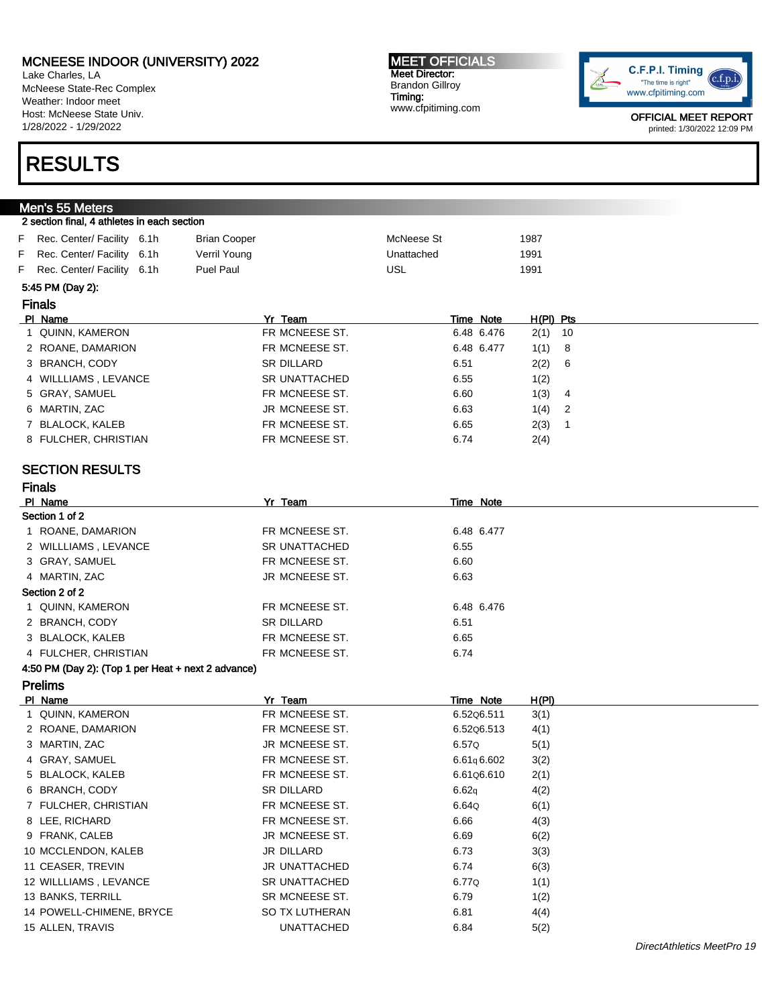Lake Charles, LA McNeese State-Rec Complex Weather: Indoor meet Host: McNeese State Univ. 1/28/2022 - 1/29/2022

# RESULTS

Men's 55 Meters

#### MEET OFFICIALS Meet Director: Brandon Gillroy Timing: www.cfpitiming.com



OFFICIAL MEET REPORT printed: 1/30/2022 12:09 PM

| 2 section final, 4 athletes in each section |                     |            |      |
|---------------------------------------------|---------------------|------------|------|
| F Rec. Center/ Facility 6.1h                | <b>Brian Cooper</b> | McNeese St | 1987 |
| F Rec. Center/ Facility 6.1h                | Verril Young        | Unattached | 1991 |
| F Rec. Center/ Facility 6.1h                | <b>Puel Paul</b>    | USL        | 1991 |

#### 5:45 PM (Day 2):

Finals

Finals

| .                    |                   |      |            |             |     |
|----------------------|-------------------|------|------------|-------------|-----|
| PI Name              | Yr Team           |      | Time Note  | $H(PI)$ Pts |     |
| 1 QUINN, KAMERON     | FR MCNEESE ST.    |      | 6.48 6.476 | $2(1)$ 10   |     |
| 2 ROANE, DAMARION    | FR MCNEESE ST.    |      | 6.48 6.477 | 1(1)        | - 8 |
| 3 BRANCH, CODY       | <b>SR DILLARD</b> | 6.51 |            | 2(2)        | - 6 |
| 4 WILLLIAMS, LEVANCE | SR UNATTACHED     | 6.55 |            | 1(2)        |     |
| 5 GRAY, SAMUEL       | FR MCNEESE ST.    | 6.60 |            | 1(3)        | 4   |
| 6 MARTIN, ZAC        | JR MCNEESE ST.    | 6.63 |            | 1(4)        | - 2 |
| 7 BLALOCK, KALEB     | FR MCNEESE ST.    | 6.65 |            | 2(3)        |     |
| 8 FULCHER, CHRISTIAN | FR MCNEESE ST.    | 6.74 |            | 2(4)        |     |
|                      |                   |      |            |             |     |

### SECTION RESULTS

| PI Name              | Yr Team           | Time Note  |
|----------------------|-------------------|------------|
| Section 1 of 2       |                   |            |
| ROANE, DAMARION      | FR MCNEESE ST.    | 6.48 6.477 |
| 2 WILLLIAMS, LEVANCE | SR UNATTACHED     | 6.55       |
| 3 GRAY, SAMUEL       | FR MCNEESE ST.    | 6.60       |
| 4 MARTIN, ZAC        | JR MCNEESE ST.    | 6.63       |
| Section 2 of 2       |                   |            |
| 1 QUINN, KAMERON     | FR MCNEESE ST.    | 6.48 6.476 |
| 2 BRANCH, CODY       | <b>SR DILLARD</b> | 6.51       |
| 3 BLALOCK, KALEB     | FR MCNEESE ST.    | 6.65       |
| 4 FULCHER, CHRISTIAN | FR MCNEESE ST.    | 6.74       |

#### 4:50 PM (Day 2): (Top 1 per Heat + next 2 advance)

| Prelims |  |
|---------|--|
|         |  |

| PI Name                  | Yr Team           | Time Note  | H(PI) |
|--------------------------|-------------------|------------|-------|
| 1 QUINN, KAMERON         | FR MCNEESE ST.    | 6.5206.511 | 3(1)  |
| 2 ROANE, DAMARION        | FR MCNEESE ST.    | 6.5206.513 | 4(1)  |
| 3 MARTIN, ZAC            | JR MCNEESE ST.    | 6.57Q      | 5(1)  |
| 4 GRAY, SAMUEL           | FR MCNEESE ST.    | 6.61q6.602 | 3(2)  |
| 5 BLALOCK, KALEB         | FR MCNEESE ST.    | 6.6106.610 | 2(1)  |
| 6 BRANCH, CODY           | <b>SR DILLARD</b> | 6.62q      | 4(2)  |
| 7 FULCHER, CHRISTIAN     | FR MCNEESE ST.    | 6.64Q      | 6(1)  |
| 8 LEE, RICHARD           | FR MCNEESE ST.    | 6.66       | 4(3)  |
| 9 FRANK, CALEB           | JR MCNEESE ST.    | 6.69       | 6(2)  |
| 10 MCCLENDON, KALEB      | JR DILLARD        | 6.73       | 3(3)  |
| 11 CEASER, TREVIN        | JR UNATTACHED     | 6.74       | 6(3)  |
| 12 WILLLIAMS, LEVANCE    | SR UNATTACHED     | 6.77Q      | 1(1)  |
| 13 BANKS, TERRILL        | SR MCNEESE ST.    | 6.79       | 1(2)  |
| 14 POWELL-CHIMENE, BRYCE | SO TX LUTHERAN    | 6.81       | 4(4)  |
| 15 ALLEN, TRAVIS         | <b>UNATTACHED</b> | 6.84       | 5(2)  |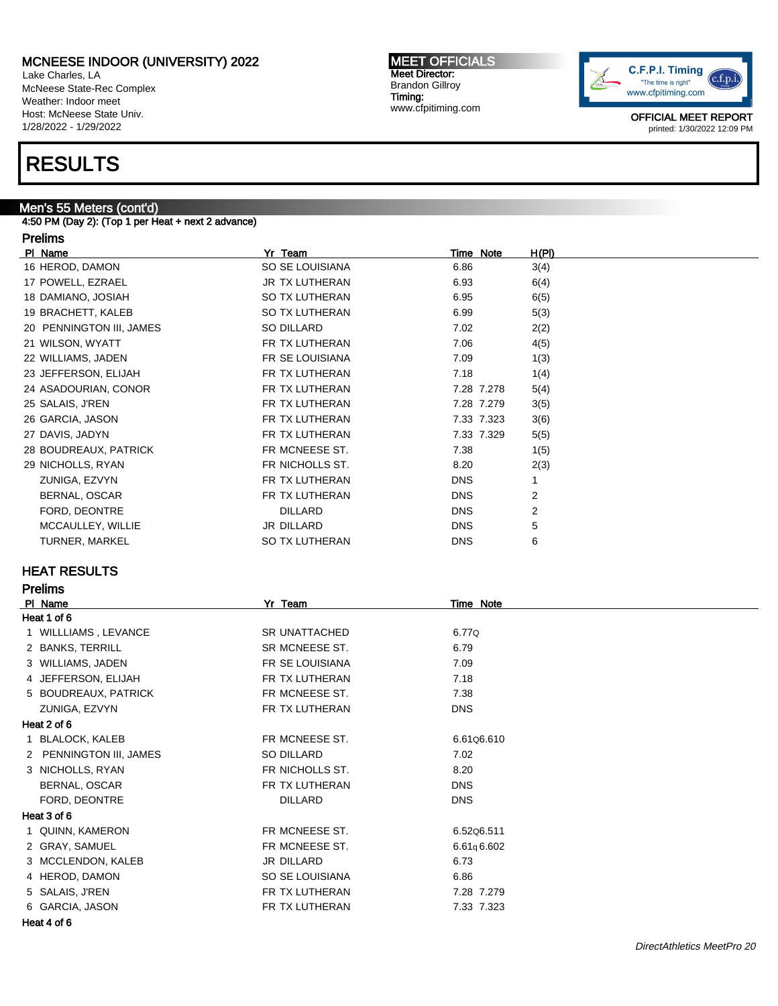Lake Charles, LA McNeese State-Rec Complex Weather: Indoor meet Host: McNeese State Univ. 1/28/2022 - 1/29/2022

# RESULTS

### Men's 55 Meters (cont'd)

4:50 PM (Day 2): (Top 1 per Heat + next 2 advance)

#### Prelims

| PI Name                  | Yr Team         | Time Note  | H(PI)          |
|--------------------------|-----------------|------------|----------------|
| 16 HEROD, DAMON          | SO SE LOUISIANA | 6.86       | 3(4)           |
| 17 POWELL, EZRAEL        | JR TX LUTHERAN  | 6.93       | 6(4)           |
| 18 DAMIANO, JOSIAH       | SO TX LUTHERAN  | 6.95       | 6(5)           |
| 19 BRACHETT, KALEB       | SO TX LUTHERAN  | 6.99       | 5(3)           |
| 20 PENNINGTON III, JAMES | SO DILLARD      | 7.02       | 2(2)           |
| 21 WILSON, WYATT         | FR TX LUTHERAN  | 7.06       | 4(5)           |
| 22 WILLIAMS, JADEN       | FR SE LOUISIANA | 7.09       | 1(3)           |
| 23 JEFFERSON, ELIJAH     | FR TX LUTHERAN  | 7.18       | 1(4)           |
| 24 ASADOURIAN, CONOR     | FR TX LUTHERAN  | 7.28 7.278 | 5(4)           |
| 25 SALAIS, J'REN         | FR TX LUTHERAN  | 7.28 7.279 | 3(5)           |
| 26 GARCIA, JASON         | FR TX LUTHERAN  | 7.33 7.323 | 3(6)           |
| 27 DAVIS, JADYN          | FR TX LUTHERAN  | 7.33 7.329 | 5(5)           |
| 28 BOUDREAUX, PATRICK    | FR MCNEESE ST.  | 7.38       | 1(5)           |
| 29 NICHOLLS, RYAN        | FR NICHOLLS ST. | 8.20       | 2(3)           |
| ZUNIGA, EZVYN            | FR TX LUTHERAN  | <b>DNS</b> |                |
| BERNAL, OSCAR            | FR TX LUTHERAN  | <b>DNS</b> | $\overline{2}$ |
| FORD, DEONTRE            | <b>DILLARD</b>  | <b>DNS</b> | 2              |
| MCCAULLEY, WILLIE        | JR DILLARD      | <b>DNS</b> | 5              |
| TURNER, MARKEL           | SO TX LUTHERAN  | <b>DNS</b> | 6              |

MEET OFFICIALS Meet Director: Brandon Gillroy Timing:

www.cfpitiming.com

#### HEAT RESULTS

Prelims

| PI Name                 | Yr Team              | Time Note  |  |
|-------------------------|----------------------|------------|--|
| Heat 1 of 6             |                      |            |  |
| WILLLIAMS, LEVANCE      | <b>SR UNATTACHED</b> | 6.77Q      |  |
| 2 BANKS, TERRILL        | SR MCNEESE ST.       | 6.79       |  |
| 3 WILLIAMS, JADEN       | FR SE LOUISIANA      | 7.09       |  |
| 4 JEFFERSON, ELIJAH     | FR TX LUTHERAN       | 7.18       |  |
| 5 BOUDREAUX, PATRICK    | FR MCNEESE ST.       | 7.38       |  |
| ZUNIGA, EZVYN           | FR TX LUTHERAN       | <b>DNS</b> |  |
| Heat 2 of 6             |                      |            |  |
| <b>BLALOCK, KALEB</b>   | FR MCNEESE ST.       | 6.61Q6.610 |  |
| 2 PENNINGTON III, JAMES | SO DILLARD           | 7.02       |  |
| 3 NICHOLLS, RYAN        | FR NICHOLLS ST.      | 8.20       |  |
| BERNAL, OSCAR           | FR TX LUTHERAN       | <b>DNS</b> |  |
| FORD, DEONTRE           | <b>DILLARD</b>       | <b>DNS</b> |  |
| Heat 3 of 6             |                      |            |  |
| 1 QUINN, KAMERON        | FR MCNEESE ST.       | 6.5206.511 |  |
| 2 GRAY, SAMUEL          | FR MCNEESE ST.       | 6.61q6.602 |  |
| 3 MCCLENDON, KALEB      | JR DILLARD           | 6.73       |  |
| 4 HEROD, DAMON          | SO SE LOUISIANA      | 6.86       |  |
| 5 SALAIS, J'REN         | FR TX LUTHERAN       | 7.28 7.279 |  |
| 6 GARCIA, JASON         | FR TX LUTHERAN       | 7.33 7.323 |  |

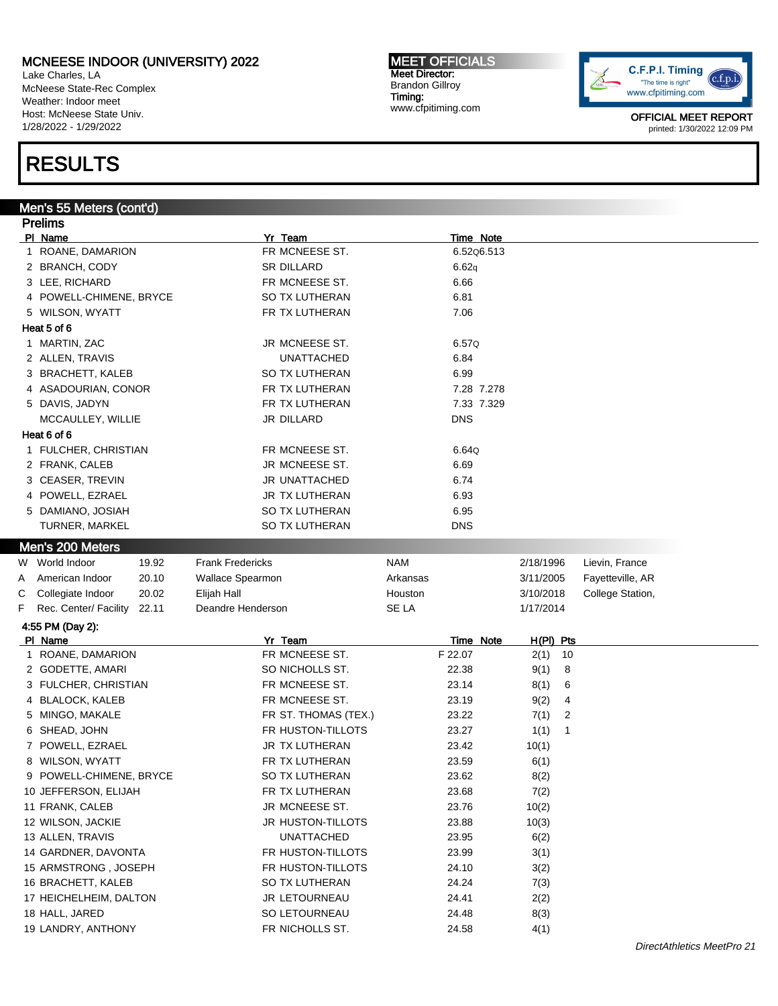Lake Charles, LA McNeese State-Rec Complex Weather: Indoor meet Host: McNeese State Univ. 1/28/2022 - 1/29/2022

# RESULTS

#### Men's 55 Meters (cont'd)

Prelims Pl Name Time Note 2014 and 2015 and 2016 and 2017 and 2016 and 2017 and 2017 and 2017 and 2017 and 2017 and 20 1 ROANE, DAMARION **FR MCNEESE ST.** 6.52Q6.513 2 BRANCH, CODY SR DILLARD 6.62q 3 LEE, RICHARD **FR MCNEESE ST.** 6.66 4 POWELL-CHIMENE, BRYCE SO TX LUTHERAN 6.81 5 WILSON. WYATT FR TX LUTHERAN T.06 Heat 5 of 6 1 MARTIN, ZAC JR MCNEESE ST. 6.57Q 2 ALLEN, TRAVIS UNATTACHED 6.84 3 BRACHETT, KALEB SO TX LUTHERAN 6.99 4 ASADOURIAN, CONOR FR TX LUTHERAN 7.28 7.278 5 DAVIS, JADYN FR TX LUTHERAN 7.33 7.329 MCCAULLEY, WILLIE JR DILLARD DNS Heat 6 of 6 1 FULCHER, CHRISTIAN FR MCNEESE ST. 6.64Q 2 FRANK, CALEB **JR MCNEESE ST.** 6.69 3 CEASER, TREVIN JR UNATTACHED 6.74 4 POWELL, EZRAEL 6.93 5 DAMIANO, JOSIAH SO TX LUTHERAN 6.95 TURNER, MARKEL SO TX LUTHERAN DNS Men's 200 Meters W World Indoor at 19.92 Trank Fredericks NAM NAM 2/18/1996 Lievin, France A American Indoor 20.10 Wallace Spearmon **Arkansas** 3/11/2005 Fayetteville, AR C Collegiate Indoor 20.02 Elijah Hall **Houston** Houston 3/10/2018 College Station, F Rec. Center/ Facility 22.11 Deandre Henderson SE LA 1/17/2014 4:55 PM (Day 2): Pl Name Yr Team Time Note H(Pl) Pts 1 ROANE, DAMARION FR MCNEESE ST. F 22.07 2(1) 10 2 GODETTE, AMARI SO NICHOLLS ST. 22.38 9(1) 8 3 FULCHER, CHRISTIAN **FR MCNEESE ST.** 23.14 8(1) 6 4 BLALOCK, KALEB FR MCNEESE ST. 23.19 9(2) 4 5 MINGO, MAKALE FR ST. THOMAS (TEX.) 23.22 7(1) 2 6 SHEAD, JOHN **FR HUSTON-TILLOTS** 23.27 1(1) 1 7 POWELL, EZRAEL JR TX LUTHERAN 23.42 10(1) 8 WILSON, WYATT FR TX LUTHERAN 23.59 6(1) 9 POWELL-CHIMENE, BRYCE SO TX LUTHERAN 23.62 8(2) 10 JEFFERSON, ELIJAH FR TX LUTHERAN 23.68 7(2) 11 FRANK, CALEB JR MCNEESE ST. 23.76 10(2) 12 WILSON, JACKIE 10(3) JR HUSTON-TILLOTS 23.88 10(3) 13 ALLEN, TRAVIS UNATTACHED 23.95 6(2) 14 GARDNER, DAVONTA FR HUSTON-TILLOTS 23.99 3(1) 15 ARMSTRONG , JOSEPH FR HUSTON-TILLOTS 24.10 3(2) 16 BRACHETT, KALEB SO TX LUTHERAN 24.24 7(3) 17 HEICHELHEIM, DALTON JR LETOURNEAU 24.41 2(2) 18 HALL, JARED SO LETOURNEAU 24.48 8(3) 19 LANDRY, ANTHONY FR NICHOLLS ST. 24.58 4(1)

MEET OFFICIALS Meet Director: Brandon Gillroy Timing: www.cfpitiming.com

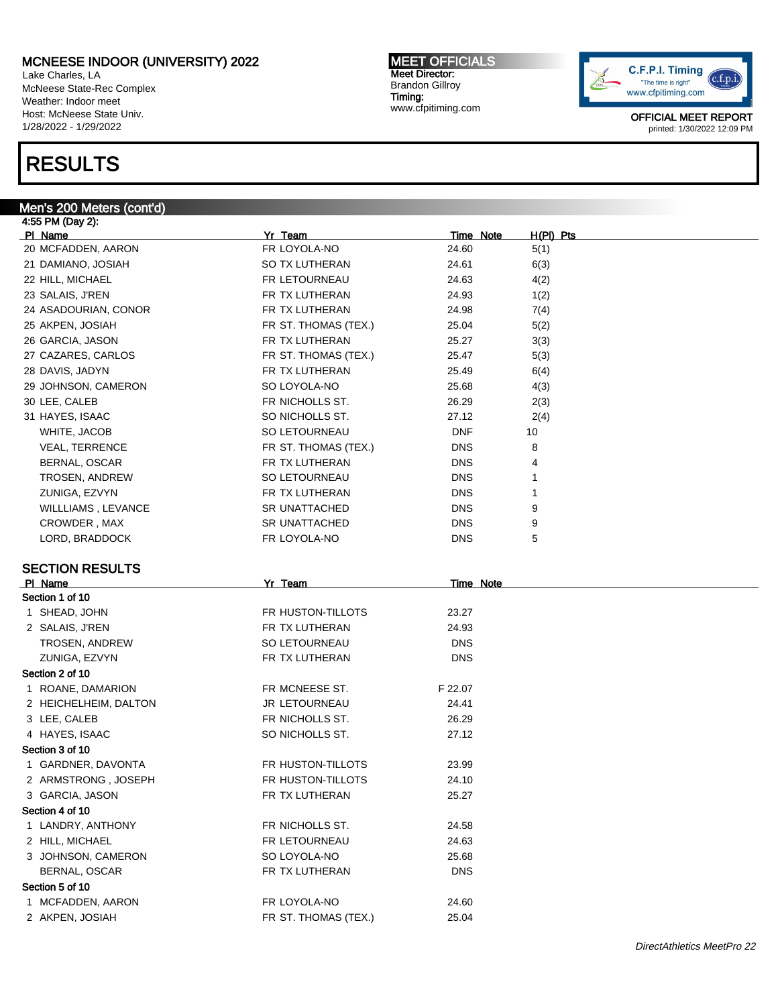Lake Charles, LA McNeese State-Rec Complex Weather: Indoor meet Host: McNeese State Univ. 1/28/2022 - 1/29/2022

# RESULTS

#### Men's 200 Meters (cont'd)

4:55 PM (Day 2): Pl Name Yr Team Time Note H(Pl) Pts 20 MCFADDEN, AARON FR LOYOLA-NO 24.60 5(1) 21 DAMIANO, JOSIAH SO TX LUTHERAN 24.61 6(3) 22 HILL, MICHAEL FR LETOURNEAU 24.63 4(2) 23 SALAIS, J'REN 1(2) 1(2) THERAN 24.93 1(2) 24 ASADOURIAN, CONOR FR TX LUTHERAN 24.98 7(4) 25 AKPEN, JOSIAH **FR ST. THOMAS (TEX.)** 25.04 5(2) 26 GARCIA, JASON **FR TX LUTHERAN** 25.27 3(3) 27 CAZARES, CARLOS **FR ST. THOMAS (TEX.)** 25.47 5(3) 28 DAVIS, JADYN FR TX LUTHERAN 25.49 6(4) 29 JOHNSON, CAMERON SO LOYOLA-NO 25.68 4(3) 30 LEE, CALEB 2(3) CALEB FR NICHOLLS ST. 26.29 2(3) 31 HAYES, ISAAC SO NICHOLLS ST. 27.12 2(4) WHITE, JACOB SO LETOURNEAU DNF 10 VEAL, TERRENCE THE ST. THOMAS (TEX.) THE ST. THOMAS (TEX.) BERNAL, OSCAR TAN DIR TX LUTHERAN DINS 4 TROSEN, ANDREW SO LETOURNEAU DNS 1 **ZUNIGA, EZVYN FR TX LUTHERAN DISCUSSION CONS** WILLLIAMS, LEVANCE SR UNATTACHED DNS 9 CROWDER , MAX SR UNATTACHED DNS 9 LORD, BRADDOCK FR LOYOLA-NO DNS 5 SECTION RESULTS PI Name **Time Note PI Name PI Name PI Name PI Name PI Name PI Name PI Name PI Name PI Name PI Name PI Name PI Name PI Name PI Name PI Name PI Name PI NAME PI NAME PI NAME PI NAME P** Section 1 of 10 1 SHEAD, JOHN 23.27 2 SALAIS, J'REN FR TX LUTHERAN 24.93 TROSEN, ANDREW SO LETOURNEAU DNS ZUNIGA, EZVYN DNS ER TX LUTHERAN DNS Section 2 of 10 1 ROANE, DAMARION FR MCNEESE ST. F 22.07 2 HEICHELHEIM, DALTON JR LETOURNEAU 24.41 3 LEE, CALEB **FR NICHOLLS ST.** 26.29 4 HAYES, ISAAC SO NICHOLLS ST. 27.12 Section 3 of 10 1 GARDNER, DAVONTA FR HUSTON-TILLOTS 23.99 2 ARMSTRONG , JOSEPH FR HUSTON-TILLOTS 24.10 3 GARCIA, JASON **FR TX LUTHERAN** 25.27

#### Section 4 of 10

1 LANDRY, ANTHONY FR NICHOLLS ST. 24.58 2 HILL, MICHAEL FR LETOURNEAU 24.63 3 JOHNSON, CAMERON SO LOYOLA-NO 25.68 BERNAL, OSCAR FR TX LUTHERAN DNS Section 5 of 10 1 MCFADDEN, AARON FR LOYOLA-NO 24.60

2 AKPEN, JOSIAH **FR ST. THOMAS (TEX.)** 25.04

MEET OFFICIALS Meet Director: Brandon Gillroy Timing: www.cfpitiming.com

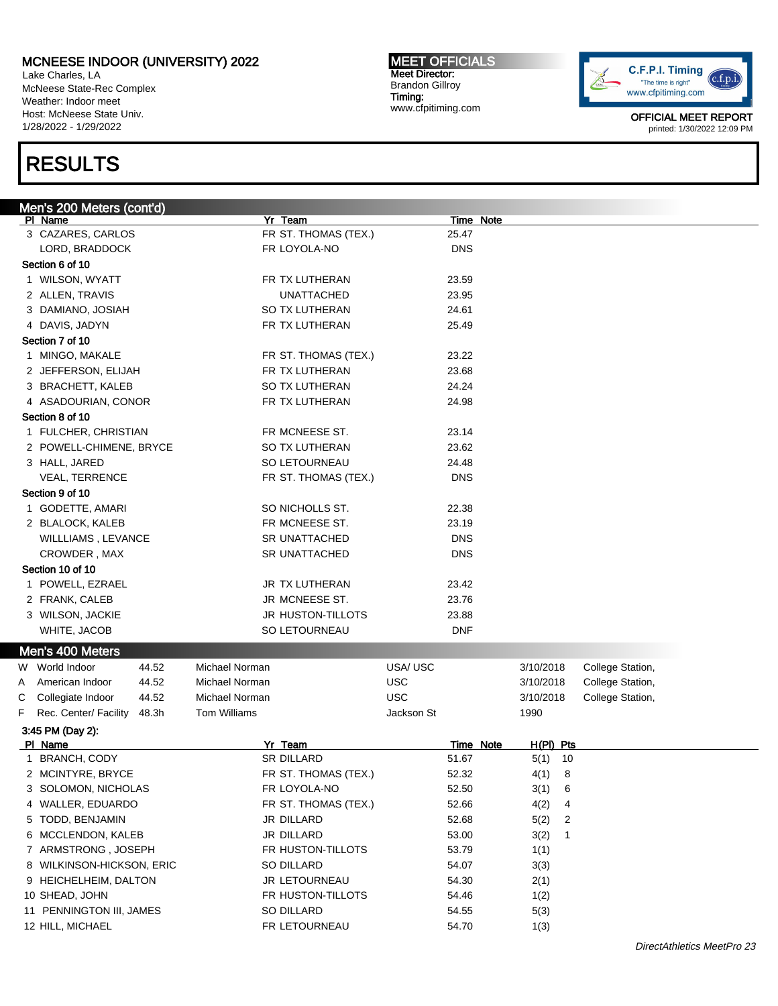Lake Charles, LA McNeese State-Rec Complex Weather: Indoor meet Host: McNeese State Univ. 1/28/2022 - 1/29/2022

# RESULTS

MEET OFFICIALS Meet Director: Brandon Gillroy Timing: www.cfpitiming.com



| Men's 200 Meters (cont'd)                    |                      |            |                               |
|----------------------------------------------|----------------------|------------|-------------------------------|
| PI Name                                      | Yr Team              | Time Note  |                               |
| 3 CAZARES, CARLOS                            | FR ST. THOMAS (TEX.) | 25.47      |                               |
| LORD, BRADDOCK                               | FR LOYOLA-NO         | <b>DNS</b> |                               |
| Section 6 of 10                              |                      |            |                               |
| 1 WILSON, WYATT                              | FR TX LUTHERAN       | 23.59      |                               |
| 2 ALLEN, TRAVIS                              | <b>UNATTACHED</b>    | 23.95      |                               |
| 3 DAMIANO, JOSIAH                            | SO TX LUTHERAN       | 24.61      |                               |
| 4 DAVIS, JADYN                               | FR TX LUTHERAN       | 25.49      |                               |
| Section 7 of 10                              |                      |            |                               |
| 1 MINGO, MAKALE                              | FR ST. THOMAS (TEX.) | 23.22      |                               |
| 2 JEFFERSON, ELIJAH                          | FR TX LUTHERAN       | 23.68      |                               |
| 3 BRACHETT, KALEB                            | SO TX LUTHERAN       | 24.24      |                               |
| 4 ASADOURIAN, CONOR                          | FR TX LUTHERAN       | 24.98      |                               |
| Section 8 of 10                              |                      |            |                               |
| 1 FULCHER, CHRISTIAN                         | FR MCNEESE ST.       | 23.14      |                               |
| 2 POWELL-CHIMENE, BRYCE                      | SO TX LUTHERAN       | 23.62      |                               |
| 3 HALL, JARED                                | SO LETOURNEAU        | 24.48      |                               |
| <b>VEAL, TERRENCE</b>                        | FR ST. THOMAS (TEX.) | <b>DNS</b> |                               |
| Section 9 of 10                              |                      |            |                               |
| 1 GODETTE, AMARI                             | SO NICHOLLS ST.      | 22.38      |                               |
| 2 BLALOCK, KALEB                             | FR MCNEESE ST.       | 23.19      |                               |
| WILLLIAMS, LEVANCE                           | <b>SR UNATTACHED</b> | <b>DNS</b> |                               |
| CROWDER, MAX                                 | <b>SR UNATTACHED</b> | <b>DNS</b> |                               |
| Section 10 of 10                             |                      |            |                               |
|                                              | JR TX LUTHERAN       | 23.42      |                               |
| 1 POWELL, EZRAEL                             |                      |            |                               |
| 2 FRANK, CALEB                               | JR MCNEESE ST.       | 23.76      |                               |
| 3 WILSON, JACKIE                             | JR HUSTON-TILLOTS    | 23.88      |                               |
| WHITE, JACOB                                 | SO LETOURNEAU        | <b>DNF</b> |                               |
| Men's 400 Meters                             |                      |            |                               |
| W World Indoor<br>44.52                      | Michael Norman       | USA/USC    | College Station,<br>3/10/2018 |
| 44.52<br>American Indoor<br>A                | Michael Norman       | <b>USC</b> | College Station,<br>3/10/2018 |
| 44.52<br>С<br>Collegiate Indoor              | Michael Norman       | <b>USC</b> | College Station,<br>3/10/2018 |
| F<br>Rec. Center/ Facility<br>48.3h          | <b>Tom Williams</b>  | Jackson St | 1990                          |
| 3:45 PM (Day 2):                             |                      |            |                               |
| PI Name                                      | Yr Team              | Time Note  | H(PI) Pts                     |
| 1 BRANCH, CODY                               | <b>SR DILLARD</b>    | 51.67      | $5(1)$ 10                     |
| 2 MCINTYRE, BRYCE                            | FR ST. THOMAS (TEX.) | 52.32      | 4(1) 8                        |
| 3 SOLOMON, NICHOLAS                          | FR LOYOLA-NO         | 52.50      | 3(1)<br>6                     |
| 4 WALLER, EDUARDO                            | FR ST. THOMAS (TEX.) | 52.66      | 4(2)<br>4                     |
| 5 TODD, BENJAMIN                             | JR DILLARD           | 52.68      | 5(2)<br>2                     |
| 6 MCCLENDON, KALEB                           | JR DILLARD           | 53.00      | 3(2)<br>$\mathbf{1}$          |
| 7 ARMSTRONG, JOSEPH                          | FR HUSTON-TILLOTS    | 53.79      | 1(1)                          |
| 8 WILKINSON-HICKSON, ERIC                    | SO DILLARD           | 54.07      | 3(3)                          |
| 9 HEICHELHEIM, DALTON                        | JR LETOURNEAU        | 54.30      | 2(1)                          |
| 10 SHEAD, JOHN                               | FR HUSTON-TILLOTS    | 54.46      | 1(2)                          |
|                                              | SO DILLARD           | 54.55      | 5(3)                          |
|                                              |                      |            |                               |
| 11 PENNINGTON III, JAMES<br>12 HILL, MICHAEL | FR LETOURNEAU        | 54.70      | 1(3)                          |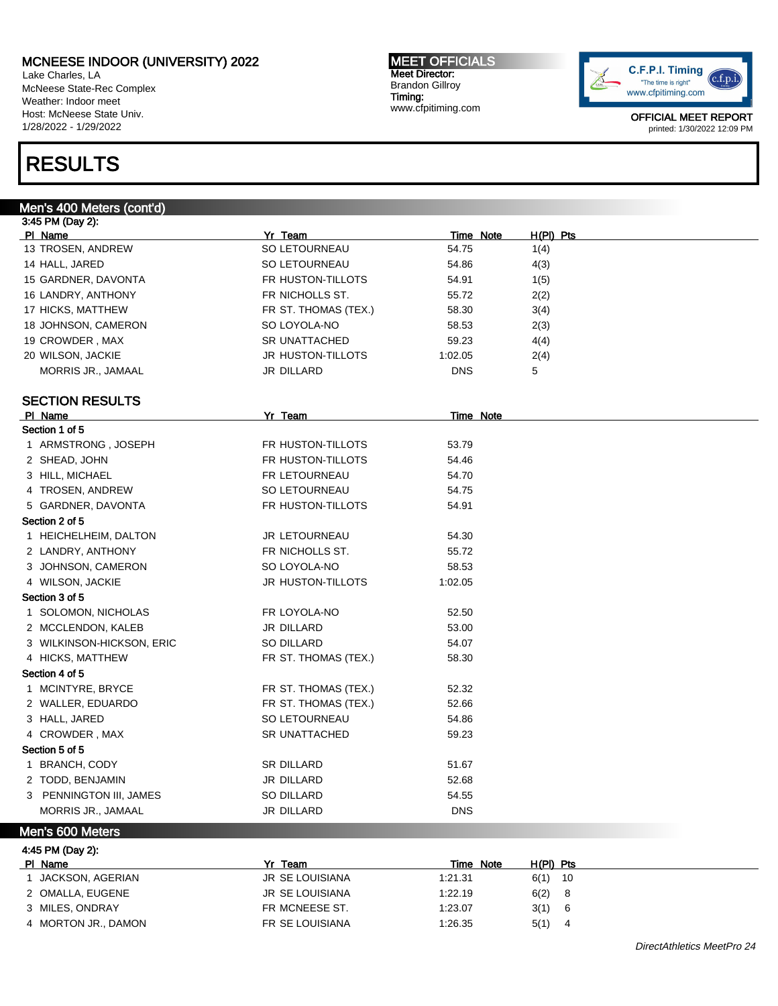Lake Charles, LA McNeese State-Rec Complex Weather: Indoor meet Host: McNeese State Univ. 1/28/2022 - 1/29/2022

# RESULTS

Men's 400 Meters (cont'd) 3:45 PM (Day 2): Pl Name Yr Team Time Note H(Pl) Pts 13 TROSEN, ANDREW SO LETOURNEAU 54.75 1(4) 14 HALL, JARED SO LETOURNEAU 54.86 4(3) 15 GARDNER, DAVONTA FR HUSTON-TILLOTS 54.91 54.91 1(5) 16 LANDRY, ANTHONY **FR NICHOLLS ST.** 55.72 2(2) 17 HICKS, MATTHEW **FR ST. THOMAS (TEX.)** 58.30 584) 18 JOHNSON, CAMERON SO LOYOLA-NO 58.53 2(3) 19 CROWDER , MAX SR UNATTACHED 59.23 4(4) 20 WILSON, JACKIE **Server State State State State State State State State State State State State State State State State State State State State State State State State State State State State State State State State Stat** MORRIS JR., JAMAAL JR DILLARD DNS 5 SECTION RESULTS PI Name **Time Note PI Name PI Name PI Name PI Name PI Name PI Name PI Name PI Name PI Name PI Name PI Name PI Name PI Name PI Name PI Name PI Name PI NAME PI NAME PI NAME PI NAME P** Section 1 of 5 1 ARMSTRONG , JOSEPH FR HUSTON-TILLOTS 53.79 2 SHEAD, JOHN **FR HUSTON-TILLOTS** 54.46 3 HILL, MICHAEL **FR LETOURNEAU** 54.70 4 TROSEN, ANDREW SO LETOURNEAU 54.75 5 GARDNER, DAVONTA FR HUSTON-TILLOTS 54.91 Section 2 of 5 1 HEICHELHEIM, DALTON **JR LETOURNEAU** 54.30 2 LANDRY, ANTHONY **FRIGHOLLS ST.** 55.72 3 JOHNSON, CAMERON SO LOYOLA-NO 58.53 4 WILSON, JACKIE **Server State State State State State State State State State State State State State State State State State State State State State State State State State State State State State State State State State** Section 3 of 5 1 SOLOMON, NICHOLAS **FR LOYOLA-NO** 52.50 2 MCCLENDON, KALEB JR DILLARD 53.00 3 WILKINSON-HICKSON, ERIC SO DILLARD 54.07 4 HICKS, MATTHEW **FR ST. THOMAS (TEX.)** 58.30 Section 4 of 5 1 MCINTYRE, BRYCE FR ST. THOMAS (TEX.) 52.32 2 WALLER, EDUARDO FR ST. THOMAS (TEX.) 52.66 3 HALL, JARED SO LETOURNEAU 54.86 4 CROWDER , MAX SR UNATTACHED 59.23 Section 5 of 5 1 BRANCH, CODY SR DILLARD 51.67 2 TODD, BENJAMIN JR DILLARD 52.68 3 PENNINGTON III, JAMES SO DILLARD 54.55 MORRIS JR., JAMAAL JR DILLARD DNS

#### Men's 600 Meters

4:45 PM (Day 2): Pl Name Yr Team Time Note H(Pl) Pts 1 JACKSON, AGERIAN JR SE LOUISIANA 1:21.31 6(1) 10 2 OMALLA, EUGENE JR SE LOUISIANA 1:22.19 6(2) 8 3 MILES, ONDRAY 64 CHE CHE CHE CHE CHE CHE FR MCNEESE ST. 1:23.07 3(1) 6 4 MORTON JR., DAMON FR SE LOUISIANA 1:26.35 5(1) 4

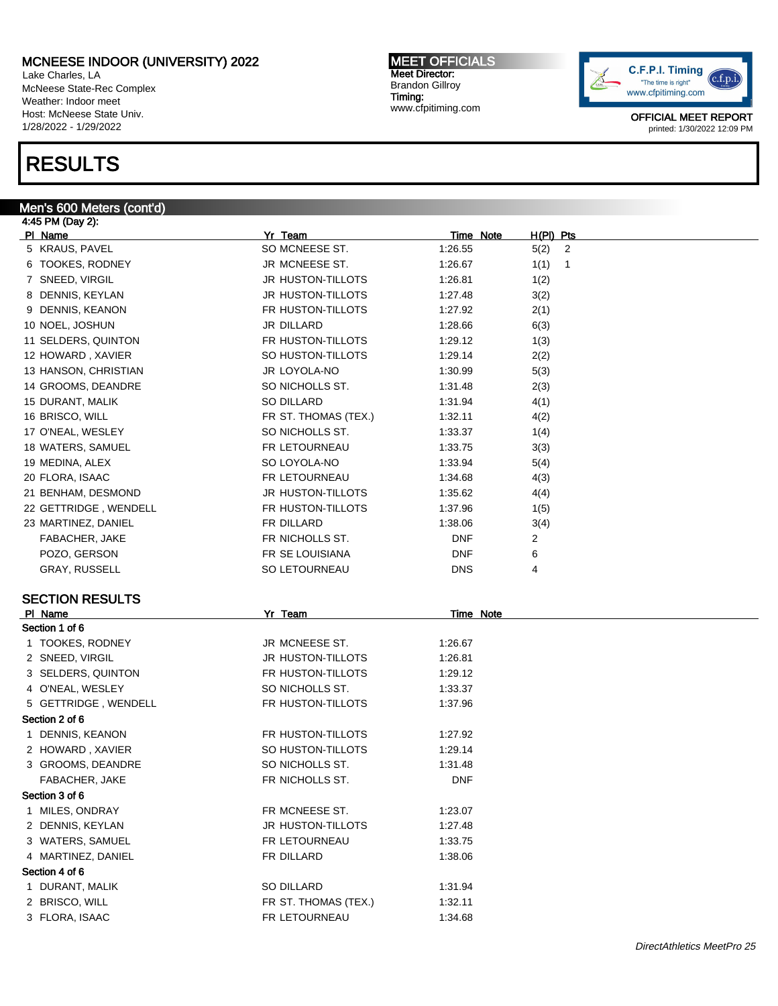Lake Charles, LA McNeese State-Rec Complex Weather: Indoor meet Host: McNeese State Univ. 1/28/2022 - 1/29/2022

# RESULTS

#### Men's 600 Meters (cont'd)

4:45 PM (Day 2): Pl Name Yr Team Time Note H(Pl) Pts 5 KRAUS, PAVEL SO MCNEESE ST. 1:26.55 5(2) 2 6 TOOKES, RODNEY JR MCNEESE ST. 1:26.67 1(1) 1 7 SNEED, VIRGIL 1(2) 3 - JR HUSTON-TILLOTS 1:26.81 1(2) 8 DENNIS, KEYLAN 1:27.48 3(2) 9 DENNIS, KEANON **FR HUSTON-TILLOTS** 1:27.92 2(1) 10 NOEL, JOSHUN 10 NOEL, JOSHUN 1:28.66 6(3) 11 SELDERS, QUINTON **FRIMIT FRIMIT FRIMIT CONTACT EXAMPLE 1:29.12** 1(3) 12 HOWARD , XAVIER SO HUSTON-TILLOTS 1:29.14 2(2) 13 HANSON, CHRISTIAN JR LOYOLA-NO 1:30.99 5(3) 14 GROOMS, DEANDRE SO NICHOLLS ST. 1:31.48 2(3) 15 DURANT, MALIK SO DILLARD 1:31.94 4(1) 16 BRISCO, WILL **16 BRISCO, WILL 1:32.11** 1:32.11 4(2) 17 O'NEAL, WESLEY SO NICHOLLS ST. 1:33.37 1(4) 18 WATERS, SAMUEL THE RETOURNEAU 1:33.75 3(3) 19 MEDINA, ALEX SO LOYOLA-NO 1:33.94 5(4) 20 FLORA, ISAAC 6 (2) THE LETOURNEAU 1:34.68 4(3) 21 BENHAM, DESMOND JR HUSTON-TILLOTS 1:35.62 4(4) 22 GETTRIDGE, WENDELL FR HUSTON-TILLOTS 1:37.96 1(5) 23 MARTINEZ, DANIEL **1:38.06 1:38.06** 3(4) FABACHER, JAKE **FR NICHOLLS ST.** DNF 2 POZO, GERSON **FR SE LOUISIANA** DNF 6 GRAY, RUSSELL GRAY CONSISTED SO LETOURNEAU A DINS 4

#### SECTION RESULTS

| PI Name               | Yr Team                  | Time Note  |
|-----------------------|--------------------------|------------|
| Section 1 of 6        |                          |            |
| 1 TOOKES, RODNEY      | JR MCNEESE ST.           | 1:26.67    |
| 2 SNEED, VIRGIL       | <b>JR HUSTON-TILLOTS</b> | 1:26.81    |
| 3 SELDERS, QUINTON    | FR HUSTON-TILLOTS        | 1:29.12    |
| 4 O'NEAL, WESLEY      | SO NICHOLLS ST.          | 1:33.37    |
| 5 GETTRIDGE, WENDELL  | FR HUSTON-TILLOTS        | 1:37.96    |
| Section 2 of 6        |                          |            |
| 1 DENNIS, KEANON      | FR HUSTON-TILLOTS        | 1:27.92    |
| 2 HOWARD, XAVIER      | SO HUSTON-TILLOTS        | 1:29.14    |
| 3 GROOMS, DEANDRE     | SO NICHOLLS ST.          | 1:31.48    |
| <b>FABACHER, JAKE</b> | FR NICHOLLS ST.          | <b>DNF</b> |
| Section 3 of 6        |                          |            |
| 1 MILES, ONDRAY       | FR MCNEESE ST.           | 1:23.07    |
| 2 DENNIS, KEYLAN      | <b>JR HUSTON-TILLOTS</b> | 1:27.48    |
| 3 WATERS, SAMUEL      | <b>FR LETOURNEAU</b>     | 1:33.75    |
| 4 MARTINEZ, DANIEL    | FR DILLARD               | 1:38.06    |
| Section 4 of 6        |                          |            |
| 1 DURANT, MALIK       | SO DILLARD               | 1:31.94    |
| 2 BRISCO, WILL        | FR ST. THOMAS (TEX.)     | 1:32.11    |
| 3 FLORA, ISAAC        | FR LETOURNEAU            | 1:34.68    |

MEET OFFICIALS Meet Director: Brandon Gillroy Timing: www.cfpitiming.com

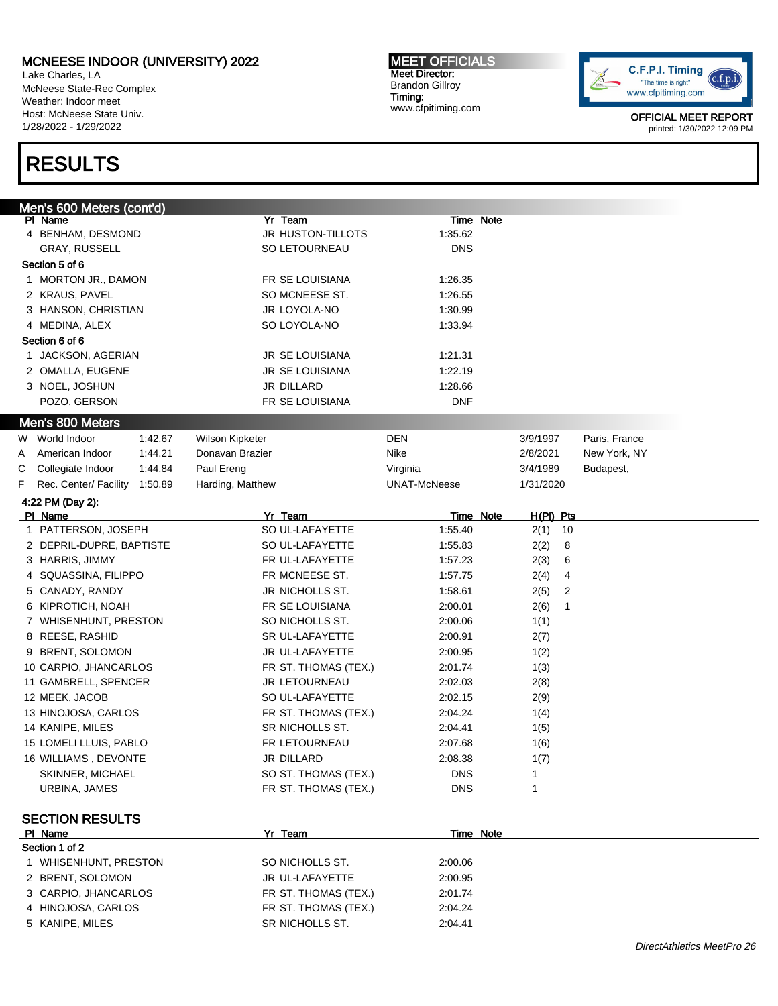Lake Charles, LA McNeese State-Rec Complex Weather: Indoor meet Host: McNeese State Univ. 1/28/2022 - 1/29/2022

# RESULTS

MEET OFFICIALS Meet Director: Brandon Gillroy Timing: www.cfpitiming.com



|                  | Men's 600 Meters (cont'd)             |         |                                         | <b>Time Note</b>    |   |            |               |
|------------------|---------------------------------------|---------|-----------------------------------------|---------------------|---|------------|---------------|
|                  | PI Name                               |         | Yr Team<br>JR HUSTON-TILLOTS            | 1:35.62             |   |            |               |
|                  | 4 BENHAM, DESMOND                     |         |                                         |                     |   |            |               |
|                  | <b>GRAY, RUSSELL</b>                  |         | SO LETOURNEAU                           | <b>DNS</b>          |   |            |               |
|                  | Section 5 of 6                        |         |                                         |                     |   |            |               |
|                  | 1 MORTON JR., DAMON                   |         | FR SE LOUISIANA                         | 1:26.35             |   |            |               |
|                  | 2 KRAUS, PAVEL                        |         | SO MCNEESE ST.                          | 1:26.55             |   |            |               |
|                  | 3 HANSON, CHRISTIAN                   |         | JR LOYOLA-NO                            | 1:30.99             |   |            |               |
|                  | 4 MEDINA, ALEX                        |         | SO LOYOLA-NO                            | 1:33.94             |   |            |               |
|                  | Section 6 of 6                        |         |                                         |                     |   |            |               |
|                  | 1 JACKSON, AGERIAN                    |         | JR SE LOUISIANA                         | 1:21.31             |   |            |               |
|                  | 2 OMALLA, EUGENE                      |         | <b>JR SE LOUISIANA</b>                  | 1:22.19             |   |            |               |
|                  | 3 NOEL, JOSHUN                        |         | JR DILLARD                              | 1:28.66             |   |            |               |
|                  | POZO, GERSON                          |         | FR SE LOUISIANA                         | <b>DNF</b>          |   |            |               |
|                  | Men's 800 Meters                      |         |                                         |                     |   |            |               |
|                  | W World Indoor                        | 1:42.67 | Wilson Kipketer                         | DEN                 |   | 3/9/1997   | Paris, France |
| A                | American Indoor                       | 1:44.21 | Donavan Brazier                         | Nike                |   | 2/8/2021   | New York, NY  |
| С                | Collegiate Indoor                     | 1:44.84 | Paul Ereng                              | Virginia            |   | 3/4/1989   | Budapest,     |
| F                | Rec. Center/ Facility                 | 1:50.89 | Harding, Matthew                        | <b>UNAT-McNeese</b> |   | 1/31/2020  |               |
| 4:22 PM (Day 2): |                                       |         |                                         |                     |   |            |               |
|                  | PI Name                               |         | Yr Team                                 | Time Note           |   | H(PI) Pts  |               |
|                  | 1 PATTERSON, JOSEPH                   |         | SO UL-LAFAYETTE                         | 1:55.40             |   | 2(1)<br>10 |               |
|                  | 2 DEPRIL-DUPRE, BAPTISTE              |         | SO UL-LAFAYETTE                         | 1:55.83             |   | 2(2)<br>8  |               |
|                  | 3 HARRIS, JIMMY                       |         | FR UL-LAFAYETTE                         | 1:57.23             |   | 2(3)<br>6  |               |
|                  | 4 SQUASSINA, FILIPPO                  |         |                                         |                     |   |            |               |
|                  |                                       |         |                                         |                     |   |            |               |
|                  |                                       |         | FR MCNEESE ST.                          | 1:57.75             |   | 2(4)<br>4  |               |
|                  | 5 CANADY, RANDY                       |         | JR NICHOLLS ST.                         | 1:58.61             |   | 2(5)<br>2  |               |
|                  | 6 KIPROTICH, NOAH                     |         | FR SE LOUISIANA                         | 2:00.01             |   | 2(6)<br>1  |               |
|                  | 7 WHISENHUNT, PRESTON                 |         | SO NICHOLLS ST.                         | 2:00.06             |   | 1(1)       |               |
|                  | 8 REESE, RASHID                       |         | SR UL-LAFAYETTE                         | 2:00.91             |   | 2(7)       |               |
|                  | 9 BRENT, SOLOMON                      |         | JR UL-LAFAYETTE                         | 2:00.95             |   | 1(2)       |               |
|                  | 10 CARPIO, JHANCARLOS                 |         | FR ST. THOMAS (TEX.)                    | 2:01.74             |   | 1(3)       |               |
|                  | 11 GAMBRELL, SPENCER                  |         | JR LETOURNEAU                           | 2:02.03             |   | 2(8)       |               |
|                  | 12 MEEK, JACOB                        |         | SO UL-LAFAYETTE                         | 2:02.15             |   | 2(9)       |               |
|                  | 13 HINOJOSA, CARLOS                   |         | FR ST. THOMAS (TEX.)                    | 2:04.24             |   | 1(4)       |               |
|                  | 14 KANIPE, MILES                      |         | SR NICHOLLS ST.                         | 2:04.41             |   | 1(5)       |               |
|                  | 15 LOMELI LLUIS, PABLO                |         | FR LETOURNEAU                           | 2:07.68             |   | 1(6)       |               |
|                  | 16 WILLIAMS, DEVONTE                  |         | JR DILLARD                              | 2:08.38             |   | 1(7)       |               |
|                  | SKINNER, MICHAEL                      |         | SO ST. THOMAS (TEX.)                    | <b>DNS</b>          | 1 |            |               |
|                  | URBINA, JAMES                         |         | FR ST. THOMAS (TEX.)                    | <b>DNS</b>          | 1 |            |               |
|                  |                                       |         |                                         |                     |   |            |               |
|                  | <b>SECTION RESULTS</b>                |         |                                         |                     |   |            |               |
|                  | PI Name                               |         | Yr Team                                 | Time Note           |   |            |               |
|                  | Section 1 of 2                        |         |                                         |                     |   |            |               |
|                  | 1 WHISENHUNT, PRESTON                 |         | SO NICHOLLS ST.                         | 2:00.06             |   |            |               |
|                  | 2 BRENT, SOLOMON                      |         | JR UL-LAFAYETTE                         | 2:00.95             |   |            |               |
|                  | 3 CARPIO, JHANCARLOS                  |         | FR ST. THOMAS (TEX.)                    | 2:01.74             |   |            |               |
|                  | 4 HINOJOSA, CARLOS<br>5 KANIPE, MILES |         | FR ST. THOMAS (TEX.)<br>SR NICHOLLS ST. | 2:04.24<br>2:04.41  |   |            |               |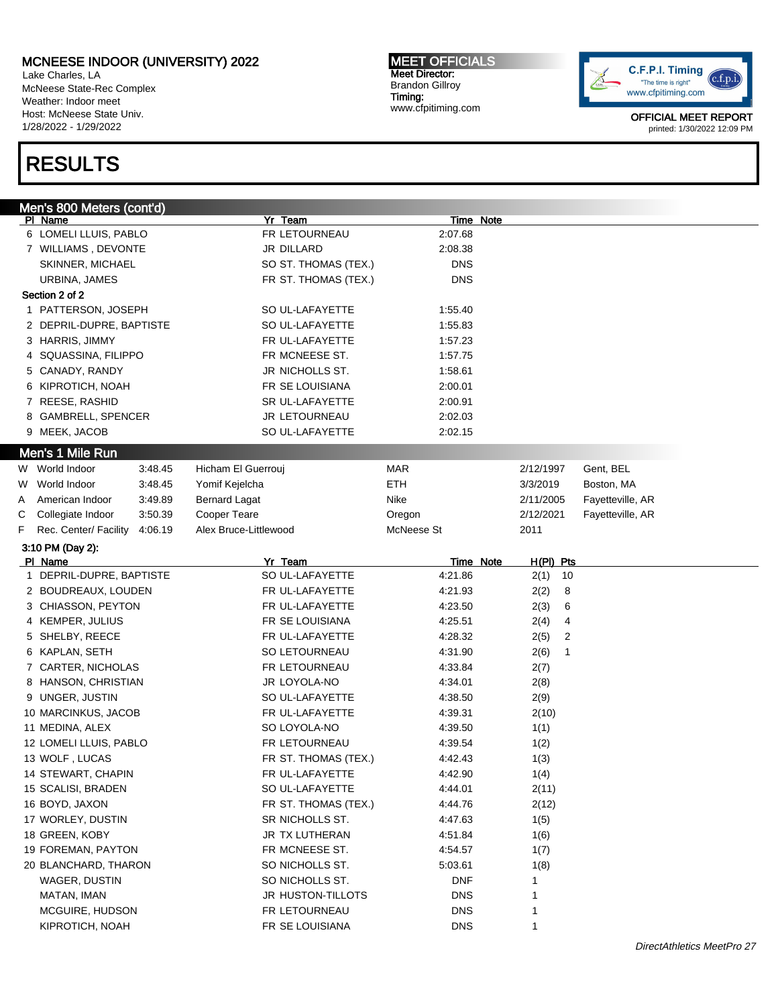Lake Charles, LA McNeese State-Rec Complex Weather: Indoor meet Host: McNeese State Univ. 1/28/2022 - 1/29/2022

# RESULTS

MEET OFFICIALS Meet Director: Brandon Gillroy Timing: www.cfpitiming.com



|   | <u>Men's 800 Meters (cont'd)</u> |         |                       |            |                     |                  |  |
|---|----------------------------------|---------|-----------------------|------------|---------------------|------------------|--|
|   | PI Name                          |         | Yr Team               | Time Note  |                     |                  |  |
|   | 6 LOMELI LLUIS, PABLO            |         | FR LETOURNEAU         | 2:07.68    |                     |                  |  |
|   | 7 WILLIAMS, DEVONTE              |         | JR DILLARD            | 2:08.38    |                     |                  |  |
|   | SKINNER, MICHAEL                 |         | SO ST. THOMAS (TEX.)  | <b>DNS</b> |                     |                  |  |
|   | URBINA, JAMES                    |         | FR ST. THOMAS (TEX.)  | <b>DNS</b> |                     |                  |  |
|   | Section 2 of 2                   |         |                       |            |                     |                  |  |
|   | 1 PATTERSON, JOSEPH              |         | SO UL-LAFAYETTE       | 1:55.40    |                     |                  |  |
|   | 2 DEPRIL-DUPRE, BAPTISTE         |         | SO UL-LAFAYETTE       | 1:55.83    |                     |                  |  |
|   | 3 HARRIS, JIMMY                  |         | FR UL-LAFAYETTE       | 1:57.23    |                     |                  |  |
|   | 4 SQUASSINA, FILIPPO             |         | FR MCNEESE ST.        | 1:57.75    |                     |                  |  |
|   | 5 CANADY, RANDY                  |         | JR NICHOLLS ST.       | 1:58.61    |                     |                  |  |
|   | 6 KIPROTICH, NOAH                |         | FR SE LOUISIANA       | 2:00.01    |                     |                  |  |
|   | 7 REESE, RASHID                  |         | SR UL-LAFAYETTE       | 2:00.91    |                     |                  |  |
|   | 8 GAMBRELL, SPENCER              |         | JR LETOURNEAU         | 2:02.03    |                     |                  |  |
|   | 9 MEEK, JACOB                    |         | SO UL-LAFAYETTE       | 2:02.15    |                     |                  |  |
|   | Men's 1 Mile Run                 |         |                       |            |                     |                  |  |
|   | W World Indoor                   | 3:48.45 | Hicham El Guerrouj    | MAR        | 2/12/1997           | Gent, BEL        |  |
| W | World Indoor                     | 3:48.45 | Yomif Kejelcha        | ETH        | 3/3/2019            | Boston, MA       |  |
| A | American Indoor                  | 3:49.89 | <b>Bernard Lagat</b>  | Nike       | 2/11/2005           | Fayetteville, AR |  |
| С | Collegiate Indoor                | 3:50.39 | Cooper Teare          | Oregon     | 2/12/2021           | Fayetteville, AR |  |
| F | Rec. Center/ Facility            | 4:06.19 | Alex Bruce-Littlewood | McNeese St | 2011                |                  |  |
|   | 3:10 PM (Day 2):                 |         |                       |            |                     |                  |  |
|   | PI Name                          |         | Yr Team               | Time Note  | H(PI) Pts           |                  |  |
|   | 1 DEPRIL-DUPRE, BAPTISTE         |         | SO UL-LAFAYETTE       | 4:21.86    | 2(1)<br>10          |                  |  |
|   | 2 BOUDREAUX, LOUDEN              |         | FR UL-LAFAYETTE       | 4:21.93    | 2(2)<br>8           |                  |  |
|   | 3 CHIASSON, PEYTON               |         | FR UL-LAFAYETTE       | 4:23.50    | 2(3)<br>6           |                  |  |
|   | 4 KEMPER, JULIUS                 |         | FR SE LOUISIANA       | 4:25.51    | 2(4)<br>4           |                  |  |
|   | 5 SHELBY, REECE                  |         | FR UL-LAFAYETTE       | 4:28.32    | 2(5)<br>2           |                  |  |
|   | 6 KAPLAN, SETH                   |         | SO LETOURNEAU         | 4:31.90    | 2(6)<br>$\mathbf 1$ |                  |  |
|   | 7 CARTER, NICHOLAS               |         | FR LETOURNEAU         | 4:33.84    | 2(7)                |                  |  |
|   | 8 HANSON, CHRISTIAN              |         | JR LOYOLA-NO          | 4:34.01    | 2(8)                |                  |  |
|   | 9 UNGER, JUSTIN                  |         | SO UL-LAFAYETTE       | 4:38.50    | 2(9)                |                  |  |
|   | 10 MARCINKUS, JACOB              |         | FR UL-LAFAYETTE       | 4:39.31    | 2(10)               |                  |  |
|   | 11 MEDINA, ALEX                  |         | SO LOYOLA-NO          | 4:39.50    | 1(1)                |                  |  |
|   | 12 LOMELI LLUIS, PABLO           |         | FR LETOURNEAU         | 4:39.54    | 1(2)                |                  |  |
|   | 13 WOLF, LUCAS                   |         | FR ST. THOMAS (TEX.)  | 4:42.43    | 1(3)                |                  |  |
|   | 14 STEWART, CHAPIN               |         | FR UL-LAFAYETTE       | 4:42.90    | 1(4)                |                  |  |
|   | 15 SCALISI, BRADEN               |         | SO UL-LAFAYETTE       | 4:44.01    | 2(11)               |                  |  |
|   | 16 BOYD, JAXON                   |         | FR ST. THOMAS (TEX.)  | 4:44.76    | 2(12)               |                  |  |
|   | 17 WORLEY, DUSTIN                |         | SR NICHOLLS ST.       | 4:47.63    | 1(5)                |                  |  |
|   | 18 GREEN, KOBY                   |         | JR TX LUTHERAN        | 4:51.84    | 1(6)                |                  |  |
|   | 19 FOREMAN, PAYTON               |         | FR MCNEESE ST.        | 4:54.57    | 1(7)                |                  |  |
|   | 20 BLANCHARD, THARON             |         | SO NICHOLLS ST.       | 5:03.61    | 1(8)                |                  |  |
|   | WAGER, DUSTIN                    |         | SO NICHOLLS ST.       | <b>DNF</b> | 1                   |                  |  |
|   | MATAN, IMAN                      |         | JR HUSTON-TILLOTS     | <b>DNS</b> | 1                   |                  |  |
|   | MCGUIRE, HUDSON                  |         | FR LETOURNEAU         | <b>DNS</b> | 1                   |                  |  |
|   | KIPROTICH, NOAH                  |         | FR SE LOUISIANA       | <b>DNS</b> | 1                   |                  |  |
|   |                                  |         |                       |            |                     |                  |  |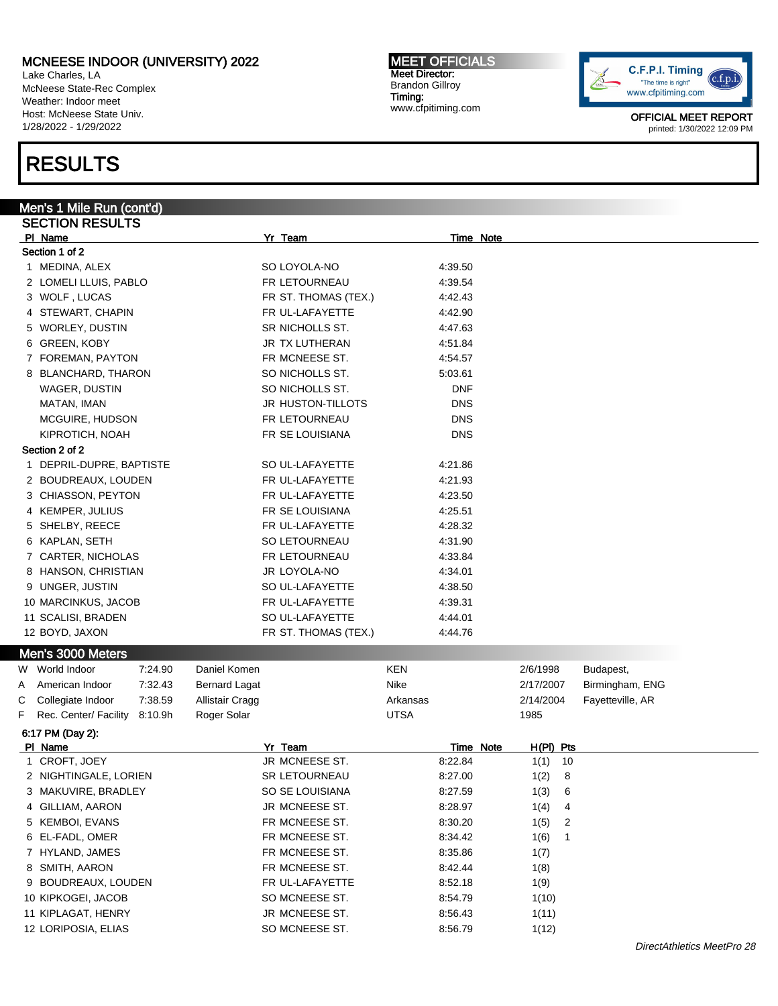Lake Charles, LA McNeese State-Rec Complex Weather: Indoor meet Host: McNeese State Univ. 1/28/2022 - 1/29/2022

# RESULTS

#### MEET OFFICIALS Meet Director: Brandon Gillroy Timing: www.cfpitiming.com



| Men's 1 Mile Run (cont'd)             |                      |             |             |                  |
|---------------------------------------|----------------------|-------------|-------------|------------------|
| <b>SECTION RESULTS</b>                |                      |             |             |                  |
| PI Name                               | Yr Team              | Time Note   |             |                  |
| Section 1 of 2                        |                      |             |             |                  |
| 1 MEDINA, ALEX                        | SO LOYOLA-NO         | 4:39.50     |             |                  |
| 2 LOMELI LLUIS, PABLO                 | FR LETOURNEAU        | 4:39.54     |             |                  |
| 3 WOLF, LUCAS                         | FR ST. THOMAS (TEX.) | 4:42.43     |             |                  |
| 4 STEWART, CHAPIN                     | FR UL-LAFAYETTE      | 4:42.90     |             |                  |
| 5 WORLEY, DUSTIN                      | SR NICHOLLS ST.      | 4:47.63     |             |                  |
| 6 GREEN, KOBY                         | JR TX LUTHERAN       | 4:51.84     |             |                  |
| 7 FOREMAN, PAYTON                     | FR MCNEESE ST.       | 4:54.57     |             |                  |
| 8 BLANCHARD, THARON                   | SO NICHOLLS ST.      | 5:03.61     |             |                  |
| WAGER, DUSTIN                         | SO NICHOLLS ST.      | <b>DNF</b>  |             |                  |
| MATAN, IMAN                           | JR HUSTON-TILLOTS    | <b>DNS</b>  |             |                  |
| MCGUIRE, HUDSON                       | FR LETOURNEAU        | <b>DNS</b>  |             |                  |
| KIPROTICH, NOAH                       | FR SE LOUISIANA      | <b>DNS</b>  |             |                  |
| Section 2 of 2                        |                      |             |             |                  |
| 1 DEPRIL-DUPRE, BAPTISTE              | SO UL-LAFAYETTE      | 4:21.86     |             |                  |
| 2 BOUDREAUX, LOUDEN                   | FR UL-LAFAYETTE      | 4:21.93     |             |                  |
| 3 CHIASSON, PEYTON                    | FR UL-LAFAYETTE      | 4:23.50     |             |                  |
| 4 KEMPER, JULIUS                      | FR SE LOUISIANA      | 4:25.51     |             |                  |
| 5 SHELBY, REECE                       | FR UL-LAFAYETTE      | 4:28.32     |             |                  |
| 6 KAPLAN, SETH                        | SO LETOURNEAU        | 4:31.90     |             |                  |
| 7 CARTER, NICHOLAS                    | FR LETOURNEAU        | 4:33.84     |             |                  |
| 8 HANSON, CHRISTIAN                   | JR LOYOLA-NO         | 4:34.01     |             |                  |
| 9 UNGER, JUSTIN                       | SO UL-LAFAYETTE      | 4:38.50     |             |                  |
| 10 MARCINKUS, JACOB                   | FR UL-LAFAYETTE      | 4:39.31     |             |                  |
| 11 SCALISI, BRADEN                    | SO UL-LAFAYETTE      | 4:44.01     |             |                  |
| 12 BOYD, JAXON                        | FR ST. THOMAS (TEX.) | 4:44.76     |             |                  |
| Men's 3000 Meters                     |                      |             |             |                  |
| W World Indoor<br>7:24.90             | Daniel Komen         | <b>KEN</b>  | 2/6/1998    | Budapest,        |
| American Indoor<br>7:32.43<br>A       | <b>Bernard Lagat</b> | Nike        | 2/17/2007   | Birmingham, ENG  |
| Collegiate Indoor<br>7:38.59<br>С     | Allistair Cragg      | Arkansas    | 2/14/2004   | Fayetteville, AR |
| F<br>Rec. Center/ Facility<br>8:10.9h | Roger Solar          | <b>UTSA</b> | 1985        |                  |
| 6:17 PM (Day 2):                      |                      |             |             |                  |
| PI Name                               | Yr Team              | Time Note   | $H(PI)$ Pts |                  |
| 1 CROFT, JOEY                         | JR MCNEESE ST.       | 8:22.84     | 1(1)<br>10  |                  |
| 2 NIGHTINGALE, LORIEN                 | <b>SR LETOURNEAU</b> | 8:27.00     | 1(2)<br>8   |                  |
| MAKUVIRE, BRADLEY<br>3                | SO SE LOUISIANA      | 8:27.59     | 1(3)<br>6   |                  |
| GILLIAM, AARON<br>4                   | JR MCNEESE ST.       | 8:28.97     | 1(4)<br>4   |                  |
| KEMBOI, EVANS<br>5                    | FR MCNEESE ST.       | 8:30.20     | 2<br>1(5)   |                  |
| EL-FADL, OMER<br>6                    | FR MCNEESE ST.       | 8:34.42     | 1<br>1(6)   |                  |
| HYLAND, JAMES<br>7                    | FR MCNEESE ST.       | 8:35.86     | 1(7)        |                  |
| SMITH, AARON<br>8                     | FR MCNEESE ST.       | 8:42.44     | 1(8)        |                  |
| BOUDREAUX, LOUDEN<br>9                | FR UL-LAFAYETTE      | 8:52.18     | 1(9)        |                  |
| 10 KIPKOGEI, JACOB                    | SO MCNEESE ST.       | 8:54.79     | 1(10)       |                  |
| 11 KIPLAGAT, HENRY                    | JR MCNEESE ST.       | 8:56.43     | 1(11)       |                  |
| 12 LORIPOSIA, ELIAS                   | SO MCNEESE ST.       | 8:56.79     | 1(12)       |                  |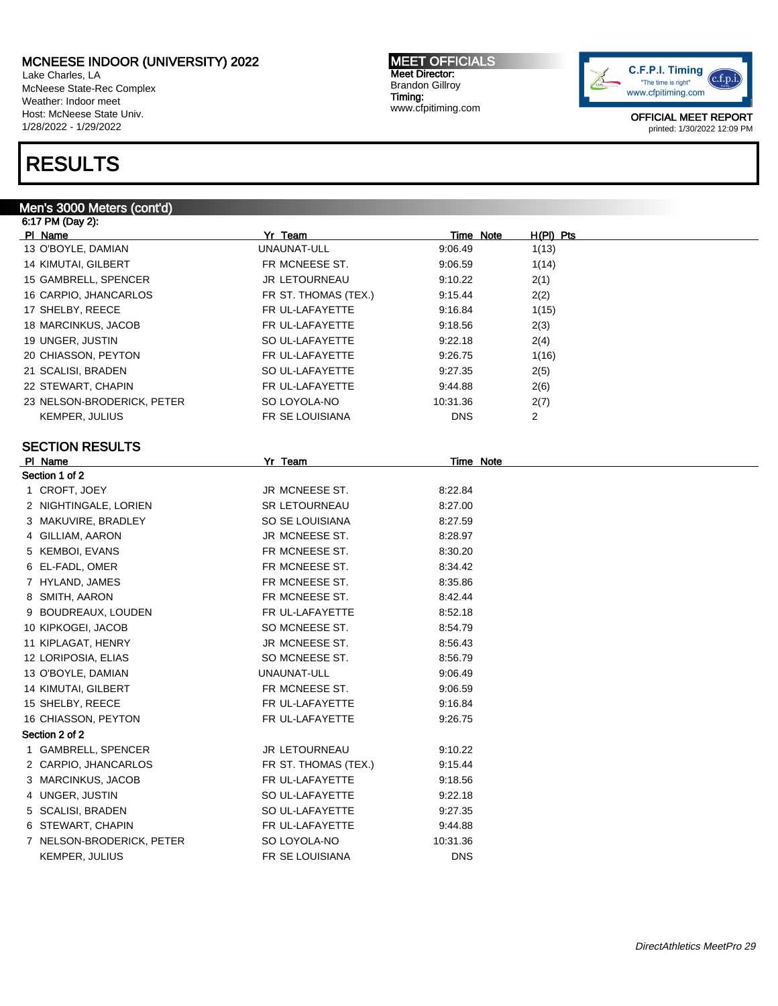Lake Charles, LA McNeese State-Rec Complex Weather: Indoor meet Host: McNeese State Univ. 1/28/2022 - 1/29/2022

# RESULTS

#### Men's 3000 Meters (cont'd)

MEET OFFICIALS Meet Director: Brandon Gillroy Timing: www.cfpitiming.com



| 6:17 PM (Day 2):           |                      |            |             |  |
|----------------------------|----------------------|------------|-------------|--|
| <b>PI Name</b>             | Yr Team              | Time Note  | $H(PI)$ Pts |  |
| 13 O'BOYLE, DAMIAN         | UNAUNAT-ULL          | 9:06.49    | 1(13)       |  |
| 14 KIMUTAI, GILBERT        | FR MCNEESE ST.       | 9:06.59    | 1(14)       |  |
| 15 GAMBRELL, SPENCER       | <b>JR LETOURNEAU</b> | 9:10.22    | 2(1)        |  |
| 16 CARPIO, JHANCARLOS      | FR ST. THOMAS (TEX.) | 9:15.44    | 2(2)        |  |
| 17 SHELBY, REECE           | FR UL-LAFAYETTE      | 9:16.84    | 1(15)       |  |
| 18 MARCINKUS, JACOB        | FR UL-LAFAYETTE      | 9:18.56    | 2(3)        |  |
| 19 UNGER, JUSTIN           | SO UL-LAFAYETTE      | 9:22.18    | 2(4)        |  |
| 20 CHIASSON, PEYTON        | FR UL-LAFAYETTE      | 9:26.75    | 1(16)       |  |
| 21 SCALISI, BRADEN         | SO UL-LAFAYETTE      | 9:27.35    | 2(5)        |  |
| 22 STEWART, CHAPIN         | FR UL-LAFAYETTE      | 9:44.88    | 2(6)        |  |
| 23 NELSON-BRODERICK, PETER | SO LOYOLA-NO         | 10:31.36   | 2(7)        |  |
| KEMPER, JULIUS             | FR SE LOUISIANA      | <b>DNS</b> | 2           |  |
|                            |                      |            |             |  |
| <b>SECTION RESULTS</b>     |                      |            |             |  |
| PI Name                    | Yr Team              | Time Note  |             |  |
| Section 1 of 2             |                      |            |             |  |
| 1 CROFT, JOEY              | JR MCNEESE ST.       | 8:22.84    |             |  |
| 2 NIGHTINGALE, LORIEN      | <b>SR LETOURNEAU</b> | 8:27.00    |             |  |
| 3 MAKUVIRE, BRADLEY        | SO SE LOUISIANA      | 8:27.59    |             |  |
| 4 GILLIAM, AARON           | JR MCNEESE ST.       | 8:28.97    |             |  |
| 5 KEMBOI, EVANS            | FR MCNEESE ST.       | 8:30.20    |             |  |
| 6 EL-FADL, OMER            | FR MCNEESE ST.       | 8:34.42    |             |  |
| 7 HYLAND, JAMES            | FR MCNEESE ST.       | 8:35.86    |             |  |
| 8 SMITH, AARON             | FR MCNEESE ST.       | 8:42.44    |             |  |
| 9 BOUDREAUX, LOUDEN        | FR UL-LAFAYETTE      | 8:52.18    |             |  |
| 10 KIPKOGEI, JACOB         | SO MCNEESE ST.       | 8:54.79    |             |  |
| 11 KIPLAGAT, HENRY         | JR MCNEESE ST.       | 8:56.43    |             |  |
| 12 LORIPOSIA, ELIAS        | SO MCNEESE ST.       | 8:56.79    |             |  |
| 13 O'BOYLE, DAMIAN         | UNAUNAT-ULL          | 9:06.49    |             |  |
| 14 KIMUTAI, GILBERT        | FR MCNEESE ST.       | 9:06.59    |             |  |
| 15 SHELBY, REECE           | FR UL-LAFAYETTE      | 9:16.84    |             |  |
| 16 CHIASSON, PEYTON        | FR UL-LAFAYETTE      | 9:26.75    |             |  |
| Section 2 of 2             |                      |            |             |  |
| 1 GAMBRELL, SPENCER        | <b>JR LETOURNEAU</b> | 9:10.22    |             |  |
| 2 CARPIO, JHANCARLOS       | FR ST. THOMAS (TEX.) | 9:15.44    |             |  |
| 3 MARCINKUS, JACOB         | FR UL-LAFAYETTE      | 9:18.56    |             |  |
| 4 UNGER, JUSTIN            | SO UL-LAFAYETTE      | 9:22.18    |             |  |
| 5 SCALISI, BRADEN          | SO UL-LAFAYETTE      | 9:27.35    |             |  |
| 6 STEWART, CHAPIN          | FR UL-LAFAYETTE      | 9:44.88    |             |  |
| 7 NELSON-BRODERICK, PETER  | SO LOYOLA-NO         | 10:31.36   |             |  |
| KEMPER, JULIUS             | FR SE LOUISIANA      | <b>DNS</b> |             |  |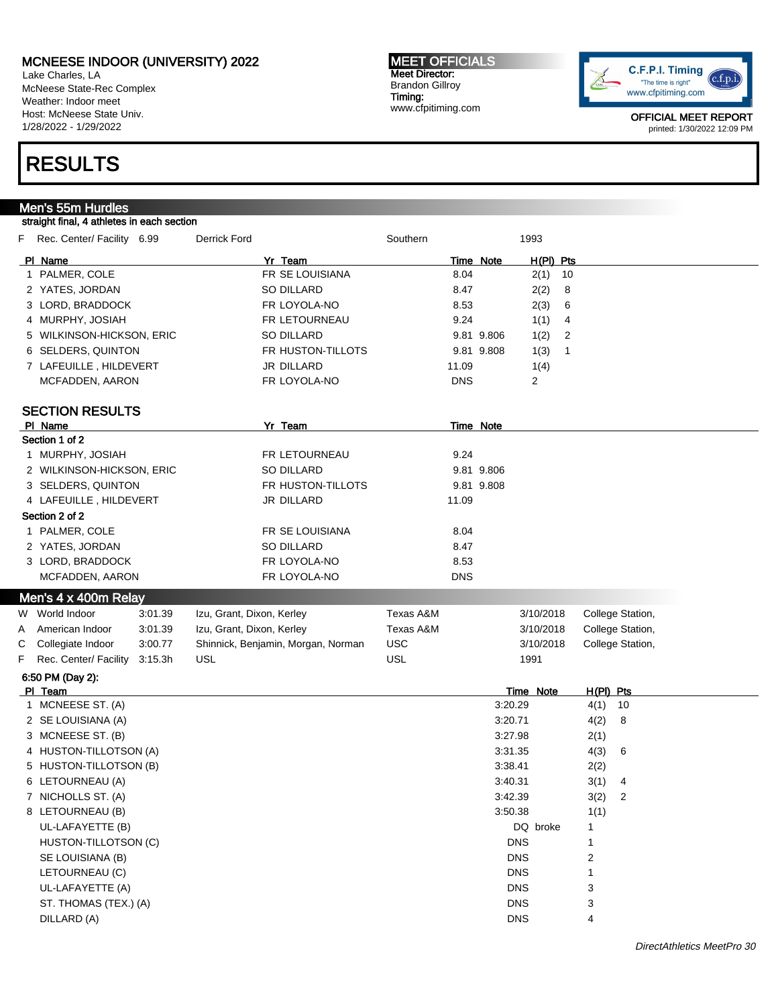Lake Charles, LA McNeese State-Rec Complex Weather: Indoor meet Host: McNeese State Univ. 1/28/2022 - 1/29/2022

#### MEET OFFICIALS Meet Director: Brandon Gillroy Timing: www.cfpitiming.com



OFFICIAL MEET REPORT printed: 1/30/2022 12:09 PM

# RESULTS

## Men's 55m Hurdles

#### straight final, 4 athletes in each section

| H(PI) Pts<br>PI Name<br>Yr Team<br>Time Note<br>1 PALMER, COLE<br>FR SE LOUISIANA<br>8.04<br>2(1)<br>10<br>2 YATES, JORDAN<br>SO DILLARD<br>8.47<br>2(2)<br>8<br>FR LOYOLA-NO<br>3 LORD, BRADDOCK<br>8.53<br>2(3)<br>6<br>4 MURPHY, JOSIAH<br>FR LETOURNEAU<br>9.24<br>1(1)<br>4<br>5 WILKINSON-HICKSON, ERIC<br>SO DILLARD<br>9.81 9.806<br>1(2)<br>2<br>6 SELDERS, QUINTON<br>FR HUSTON-TILLOTS<br>9.81 9.808<br>1(3)<br>1<br><b>JR DILLARD</b><br>7 LAFEUILLE, HILDEVERT<br>11.09<br>1(4)<br>FR LOYOLA-NO<br><b>DNS</b><br>2<br>MCFADDEN, AARON<br><b>SECTION RESULTS</b><br>PI Name<br>Yr Team<br>Time Note<br>Section 1 of 2<br>1 MURPHY, JOSIAH<br>9.24<br>FR LETOURNEAU<br>SO DILLARD<br>9.81 9.806<br>2 WILKINSON-HICKSON, ERIC<br>3 SELDERS, QUINTON<br>FR HUSTON-TILLOTS<br>9.81 9.808<br>4 LAFEUILLE, HILDEVERT<br>JR DILLARD<br>11.09<br>Section 2 of 2<br>1 PALMER, COLE<br>FR SE LOUISIANA<br>8.04<br>2 YATES, JORDAN<br><b>SO DILLARD</b><br>8.47<br>3 LORD, BRADDOCK<br>FR LOYOLA-NO<br>8.53<br>MCFADDEN, AARON<br>FR LOYOLA-NO<br><b>DNS</b><br>Men's 4 x 400m Relay<br>W World Indoor<br>Izu, Grant, Dixon, Kerley<br>Texas A&M<br>College Station,<br>3:01.39<br>3/10/2018<br>Izu, Grant, Dixon, Kerley<br>Texas A&M<br>College Station,<br>American Indoor<br>3:01.39<br>3/10/2018<br>A<br><b>USC</b><br>Shinnick, Benjamin, Morgan, Norman<br>С<br>Collegiate Indoor<br>3:00.77<br>3/10/2018<br>College Station,<br><b>USL</b><br><b>USL</b><br>Rec. Center/ Facility<br>F<br>3:15.3h<br>1991<br>6:50 PM (Day 2):<br>Time Note<br>H(PI) Pts<br>PI Team<br>1 MCNEESE ST. (A)<br>3:20.29<br>$4(1)$ 10<br>4(2)<br>2 SE LOUISIANA (A)<br>3:20.71<br>8<br>3 MCNEESE ST. (B)<br>3:27.98<br>2(1)<br>4 HUSTON-TILLOTSON (A)<br>3:31.35<br>4(3)<br>6 |
|------------------------------------------------------------------------------------------------------------------------------------------------------------------------------------------------------------------------------------------------------------------------------------------------------------------------------------------------------------------------------------------------------------------------------------------------------------------------------------------------------------------------------------------------------------------------------------------------------------------------------------------------------------------------------------------------------------------------------------------------------------------------------------------------------------------------------------------------------------------------------------------------------------------------------------------------------------------------------------------------------------------------------------------------------------------------------------------------------------------------------------------------------------------------------------------------------------------------------------------------------------------------------------------------------------------------------------------------------------------------------------------------------------------------------------------------------------------------------------------------------------------------------------------------------------------------------------------------------------------------------------------------------------------------------------------------------------------------------------------------------------------|
|                                                                                                                                                                                                                                                                                                                                                                                                                                                                                                                                                                                                                                                                                                                                                                                                                                                                                                                                                                                                                                                                                                                                                                                                                                                                                                                                                                                                                                                                                                                                                                                                                                                                                                                                                                  |
|                                                                                                                                                                                                                                                                                                                                                                                                                                                                                                                                                                                                                                                                                                                                                                                                                                                                                                                                                                                                                                                                                                                                                                                                                                                                                                                                                                                                                                                                                                                                                                                                                                                                                                                                                                  |
|                                                                                                                                                                                                                                                                                                                                                                                                                                                                                                                                                                                                                                                                                                                                                                                                                                                                                                                                                                                                                                                                                                                                                                                                                                                                                                                                                                                                                                                                                                                                                                                                                                                                                                                                                                  |
|                                                                                                                                                                                                                                                                                                                                                                                                                                                                                                                                                                                                                                                                                                                                                                                                                                                                                                                                                                                                                                                                                                                                                                                                                                                                                                                                                                                                                                                                                                                                                                                                                                                                                                                                                                  |
|                                                                                                                                                                                                                                                                                                                                                                                                                                                                                                                                                                                                                                                                                                                                                                                                                                                                                                                                                                                                                                                                                                                                                                                                                                                                                                                                                                                                                                                                                                                                                                                                                                                                                                                                                                  |
|                                                                                                                                                                                                                                                                                                                                                                                                                                                                                                                                                                                                                                                                                                                                                                                                                                                                                                                                                                                                                                                                                                                                                                                                                                                                                                                                                                                                                                                                                                                                                                                                                                                                                                                                                                  |
|                                                                                                                                                                                                                                                                                                                                                                                                                                                                                                                                                                                                                                                                                                                                                                                                                                                                                                                                                                                                                                                                                                                                                                                                                                                                                                                                                                                                                                                                                                                                                                                                                                                                                                                                                                  |
|                                                                                                                                                                                                                                                                                                                                                                                                                                                                                                                                                                                                                                                                                                                                                                                                                                                                                                                                                                                                                                                                                                                                                                                                                                                                                                                                                                                                                                                                                                                                                                                                                                                                                                                                                                  |
|                                                                                                                                                                                                                                                                                                                                                                                                                                                                                                                                                                                                                                                                                                                                                                                                                                                                                                                                                                                                                                                                                                                                                                                                                                                                                                                                                                                                                                                                                                                                                                                                                                                                                                                                                                  |
|                                                                                                                                                                                                                                                                                                                                                                                                                                                                                                                                                                                                                                                                                                                                                                                                                                                                                                                                                                                                                                                                                                                                                                                                                                                                                                                                                                                                                                                                                                                                                                                                                                                                                                                                                                  |
|                                                                                                                                                                                                                                                                                                                                                                                                                                                                                                                                                                                                                                                                                                                                                                                                                                                                                                                                                                                                                                                                                                                                                                                                                                                                                                                                                                                                                                                                                                                                                                                                                                                                                                                                                                  |
|                                                                                                                                                                                                                                                                                                                                                                                                                                                                                                                                                                                                                                                                                                                                                                                                                                                                                                                                                                                                                                                                                                                                                                                                                                                                                                                                                                                                                                                                                                                                                                                                                                                                                                                                                                  |
|                                                                                                                                                                                                                                                                                                                                                                                                                                                                                                                                                                                                                                                                                                                                                                                                                                                                                                                                                                                                                                                                                                                                                                                                                                                                                                                                                                                                                                                                                                                                                                                                                                                                                                                                                                  |
|                                                                                                                                                                                                                                                                                                                                                                                                                                                                                                                                                                                                                                                                                                                                                                                                                                                                                                                                                                                                                                                                                                                                                                                                                                                                                                                                                                                                                                                                                                                                                                                                                                                                                                                                                                  |
|                                                                                                                                                                                                                                                                                                                                                                                                                                                                                                                                                                                                                                                                                                                                                                                                                                                                                                                                                                                                                                                                                                                                                                                                                                                                                                                                                                                                                                                                                                                                                                                                                                                                                                                                                                  |
|                                                                                                                                                                                                                                                                                                                                                                                                                                                                                                                                                                                                                                                                                                                                                                                                                                                                                                                                                                                                                                                                                                                                                                                                                                                                                                                                                                                                                                                                                                                                                                                                                                                                                                                                                                  |
|                                                                                                                                                                                                                                                                                                                                                                                                                                                                                                                                                                                                                                                                                                                                                                                                                                                                                                                                                                                                                                                                                                                                                                                                                                                                                                                                                                                                                                                                                                                                                                                                                                                                                                                                                                  |
|                                                                                                                                                                                                                                                                                                                                                                                                                                                                                                                                                                                                                                                                                                                                                                                                                                                                                                                                                                                                                                                                                                                                                                                                                                                                                                                                                                                                                                                                                                                                                                                                                                                                                                                                                                  |
|                                                                                                                                                                                                                                                                                                                                                                                                                                                                                                                                                                                                                                                                                                                                                                                                                                                                                                                                                                                                                                                                                                                                                                                                                                                                                                                                                                                                                                                                                                                                                                                                                                                                                                                                                                  |
|                                                                                                                                                                                                                                                                                                                                                                                                                                                                                                                                                                                                                                                                                                                                                                                                                                                                                                                                                                                                                                                                                                                                                                                                                                                                                                                                                                                                                                                                                                                                                                                                                                                                                                                                                                  |
|                                                                                                                                                                                                                                                                                                                                                                                                                                                                                                                                                                                                                                                                                                                                                                                                                                                                                                                                                                                                                                                                                                                                                                                                                                                                                                                                                                                                                                                                                                                                                                                                                                                                                                                                                                  |
|                                                                                                                                                                                                                                                                                                                                                                                                                                                                                                                                                                                                                                                                                                                                                                                                                                                                                                                                                                                                                                                                                                                                                                                                                                                                                                                                                                                                                                                                                                                                                                                                                                                                                                                                                                  |
|                                                                                                                                                                                                                                                                                                                                                                                                                                                                                                                                                                                                                                                                                                                                                                                                                                                                                                                                                                                                                                                                                                                                                                                                                                                                                                                                                                                                                                                                                                                                                                                                                                                                                                                                                                  |
|                                                                                                                                                                                                                                                                                                                                                                                                                                                                                                                                                                                                                                                                                                                                                                                                                                                                                                                                                                                                                                                                                                                                                                                                                                                                                                                                                                                                                                                                                                                                                                                                                                                                                                                                                                  |
|                                                                                                                                                                                                                                                                                                                                                                                                                                                                                                                                                                                                                                                                                                                                                                                                                                                                                                                                                                                                                                                                                                                                                                                                                                                                                                                                                                                                                                                                                                                                                                                                                                                                                                                                                                  |
|                                                                                                                                                                                                                                                                                                                                                                                                                                                                                                                                                                                                                                                                                                                                                                                                                                                                                                                                                                                                                                                                                                                                                                                                                                                                                                                                                                                                                                                                                                                                                                                                                                                                                                                                                                  |
|                                                                                                                                                                                                                                                                                                                                                                                                                                                                                                                                                                                                                                                                                                                                                                                                                                                                                                                                                                                                                                                                                                                                                                                                                                                                                                                                                                                                                                                                                                                                                                                                                                                                                                                                                                  |
|                                                                                                                                                                                                                                                                                                                                                                                                                                                                                                                                                                                                                                                                                                                                                                                                                                                                                                                                                                                                                                                                                                                                                                                                                                                                                                                                                                                                                                                                                                                                                                                                                                                                                                                                                                  |
|                                                                                                                                                                                                                                                                                                                                                                                                                                                                                                                                                                                                                                                                                                                                                                                                                                                                                                                                                                                                                                                                                                                                                                                                                                                                                                                                                                                                                                                                                                                                                                                                                                                                                                                                                                  |
|                                                                                                                                                                                                                                                                                                                                                                                                                                                                                                                                                                                                                                                                                                                                                                                                                                                                                                                                                                                                                                                                                                                                                                                                                                                                                                                                                                                                                                                                                                                                                                                                                                                                                                                                                                  |
|                                                                                                                                                                                                                                                                                                                                                                                                                                                                                                                                                                                                                                                                                                                                                                                                                                                                                                                                                                                                                                                                                                                                                                                                                                                                                                                                                                                                                                                                                                                                                                                                                                                                                                                                                                  |
|                                                                                                                                                                                                                                                                                                                                                                                                                                                                                                                                                                                                                                                                                                                                                                                                                                                                                                                                                                                                                                                                                                                                                                                                                                                                                                                                                                                                                                                                                                                                                                                                                                                                                                                                                                  |
|                                                                                                                                                                                                                                                                                                                                                                                                                                                                                                                                                                                                                                                                                                                                                                                                                                                                                                                                                                                                                                                                                                                                                                                                                                                                                                                                                                                                                                                                                                                                                                                                                                                                                                                                                                  |
| 5 HUSTON-TILLOTSON (B)<br>3:38.41<br>2(2)                                                                                                                                                                                                                                                                                                                                                                                                                                                                                                                                                                                                                                                                                                                                                                                                                                                                                                                                                                                                                                                                                                                                                                                                                                                                                                                                                                                                                                                                                                                                                                                                                                                                                                                        |
| 6 LETOURNEAU (A)<br>3(1)<br>3:40.31<br>4                                                                                                                                                                                                                                                                                                                                                                                                                                                                                                                                                                                                                                                                                                                                                                                                                                                                                                                                                                                                                                                                                                                                                                                                                                                                                                                                                                                                                                                                                                                                                                                                                                                                                                                         |
| 7 NICHOLLS ST. (A)<br>3:42.39<br>3(2)<br>2                                                                                                                                                                                                                                                                                                                                                                                                                                                                                                                                                                                                                                                                                                                                                                                                                                                                                                                                                                                                                                                                                                                                                                                                                                                                                                                                                                                                                                                                                                                                                                                                                                                                                                                       |
| 1(1)<br>8 LETOURNEAU (B)<br>3:50.38                                                                                                                                                                                                                                                                                                                                                                                                                                                                                                                                                                                                                                                                                                                                                                                                                                                                                                                                                                                                                                                                                                                                                                                                                                                                                                                                                                                                                                                                                                                                                                                                                                                                                                                              |
| UL-LAFAYETTE (B)<br>DQ broke<br>1                                                                                                                                                                                                                                                                                                                                                                                                                                                                                                                                                                                                                                                                                                                                                                                                                                                                                                                                                                                                                                                                                                                                                                                                                                                                                                                                                                                                                                                                                                                                                                                                                                                                                                                                |
| <b>DNS</b><br>HUSTON-TILLOTSON (C)<br>1                                                                                                                                                                                                                                                                                                                                                                                                                                                                                                                                                                                                                                                                                                                                                                                                                                                                                                                                                                                                                                                                                                                                                                                                                                                                                                                                                                                                                                                                                                                                                                                                                                                                                                                          |
| <b>DNS</b><br>2<br>SE LOUISIANA (B)                                                                                                                                                                                                                                                                                                                                                                                                                                                                                                                                                                                                                                                                                                                                                                                                                                                                                                                                                                                                                                                                                                                                                                                                                                                                                                                                                                                                                                                                                                                                                                                                                                                                                                                              |
| <b>DNS</b><br>LETOURNEAU (C)<br>1                                                                                                                                                                                                                                                                                                                                                                                                                                                                                                                                                                                                                                                                                                                                                                                                                                                                                                                                                                                                                                                                                                                                                                                                                                                                                                                                                                                                                                                                                                                                                                                                                                                                                                                                |
| <b>DNS</b><br>3<br>UL-LAFAYETTE (A)                                                                                                                                                                                                                                                                                                                                                                                                                                                                                                                                                                                                                                                                                                                                                                                                                                                                                                                                                                                                                                                                                                                                                                                                                                                                                                                                                                                                                                                                                                                                                                                                                                                                                                                              |
| <b>DNS</b><br>3<br>ST. THOMAS (TEX.) (A)                                                                                                                                                                                                                                                                                                                                                                                                                                                                                                                                                                                                                                                                                                                                                                                                                                                                                                                                                                                                                                                                                                                                                                                                                                                                                                                                                                                                                                                                                                                                                                                                                                                                                                                         |
|                                                                                                                                                                                                                                                                                                                                                                                                                                                                                                                                                                                                                                                                                                                                                                                                                                                                                                                                                                                                                                                                                                                                                                                                                                                                                                                                                                                                                                                                                                                                                                                                                                                                                                                                                                  |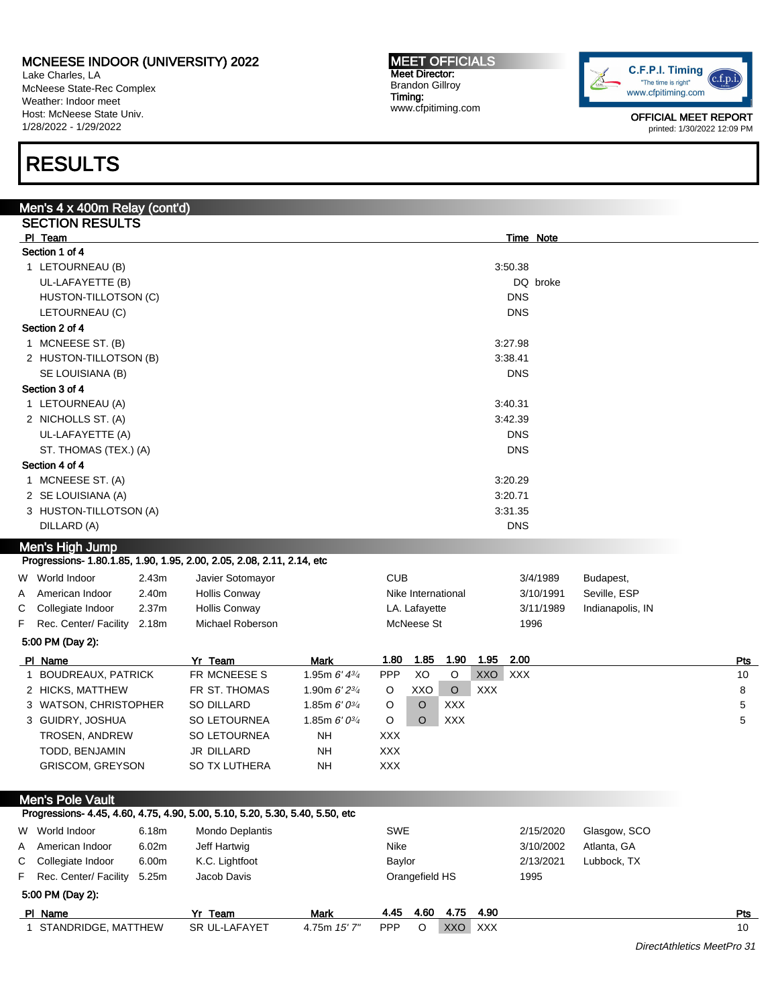Lake Charles, LA McNeese State-Rec Complex Weather: Indoor meet Host: McNeese State Univ. 1/28/2022 - 1/29/2022

# RESULTS

| Men's 4 x 400m Relay (cont'd)                                                                            |                                       |                                                              |                          |                             |                    |            |                   |                  |            |
|----------------------------------------------------------------------------------------------------------|---------------------------------------|--------------------------------------------------------------|--------------------------|-----------------------------|--------------------|------------|-------------------|------------------|------------|
| <b>SECTION RESULTS</b>                                                                                   |                                       |                                                              |                          |                             |                    |            |                   |                  |            |
| PI Team                                                                                                  |                                       |                                                              |                          |                             |                    |            | Time Note         |                  |            |
| Section 1 of 4                                                                                           |                                       |                                                              |                          |                             |                    |            |                   |                  |            |
| 1 LETOURNEAU (B)                                                                                         |                                       |                                                              |                          |                             |                    |            | 3:50.38           |                  |            |
| UL-LAFAYETTE (B)                                                                                         |                                       |                                                              |                          |                             |                    |            | DQ broke          |                  |            |
| HUSTON-TILLOTSON (C)                                                                                     |                                       |                                                              |                          |                             |                    |            | <b>DNS</b>        |                  |            |
| LETOURNEAU (C)                                                                                           |                                       |                                                              |                          |                             |                    |            | <b>DNS</b>        |                  |            |
| Section 2 of 4                                                                                           |                                       |                                                              |                          |                             |                    |            |                   |                  |            |
| 1 MCNEESE ST. (B)                                                                                        |                                       |                                                              |                          |                             |                    |            | 3:27.98           |                  |            |
| 2 HUSTON-TILLOTSON (B)                                                                                   |                                       |                                                              | 3:38.41<br>DNS           |                             |                    |            |                   |                  |            |
| SE LOUISIANA (B)                                                                                         |                                       |                                                              |                          |                             |                    |            |                   |                  |            |
| Section 3 of 4<br>1 LETOURNEAU (A)                                                                       |                                       |                                                              |                          |                             |                    |            | 3:40.31           |                  |            |
| 2 NICHOLLS ST. (A)                                                                                       |                                       |                                                              |                          |                             |                    |            |                   |                  |            |
| UL-LAFAYETTE (A)                                                                                         |                                       |                                                              | 3:42.39<br><b>DNS</b>    |                             |                    |            |                   |                  |            |
| ST. THOMAS (TEX.) (A)                                                                                    |                                       |                                                              | <b>DNS</b>               |                             |                    |            |                   |                  |            |
| Section 4 of 4                                                                                           |                                       |                                                              |                          |                             |                    |            |                   |                  |            |
| 1 MCNEESE ST. (A)                                                                                        |                                       |                                                              |                          |                             |                    |            | 3:20.29           |                  |            |
| 2 SE LOUISIANA (A)                                                                                       |                                       |                                                              |                          |                             |                    |            | 3:20.71           |                  |            |
| 3 HUSTON-TILLOTSON (A)                                                                                   |                                       |                                                              |                          |                             |                    |            | 3:31.35           |                  |            |
| DILLARD (A)                                                                                              |                                       |                                                              |                          |                             |                    |            | <b>DNS</b>        |                  |            |
|                                                                                                          |                                       |                                                              |                          |                             |                    |            |                   |                  |            |
| <b>Men's High Jump</b><br>Progressions- 1.80.1.85, 1.90, 1.95, 2.00, 2.05, 2.08, 2.11, 2.14, etc         |                                       |                                                              |                          |                             |                    |            |                   |                  |            |
|                                                                                                          |                                       |                                                              |                          |                             |                    |            |                   |                  |            |
| W World Indoor<br>2.43m                                                                                  | Javier Sotomayor                      |                                                              | <b>CUB</b>               |                             |                    |            | 3/4/1989          | Budapest,        |            |
| 2.40m<br>American Indoor<br>A<br>2.37 <sub>m</sub>                                                       | Hollis Conway<br><b>Hollis Conway</b> |                                                              |                          |                             | Nike International |            | 3/10/1991         | Seville, ESP     |            |
| С<br>Collegiate Indoor<br>F<br>Rec. Center/ Facility 2.18m                                               | Michael Roberson                      |                                                              |                          | LA. Lafayette<br>McNeese St |                    |            | 3/11/1989<br>1996 | Indianapolis, IN |            |
|                                                                                                          |                                       |                                                              |                          |                             |                    |            |                   |                  |            |
| 5:00 PM (Day 2):                                                                                         |                                       |                                                              |                          |                             |                    |            |                   |                  |            |
| PI Name                                                                                                  | Yr Team                               | <b>Mark</b>                                                  | 1.80                     | 1.85                        | 1.90               | 1.95       | 2.00              |                  | <u>Pts</u> |
| 1 BOUDREAUX, PATRICK                                                                                     | FR MCNEESE S                          | 1.95m $6'$ $4^{3/4}$                                         | PPP                      | XO                          | $\mathsf O$        | XXO XXX    |                   |                  | 10         |
| 2 HICKS, MATTHEW                                                                                         | FR ST. THOMAS                         | 1.90m $6'2^{3/4}$                                            | O                        | XXO                         | $\circ$            | <b>XXX</b> |                   |                  | 8          |
| 3 WATSON, CHRISTOPHER                                                                                    | SO DILLARD                            | 1.85m $6' 0^{3/4}$                                           | O                        | O                           | <b>XXX</b>         |            |                   |                  | 5          |
| 3 GUIDRY, JOSHUA                                                                                         | <b>SO LETOURNEA</b>                   | 1.85m $6' 0^{3/4}$                                           | O                        | O                           | <b>XXX</b>         |            |                   |                  | 5          |
| <b>TROSEN, ANDREW</b>                                                                                    | <b>SO LETOURNEA</b>                   | <b>NH</b>                                                    | <b>XXX</b>               |                             |                    |            |                   |                  |            |
| TODD, BENJAMIN<br><b>GRISCOM, GREYSON</b>                                                                | JR DILLARD<br>SO TX LUTHERA           | <b>NH</b><br>NΗ                                              | <b>XXX</b><br><b>XXX</b> |                             |                    |            |                   |                  |            |
|                                                                                                          |                                       |                                                              |                          |                             |                    |            |                   |                  |            |
|                                                                                                          |                                       |                                                              |                          |                             |                    |            |                   |                  |            |
| <b>Men's Pole Vault</b><br>Progressions- 4.45, 4.60, 4.75, 4.90, 5.00, 5.10, 5.20, 5.30, 5.40, 5.50, etc |                                       |                                                              |                          |                             |                    |            |                   |                  |            |
| W World Indoor<br>6.18m                                                                                  |                                       |                                                              | SWE                      |                             |                    |            | 2/15/2020         | Glasgow, SCO     |            |
| 6.02m<br>American Indoor                                                                                 | Mondo Deplantis<br>Jeff Hartwig       |                                                              | Nike                     |                             |                    |            | 3/10/2002         | Atlanta, GA      |            |
| A<br>С<br>Collegiate Indoor<br>6.00m                                                                     |                                       |                                                              |                          |                             |                    |            |                   |                  |            |
| F<br>Rec. Center/ Facility<br>5.25m                                                                      | K.C. Lightfoot<br>Jacob Davis         | Baylor<br>2/13/2021<br>Lubbock, TX<br>Orangefield HS<br>1995 |                          |                             |                    |            |                   |                  |            |
| 5:00 PM (Day 2):                                                                                         |                                       |                                                              |                          |                             |                    |            |                   |                  |            |
| PI Name                                                                                                  | Yr Team                               | <b>Mark</b>                                                  | 4.45                     | 4.60                        | 4.75               | 4.90       |                   |                  | Pts        |
| 1 STANDRIDGE, MATTHEW                                                                                    | SR UL-LAFAYET                         | 4.75m 15' 7"                                                 | <b>PPP</b>               | O                           | XXO XXX            |            |                   |                  | 10         |
|                                                                                                          |                                       |                                                              |                          |                             |                    |            |                   |                  |            |

C.F.P.I. Timing  $(c.f.p.i$ "The time is right" www.cfpitiming.com

> OFFICIAL MEET REPORT printed: 1/30/2022 12:09 PM

MEET OFFICIALS Meet Director: Brandon Gillroy Timing: www.cfpitiming.com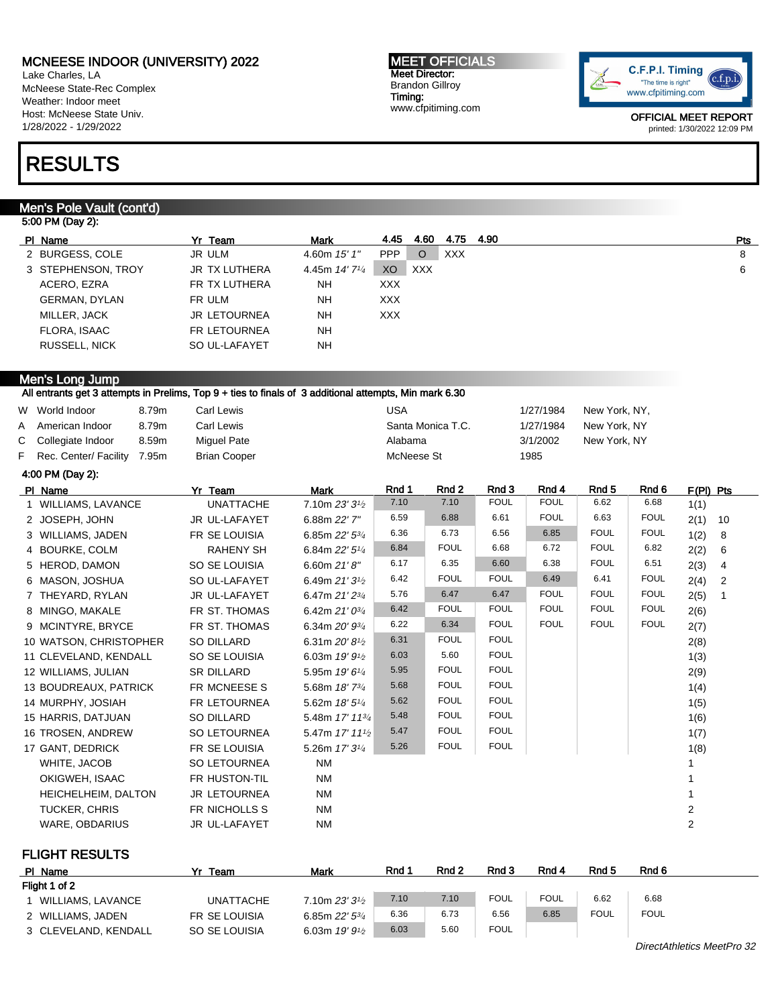Lake Charles, LA McNeese State-Rec Complex Weather: Indoor meet Host: McNeese State Univ. 1/28/2022 - 1/29/2022

# RESULTS

### Men's Pole Vault (cont'd)

### 5:00 PM (Day 2):

| PI Name              | Yr Team             | Mark                         | 4.45       | 4.60 | 4.75       | 4.90 | Pts |
|----------------------|---------------------|------------------------------|------------|------|------------|------|-----|
| 2 BURGESS, COLE      | JR ULM              | 4.60m 15' 1"                 | <b>PPP</b> | O    | <b>XXX</b> |      | 8   |
| 3 STEPHENSON, TROY   | JR TX LUTHERA       | 4.45m $14'$ 7 <sup>1/4</sup> | XO         | XXX  |            |      | 6   |
| ACERO, EZRA          | FR TX LUTHERA       | NH                           | <b>XXX</b> |      |            |      |     |
| <b>GERMAN, DYLAN</b> | FR ULM              | <b>NH</b>                    | <b>XXX</b> |      |            |      |     |
| MILLER, JACK         | <b>JR LETOURNEA</b> | <b>NH</b>                    | <b>XXX</b> |      |            |      |     |
| FLORA, ISAAC         | <b>FR LETOURNEA</b> | <b>NH</b>                    |            |      |            |      |     |
| <b>RUSSELL, NICK</b> | SO UL-LAFAYET       | <b>NH</b>                    |            |      |            |      |     |

MEET OFFICIALS Meet Director: Brandon Gillroy Timing:

www.cfpitiming.com

### Men's Long Jump

All entrants get 3 attempts in Prelims, Top 9 + ties to finals of 3 additional attempts, Min mark 6.30

9 MCINTYRE, BRYCE FR ST. THOMAS 6.34m 20' 93/4

| W World Indoor          | 8.79m | Carl Lewis           |                    | USA        |                   |             | 1/27/1984   | New York, NY, |             |             |      |
|-------------------------|-------|----------------------|--------------------|------------|-------------------|-------------|-------------|---------------|-------------|-------------|------|
| A American Indoor       | 8.79m | Carl Lewis           |                    |            | Santa Monica T.C. |             | 1/27/1984   | New York, NY  |             |             |      |
| C Collegiate Indoor     | 8.59m | <b>Miquel Pate</b>   |                    | Alabama    |                   |             | 3/1/2002    | New York, NY  |             |             |      |
| F Rec. Center/ Facility | 7.95m | <b>Brian Cooper</b>  |                    | McNeese St |                   |             | 1985        |               |             |             |      |
| 4:00 PM (Day 2):        |       |                      |                    |            |                   |             |             |               |             |             |      |
| PI Name                 |       | Yr Team              | Mark               | Rnd 1      | Rnd 2             | Rnd 3       | Rnd 4       | Rnd 5         | Rnd 6       | $F(PI)$ Pts |      |
| 1 WILLIAMS, LAVANCE     |       | <b>UNATTACHE</b>     | 7.10m $23'3'$      | 7.10       | 7.10              | <b>FOUL</b> | <b>FOUL</b> | 6.62          | 6.68        | 1(1)        |      |
| 2 JOSEPH, JOHN          |       | <b>JR UL-LAFAYET</b> | 6.88m 22' 7"       | 6.59       | 6.88              | 6.61        | <b>FOUL</b> | 6.63          | <b>FOUL</b> | 2(1)        | - 10 |
| 3 WILLIAMS, JADEN       |       | FR SE LOUISIA        | 6.85m $22'5^{3/4}$ | 6.36       | 6.73              | 6.56        | 6.85        | <b>FOUL</b>   | <b>FOUL</b> | 1(2)        | - 8  |
| 4 BOURKE, COLM          |       | <b>RAHENY SH</b>     | 6.84m $22'5''$     | 6.84       | <b>FOUL</b>       | 6.68        | 6.72        | <b>FOUL</b>   | 6.82        | 2(2)        | - 6  |
| 5 HEROD, DAMON          |       | SO SE LOUISIA        | 6.60m $21'8''$     | 6.17       | 6.35              | 6.60        | 6.38        | <b>FOUL</b>   | 6.51        | 2(3)        | 4    |
| 6 MASON, JOSHUA         |       | SO UL-LAFAYET        | 6.49m $21'3'$      | 6.42       | <b>FOUL</b>       | <b>FOUL</b> | 6.49        | 6.41          | <b>FOUL</b> | 2(4)        | - 2  |
| 7 THEYARD, RYLAN        |       | JR UL-LAFAYET        | 6.47m $21'2^{3/4}$ | 5.76       | 6.47              | 6.47        | <b>FOUL</b> | <b>FOUL</b>   | <b>FOUL</b> | 2(5)        |      |
| 8 MINGO, MAKALE         |       | FR ST. THOMAS        | 6.42m $21'0^{3/4}$ | 6.42       | <b>FOUL</b>       | <b>FOUL</b> | <b>FOUL</b> | <b>FOUL</b>   | <b>FOUL</b> | 2(6)        |      |

6.22 6.34 FOUL FOUL FOUL FOUL 2(7)

| 10 WATSON, CHRISTOPHER     | SO DILLARD           | 6.31m $20'8\frac{1}{2}$     | 6.31 | <b>FOUL</b> | <b>FOUL</b> | 2(8) |
|----------------------------|----------------------|-----------------------------|------|-------------|-------------|------|
| 11 CLEVELAND, KENDALL      | SO SE LOUISIA        | 6.03m $19'9'$               | 6.03 | 5.60        | <b>FOUL</b> | 1(3) |
| 12 WILLIAMS, JULIAN        | <b>SR DILLARD</b>    | 5.95m $19'6''$              | 5.95 | <b>FOUL</b> | <b>FOUL</b> | 2(9) |
| 13 BOUDREAUX, PATRICK      | FR MCNEESE S         | 5.68m $18'$ $7^{3}/_4$      | 5.68 | <b>FOUL</b> | <b>FOUL</b> | 1(4) |
| 14 MURPHY, JOSIAH          | <b>FR LETOURNEA</b>  | 5.62m $18'5\frac{1}{4}$     | 5.62 | <b>FOUL</b> | <b>FOUL</b> | 1(5) |
| 15 HARRIS, DATJUAN         | SO DILLARD           | 5.48m $17'$ $11^{3}/_4$     | 5.48 | <b>FOUL</b> | <b>FOUL</b> | 1(6) |
| 16 TROSEN, ANDREW          | <b>SO LETOURNEA</b>  | 5.47m $17'$ $11\frac{1}{2}$ | 5.47 | <b>FOUL</b> | <b>FOUL</b> | 1(7) |
| 17 GANT, DEDRICK           | FR SE LOUISIA        | 5.26m $17'3^{1/4}$          | 5.26 | <b>FOUL</b> | <b>FOUL</b> | 1(8) |
| WHITE, JACOB               | <b>SO LETOURNEA</b>  | NM                          |      |             |             |      |
| OKIGWEH, ISAAC             | FR HUSTON-TIL        | NM                          |      |             |             |      |
| <b>HEICHELHEIM, DALTON</b> | <b>JR LETOURNEA</b>  | NM                          |      |             |             |      |
| TUCKER, CHRIS              | FR NICHOLLS S        | NM                          |      |             |             | 2    |
| <b>WARE, OBDARIUS</b>      | <b>JR UL-LAFAYET</b> | <b>NM</b>                   |      |             |             | 2    |

#### FLIGHT RESULTS

| PI Name              | Yr Team          | Mark                        | Rnd 1 | Rnd 2 | Rnd 3       | Rnd 4       | Rnd 5       | Rnd 6       |  |  |
|----------------------|------------------|-----------------------------|-------|-------|-------------|-------------|-------------|-------------|--|--|
| Flight 1 of 2        |                  |                             |       |       |             |             |             |             |  |  |
| WILLIAMS, LAVANCE    | <b>UNATTACHE</b> | $7.10$ m 23′ 31⁄2           | 7.10  | 7.10  | <b>FOUL</b> | <b>FOUL</b> | 6.62        | 6.68        |  |  |
| 2 WILLIAMS, JADEN    | FR SE LOUISIA    | 6.85m $22'$ 5 $\frac{3}{4}$ | 6.36  | 6.73  | 6.56        | 6.85        | <b>FOUL</b> | <b>FOUL</b> |  |  |
| 3 CLEVELAND, KENDALL | SO SE LOUISIA    | 6.03m $19'9'$               | 6.03  | 5.60  | <b>FOUL</b> |             |             |             |  |  |

DirectAthletics MeetPro 32

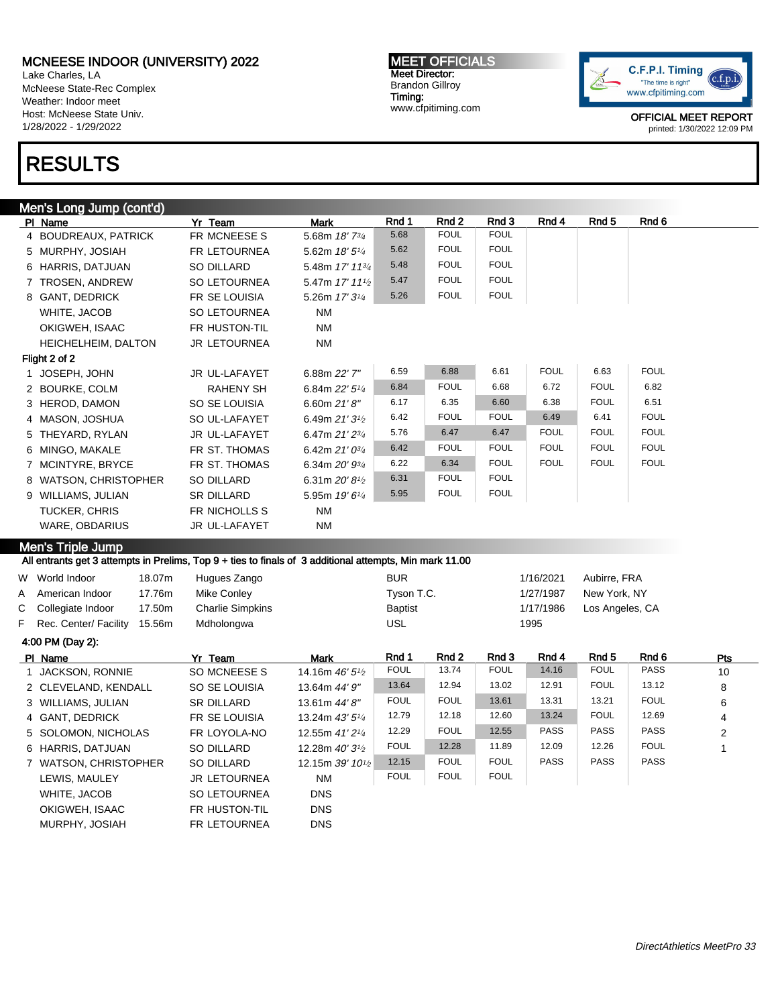Lake Charles, LA McNeese State-Rec Complex Weather: Indoor meet Host: McNeese State Univ. 1/28/2022 - 1/29/2022

# RESULTS

MEET OFFICIALS Meet Director: Brandon Gillroy Timing: www.cfpitiming.com



OFFICIAL MEET REPORT printed: 1/30/2022 12:09 PM

| Men's Long Jump (cont'd)                                                                                |                     |                            |            |             |             |             |                  |             |  |  |  |
|---------------------------------------------------------------------------------------------------------|---------------------|----------------------------|------------|-------------|-------------|-------------|------------------|-------------|--|--|--|
| PI Name                                                                                                 | Yr Team             | <b>Mark</b>                | Rnd 1      | Rnd 2       | Rnd 3       | Rnd 4       | Rnd <sub>5</sub> | Rnd 6       |  |  |  |
| 4 BOUDREAUX, PATRICK                                                                                    | FR MCNEESE S        | 5.68m 18' 73/4             | 5.68       | <b>FOUL</b> | <b>FOUL</b> |             |                  |             |  |  |  |
| 5 MURPHY, JOSIAH                                                                                        | <b>FR LETOURNEA</b> | 5.62m $18'5\frac{1}{4}$    | 5.62       | <b>FOUL</b> | <b>FOUL</b> |             |                  |             |  |  |  |
| 6 HARRIS, DATJUAN                                                                                       | SO DILLARD          | 5.48m 17' 113/4            | 5.48       | <b>FOUL</b> | <b>FOUL</b> |             |                  |             |  |  |  |
| 7 TROSEN, ANDREW                                                                                        | SO LETOURNEA        | 5.47m 17' 111/2            | 5.47       | <b>FOUL</b> | <b>FOUL</b> |             |                  |             |  |  |  |
| 8 GANT, DEDRICK                                                                                         | FR SE LOUISIA       | 5.26m 17' 3 <sup>1/4</sup> | 5.26       | <b>FOUL</b> | <b>FOUL</b> |             |                  |             |  |  |  |
| WHITE, JACOB                                                                                            | <b>SO LETOURNEA</b> | <b>NM</b>                  |            |             |             |             |                  |             |  |  |  |
| OKIGWEH. ISAAC                                                                                          | FR HUSTON-TIL       | <b>NM</b>                  |            |             |             |             |                  |             |  |  |  |
| HEICHELHEIM, DALTON                                                                                     | <b>JR LETOURNEA</b> | <b>NM</b>                  |            |             |             |             |                  |             |  |  |  |
| Flight 2 of 2                                                                                           |                     |                            |            |             |             |             |                  |             |  |  |  |
| JOSEPH, JOHN                                                                                            | JR UL-LAFAYET       | 6.88m 22' 7"               | 6.59       | 6.88        | 6.61        | <b>FOUL</b> | 6.63             | <b>FOUL</b> |  |  |  |
| 2 BOURKE, COLM                                                                                          | <b>RAHENY SH</b>    | 6.84m $22'5\frac{1}{4}$    | 6.84       | <b>FOUL</b> | 6.68        | 6.72        | <b>FOUL</b>      | 6.82        |  |  |  |
| 3 HEROD, DAMON                                                                                          | SO SE LOUISIA       | 6.60m $21'8''$             | 6.17       | 6.35        | 6.60        | 6.38        | <b>FOUL</b>      | 6.51        |  |  |  |
| 4 MASON, JOSHUA                                                                                         | SO UL-LAFAYET       | 6.49m $21'3^{1/2}$         | 6.42       | <b>FOUL</b> | <b>FOUL</b> | 6.49        | 6.41             | <b>FOUL</b> |  |  |  |
| 5 THEYARD, RYLAN                                                                                        | JR UL-LAFAYET       | 6.47m 21' 23/4             | 5.76       | 6.47        | 6.47        | <b>FOUL</b> | <b>FOUL</b>      | <b>FOUL</b> |  |  |  |
| 6 MINGO, MAKALE                                                                                         | FR ST. THOMAS       | 6.42m $21'0^{3/4}$         | 6.42       | <b>FOUL</b> | <b>FOUL</b> | <b>FOUL</b> | <b>FOUL</b>      | <b>FOUL</b> |  |  |  |
| 7 MCINTYRE, BRYCE                                                                                       | FR ST. THOMAS       | 6.34m 20' 93/4             | 6.22       | 6.34        | <b>FOUL</b> | <b>FOUL</b> | <b>FOUL</b>      | <b>FOUL</b> |  |  |  |
| 8 WATSON, CHRISTOPHER                                                                                   | SO DILLARD          | 6.31m 20' 8 <sup>1/2</sup> | 6.31       | <b>FOUL</b> | <b>FOUL</b> |             |                  |             |  |  |  |
| 9 WILLIAMS, JULIAN                                                                                      | <b>SR DILLARD</b>   | 5.95m 19' 61/4             | 5.95       | <b>FOUL</b> | <b>FOUL</b> |             |                  |             |  |  |  |
| <b>TUCKER, CHRIS</b>                                                                                    | FR NICHOLLS S       | <b>NM</b>                  |            |             |             |             |                  |             |  |  |  |
| <b>WARE, OBDARIUS</b>                                                                                   | JR UL-LAFAYET       | <b>NM</b>                  |            |             |             |             |                  |             |  |  |  |
| Men's Triple Jump                                                                                       |                     |                            |            |             |             |             |                  |             |  |  |  |
| All entrants get 3 attempts in Prelims, Top 9 + ties to finals of 3 additional attempts, Min mark 11.00 |                     |                            |            |             |             |             |                  |             |  |  |  |
| W World Indoor<br>18.07m                                                                                | Hugues Zango        |                            | <b>BUR</b> |             |             | 1/16/2021   | Aubirre, FRA     |             |  |  |  |
| 17.76m<br>A American Indoor                                                                             | Mike Conley         |                            | Tyson T.C. |             |             | 1/27/1987   | New York, NY     |             |  |  |  |

| F Rec. Center/ Facility<br>15.56m | Mdholongwa          |                            | USL         |             |             | 1995        |             |             |            |
|-----------------------------------|---------------------|----------------------------|-------------|-------------|-------------|-------------|-------------|-------------|------------|
| 4:00 PM (Day 2):                  |                     |                            |             |             |             |             |             |             |            |
| PI Name                           | Yr Team             | <b>Mark</b>                | Rnd 1       | Rnd 2       | Rnd 3       | Rnd 4       | Rnd 5       | Rnd 6       | <b>Pts</b> |
| 1 JACKSON, RONNIE                 | SO MCNEESE S        | 14.16m $46'5\frac{1}{2}$   | <b>FOUL</b> | 13.74       | <b>FOUL</b> | 14.16       | <b>FOUL</b> | <b>PASS</b> | 10         |
| 2 CLEVELAND, KENDALL              | SO SE LOUISIA       | 13.64m 44' 9"              | 13.64       | 12.94       | 13.02       | 12.91       | <b>FOUL</b> | 13.12       | 8          |
| 3 WILLIAMS, JULIAN                | <b>SR DILLARD</b>   | 13.61m 44'8"               | <b>FOUL</b> | <b>FOUL</b> | 13.61       | 13.31       | 13.21       | <b>FOUL</b> | 6          |
| 4 GANT, DEDRICK                   | FR SE LOUISIA       | 13.24m $43'5'4$            | 12.79       | 12.18       | 12.60       | 13.24       | <b>FOUL</b> | 12.69       | 4          |
| 5 SOLOMON, NICHOLAS               | FR LOYOLA-NO        | 12.55m $41'2'4$            | 12.29       | <b>FOUL</b> | 12.55       | <b>PASS</b> | <b>PASS</b> | <b>PASS</b> | 2          |
| 6 HARRIS, DATJUAN                 | SO DILLARD          | 12.28m $40'3^{1/2}$        | <b>FOUL</b> | 12.28       | 11.89       | 12.09       | 12.26       | <b>FOUL</b> |            |
| 7 WATSON, CHRISTOPHER             | SO DILLARD          | 12.15m 39' $10\frac{1}{2}$ | 12.15       | <b>FOUL</b> | <b>FOUL</b> | <b>PASS</b> | <b>PASS</b> | PASS        |            |
| LEWIS, MAULEY                     | <b>JR LETOURNEA</b> | <b>NM</b>                  | <b>FOUL</b> | <b>FOUL</b> | <b>FOUL</b> |             |             |             |            |
| WHITE, JACOB                      | <b>SO LETOURNEA</b> | <b>DNS</b>                 |             |             |             |             |             |             |            |
| OKIGWEH, ISAAC                    | FR HUSTON-TIL       | <b>DNS</b>                 |             |             |             |             |             |             |            |
| MURPHY, JOSIAH                    | <b>FR LETOURNEA</b> | <b>DNS</b>                 |             |             |             |             |             |             |            |

C Collegiate Indoor 17.50m Charlie Simpkins **Baptist** Baptist 1/17/1986 Los Angeles, CA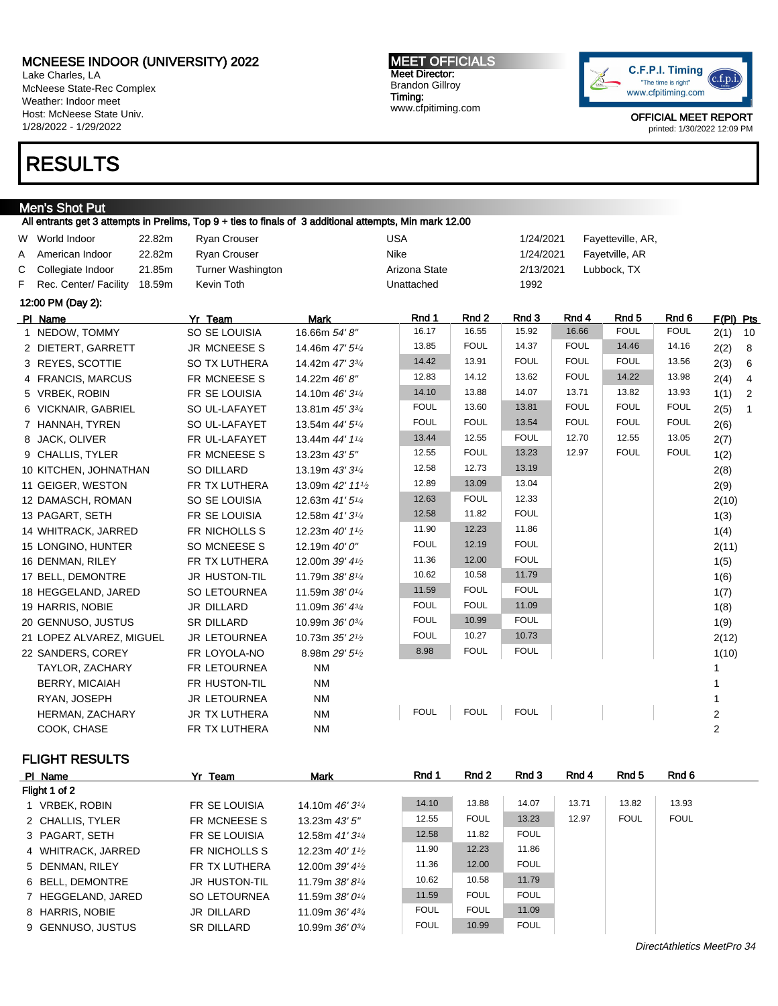Lake Charles, LA McNeese State-Rec Complex Weather: Indoor meet Host: McNeese State Univ. 1/28/2022 - 1/29/2022

# RESULTS

#### Men's Shot Put

All entrants get 3 attempts in Prelims, Top 9 + ties to finals of 3 additional attempts, Min mark 12.00 W World Indoor 22.82m Ryan Crouser New York USA 1/24/2021 Fayetteville, AR, A American Indoor 22.82m Ryan Crouser Nike Nike 1/24/2021 Fayetville, AR C Collegiate Indoor 21.85m Turner Washington Arizona State 2/13/2021 Lubbock, TX F Rec. Center/ Facility 18.59m Kevin Toth Unattached 1992 12:00 PM (Day 2): PIName Yr Team Mark Rnd 1 Rnd 2 Rnd 3 Rnd 4 Rnd 5 Rnd 6 F(Pl) Pts 1 NEDOW, TOMMY SO SE LOUISIA 16.66m 54' 8" 16.17 16.55 15.92 16.66 FOUL FOUL 2(1) 10 2 DIETERT, GARRETT JR MCNEESE S 14.46m 47' 5<sup>1/4</sup> 13.85 FOUL 14.37 FOUL 14.46 14.16 2(2) 8 3 REYES, SCOTTIE SO TX LUTHERA 14.42m 47' 33/4 14.42 13.91 FOUL FOUL FOUL 13.56 2(3) 6 4 FRANCIS, MARCUS FR MCNEESE S 14.22m 46' 8" 12.83 14.12 13.62 FOUL 14.22 13.98 2(4) 4 5 VRBEK, ROBIN FR SE LOUISIA 14.10m 46' 3<sup>1/4</sup> 14.10 13.88 14.07 13.71 13.82 13.93 1(1) 2 6 VICKNAIR, GABRIEL SO UL-LAFAYET  $13.81$ m  $45'3^{3/4}$  FOUL 13.60 13.81 FOUL FOUL FOUL 2(5) 1 7 HANNAH, TYREN SO UL-LAFAYET  $13.54$ m  $44'5^{1/4}$  FOUL FOUL 13.54 FOUL FOUL FOUL FOUL 2(6) 8 JACK, OLIVER FR UL-LAFAYET 13.44m 44' 11/4 13.44 12.55 FOUL 12.70 12.55 13.05 2(7) 9 CHALLIS, TYLER FR MCNEESE S 13.23m 43' 5" 12.55 FOUL 13.23 12.97 FOUL FOUL 1(2) 10 KITCHEN, JOHNATHAN SO DILLARD 13.19m 43' 3<sup>1/4</sup> 12.58 12.73 13.19 2(8) 11 GEIGER, WESTON FR TX LUTHERA 13.09m 42' 11<sup>1</sup>/<sub>2</sub> 12.89 13.09 13.04 2(9) 12 DAMASCH, ROMAN SO SE LOUISIA 12.63m 41' 51/<sup>4</sup> 12.63 FOUL 12.33 2(10) 13 PAGART, SETH FR SE LOUISIA 12.58m 41' 3<sup>1/4</sup> 12.58 11.82 FOUL 1 (3) 14 WHITRACK, JARRED FR NICHOLLS S 12.23m 40' 1<sup>1/2</sup> 11.90 12.23 11.86 1(4) 15 LONGINO, HUNTER SO MCNEESE S 12.19m 40' 0" FOUL 12.19 FOUL FOUL 2(11) 16 DENMAN, RILEY FR TX LUTHERA 12.00m 39' 41/2 11.36 12.00 FOUL 10 1 (5) 17 BELL, DEMONTRE JR HUSTON-TIL 11.79m 38' 8<sup>1/4</sup> 10.62 10.58 11.79 1(6) 18 HEGGELAND, JARED SO LETOURNEA 11.59m 38' 0<sup>1/4</sup> 11.59 FOUL FOUL 10 1(7) 19 HARRIS, NOBIE JR DILLARD 11.09m 36' 43/<sup>4</sup> FOUL FOUL 11.09 1(8) 20 GENNUSO, JUSTUS SR DILLARD 10.99m 36'  $0^{3}/4$  FOUL 10.99 FOUL 10.99 FOUL 10.99 FOUL 21 LOPEZ ALVAREZ, MIGUEL JR LETOURNEA 10.73m 35' 21/<sup>2</sup> FOUL 10.27 10.73 2(12) 22 SANDERS, COREY FR LOYOLA-NO 8.98m 29' 5<sup>1</sup>/2 8.98 FOUL FOUL I 1(10) TAYLOR, ZACHARY FR LETOURNEA NM 1 BERRY, MICAIAH FR HUSTON-TIL NM 1 RYAN, JOSEPH JR LETOURNEA NM 1 HERMAN, ZACHARY JR TX LUTHERA NM FOUL FOUL FOUL 2 COOK, CHASE FR TX LUTHERA NM 2

#### FLIGHT RESULTS

| PI Name            | Yr Team             | <b>Mark</b>                                | Rnd 1       | Rnd 2       | Rnd 3       | Rnd 4 | Rnd 5       | Rnd 6       |  |
|--------------------|---------------------|--------------------------------------------|-------------|-------------|-------------|-------|-------------|-------------|--|
| Flight 1 of 2      |                     |                                            |             |             |             |       |             |             |  |
| 1 VRBEK, ROBIN     | FR SE LOUISIA       | 14.10m $46'3\frac{1}{4}$                   | 14.10       | 13.88       | 14.07       | 13.71 | 13.82       | 13.93       |  |
| 2 CHALLIS, TYLER   | FR MCNEESE S        | 13.23m $43'5''$                            | 12.55       | <b>FOUL</b> | 13.23       | 12.97 | <b>FOUL</b> | <b>FOUL</b> |  |
| 3 PAGART, SETH     | FR SE LOUISIA       | 12.58m $41'3^{1/4}$                        | 12.58       | 11.82       | <b>FOUL</b> |       |             |             |  |
| 4 WHITRACK, JARRED | FR NICHOLLS S       | 12.23m $40'$ 1 <sup>1</sup> / <sub>2</sub> | 11.90       | 12.23       | 11.86       |       |             |             |  |
| 5 DENMAN, RILEY    | FR TX LUTHERA       | 12.00m $39'$ 4 <sup>1</sup> / <sub>2</sub> | 11.36       | 12.00       | <b>FOUL</b> |       |             |             |  |
| 6 BELL, DEMONTRE   | JR HUSTON-TIL       | 11.79m $38'8'4$                            | 10.62       | 10.58       | 11.79       |       |             |             |  |
| 7 HEGGELAND, JARED | <b>SO LETOURNEA</b> | 11.59m $38'0\%$                            | 11.59       | <b>FOUL</b> | <b>FOUL</b> |       |             |             |  |
| 8 HARRIS, NOBIE    | <b>JR DILLARD</b>   | 11.09m $36'$ $4\frac{3}{4}$                | <b>FOUL</b> | <b>FOUL</b> | 11.09       |       |             |             |  |
| 9 GENNUSO, JUSTUS  | <b>SR DILLARD</b>   | 10.99m $36'0^{3}/4$                        | FOUL        | 10.99       | <b>FOUL</b> |       |             |             |  |

#### MEET OFFICIALS Meet Director: Brandon Gillroy Timing: www.cfpitiming.com

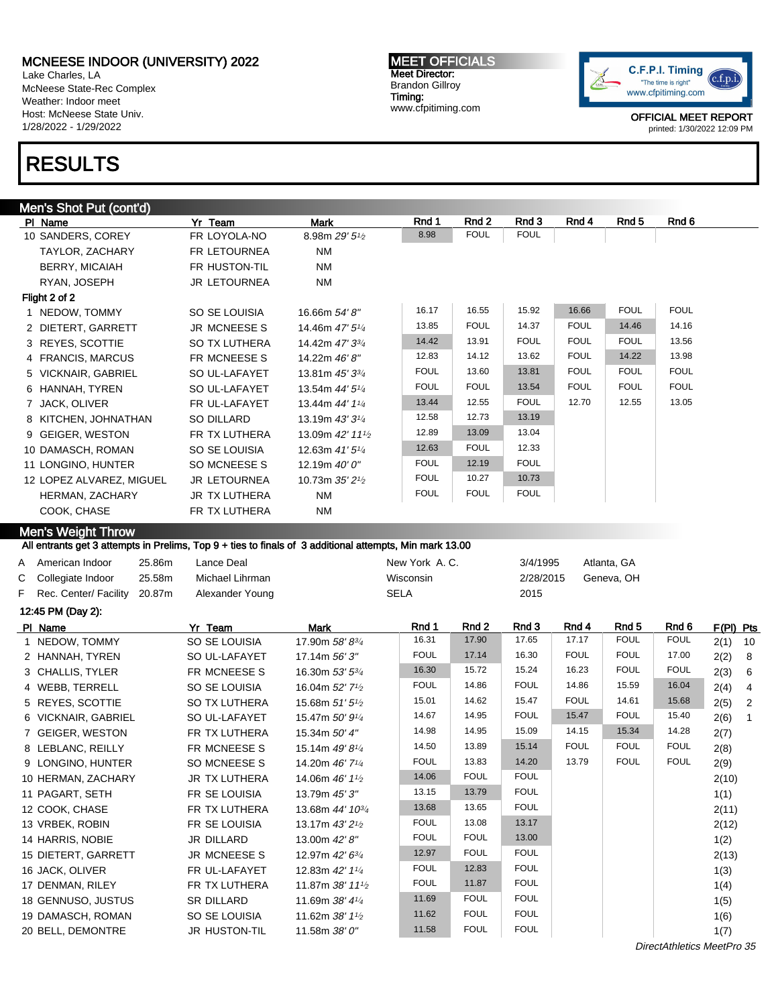Lake Charles, LA McNeese State-Rec Complex Weather: Indoor meet Host: McNeese State Univ. 1/28/2022 - 1/29/2022

# RESULTS

### Men's Shot Put (cont'd)

| PI Name                  | Yr Team              | Mark                                      | Rnd 1       | Rnd 2       | Rnd 3       | Rnd 4       | Rnd 5       | Rnd 6       |
|--------------------------|----------------------|-------------------------------------------|-------------|-------------|-------------|-------------|-------------|-------------|
| 10 SANDERS, COREY        | FR LOYOLA-NO         | 8.98m $29'5\frac{1}{2}$                   | 8.98        | <b>FOUL</b> | <b>FOUL</b> |             |             |             |
| TAYLOR, ZACHARY          | FR LETOURNEA         | <b>NM</b>                                 |             |             |             |             |             |             |
| BERRY, MICAIAH           | FR HUSTON-TIL        | <b>NM</b>                                 |             |             |             |             |             |             |
| RYAN, JOSEPH             | <b>JR LETOURNEA</b>  | <b>NM</b>                                 |             |             |             |             |             |             |
| Flight 2 of 2            |                      |                                           |             |             |             |             |             |             |
| 1 NEDOW, TOMMY           | SO SE LOUISIA        | 16.66m 54' 8"                             | 16.17       | 16.55       | 15.92       | 16.66       | <b>FOUL</b> | <b>FOUL</b> |
| 2 DIETERT, GARRETT       | JR MCNEESE S         | 14.46m 47' 51/4                           | 13.85       | <b>FOUL</b> | 14.37       | <b>FOUL</b> | 14.46       | 14.16       |
| 3 REYES, SCOTTIE         | <b>SO TX LUTHERA</b> | 14.42m 47' 33/4                           | 14.42       | 13.91       | <b>FOUL</b> | <b>FOUL</b> | <b>FOUL</b> | 13.56       |
| 4 FRANCIS, MARCUS        | FR MCNEESE S         | 14.22m 46'8"                              | 12.83       | 14.12       | 13.62       | <b>FOUL</b> | 14.22       | 13.98       |
| 5 VICKNAIR, GABRIEL      | SO UL-LAFAYET        | 13.81m 45' 33/4                           | <b>FOUL</b> | 13.60       | 13.81       | <b>FOUL</b> | <b>FOUL</b> | <b>FOUL</b> |
| 6 HANNAH, TYREN          | SO UL-LAFAYET        | 13.54m 44' 5 <sup>1/4</sup>               | <b>FOUL</b> | <b>FOUL</b> | 13.54       | <b>FOUL</b> | <b>FOUL</b> | <b>FOUL</b> |
| 7 JACK, OLIVER           | FR UL-LAFAYET        | 13.44m 44' 11/4                           | 13.44       | 12.55       | <b>FOUL</b> | 12.70       | 12.55       | 13.05       |
| 8 KITCHEN, JOHNATHAN     | SO DILLARD           | 13.19m $43'3\frac{1}{4}$                  | 12.58       | 12.73       | 13.19       |             |             |             |
| 9 GEIGER, WESTON         | FR TX LUTHERA        | 13.09m 42' 11 <sup>1</sup> / <sub>2</sub> | 12.89       | 13.09       | 13.04       |             |             |             |
| 10 DAMASCH, ROMAN        | SO SE LOUISIA        | 12.63m $41'5\frac{1}{4}$                  | 12.63       | <b>FOUL</b> | 12.33       |             |             |             |
| 11 LONGINO, HUNTER       | SO MCNEESE S         | 12.19m 40' 0"                             | <b>FOUL</b> | 12.19       | <b>FOUL</b> |             |             |             |
| 12 LOPEZ ALVAREZ, MIGUEL | <b>JR LETOURNEA</b>  | 10.73m $35'2\frac{1}{2}$                  | <b>FOUL</b> | 10.27       | 10.73       |             |             |             |
| HERMAN, ZACHARY          | JR TX LUTHERA        | <b>NM</b>                                 | <b>FOUL</b> | <b>FOUL</b> | <b>FOUL</b> |             |             |             |
| COOK, CHASE              | FR TX LUTHERA        | <b>NM</b>                                 |             |             |             |             |             |             |

Men's Weight Throw

#### All entrants get 3 attempts in Prelims, Top 9 + ties to finals of 3 additional attempts, Min mark 13.00

|                                |        | <u>. The strategies of the contempt of the contempt of the contempt of the contempt of the contempt of the contempt of the contempt of the contempt of the contempt of the contempt of the contempt of the contempt of the conte</u> |               |           |             |  |  |  |
|--------------------------------|--------|--------------------------------------------------------------------------------------------------------------------------------------------------------------------------------------------------------------------------------------|---------------|-----------|-------------|--|--|--|
| A American Indoor              | 25.86m | Lance Deal                                                                                                                                                                                                                           | New York A.C. | 3/4/1995  | Atlanta, GA |  |  |  |
| C Collegiate Indoor            | 25.58m | Michael Lihrman                                                                                                                                                                                                                      | Wisconsin     | 2/28/2015 | Geneva, OH  |  |  |  |
| F Rec. Center/ Facility 20.87m |        | Alexander Young                                                                                                                                                                                                                      | <b>SELA</b>   | 2015      |             |  |  |  |
| 12:45 PM (Day 2):              |        |                                                                                                                                                                                                                                      |               |           |             |  |  |  |
|                                |        |                                                                                                                                                                                                                                      |               |           |             |  |  |  |

| PI Name             | Yr Team              | <b>Mark</b>                              | Rnd 1       | Rnd <sub>2</sub> | Rnd 3       | Rnd 4       | Rnd 5       | Rnd <sub>6</sub> | $F(PI)$ Pts |                |
|---------------------|----------------------|------------------------------------------|-------------|------------------|-------------|-------------|-------------|------------------|-------------|----------------|
| 1 NEDOW, TOMMY      | SO SE LOUISIA        | 17.90m 58' 83/4                          | 16.31       | 17.90            | 17.65       | 17.17       | <b>FOUL</b> | <b>FOUL</b>      | $2(1)$ 10   |                |
| 2 HANNAH, TYREN     | SO UL-LAFAYET        | 17.14m 56' 3"                            | <b>FOUL</b> | 17.14            | 16.30       | <b>FOUL</b> | <b>FOUL</b> | 17.00            | 2(2)        | - 8            |
| 3 CHALLIS, TYLER    | FR MCNEESE S         | 16.30m 53' 5 <sup>3</sup> / <sub>4</sub> | 16.30       | 15.72            | 15.24       | 16.23       | <b>FOUL</b> | <b>FOUL</b>      | 2(3)        | - 6            |
| 4 WEBB, TERRELL     | SO SE LOUISIA        | 16.04m 52' 7 <sup>1</sup> / <sub>2</sub> | <b>FOUL</b> | 14.86            | <b>FOUL</b> | 14.86       | 15.59       | 16.04            | 2(4)        | $\overline{4}$ |
| 5 REYES, SCOTTIE    | <b>SO TX LUTHERA</b> | 15.68m 51' 5 <sup>1</sup> / <sub>2</sub> | 15.01       | 14.62            | 15.47       | <b>FOUL</b> | 14.61       | 15.68            | 2(5)        | $\overline{2}$ |
| 6 VICKNAIR, GABRIEL | SO UL-LAFAYET        | 15.47m 50' 9 <sup>1</sup> / <sub>4</sub> | 14.67       | 14.95            | <b>FOUL</b> | 15.47       | <b>FOUL</b> | 15.40            | 2(6)        | $\overline{1}$ |
| 7 GEIGER, WESTON    | FR TX LUTHERA        | 15.34m 50' 4"                            | 14.98       | 14.95            | 15.09       | 14.15       | 15.34       | 14.28            | 2(7)        |                |
| 8 LEBLANC, REILLY   | FR MCNEESE S         | 15.14m 49'8 <sup>1/4</sup>               | 14.50       | 13.89            | 15.14       | <b>FOUL</b> | <b>FOUL</b> | <b>FOUL</b>      | 2(8)        |                |
| 9 LONGINO, HUNTER   | SO MCNEESE S         | 14.20m 46' 7 <sup>1</sup> / <sub>4</sub> | <b>FOUL</b> | 13.83            | 14.20       | 13.79       | <b>FOUL</b> | <b>FOUL</b>      | 2(9)        |                |
| 10 HERMAN, ZACHARY  | JR TX LUTHERA        | 14.06m 46' 1 <sup>1</sup> / <sub>2</sub> | 14.06       | <b>FOUL</b>      | <b>FOUL</b> |             |             |                  | 2(10)       |                |
| 11 PAGART, SETH     | FR SE LOUISIA        | 13.79m 45' 3"                            | 13.15       | 13.79            | <b>FOUL</b> |             |             |                  | 1(1)        |                |
| 12 COOK, CHASE      | FR TX LUTHERA        | 13.68m 44' 10 <sup>3/4</sup>             | 13.68       | 13.65            | <b>FOUL</b> |             |             |                  | 2(11)       |                |
| 13 VRBEK, ROBIN     | FR SE LOUISIA        | 13.17m 43' 2 <sup>1</sup> / <sub>2</sub> | <b>FOUL</b> | 13.08            | 13.17       |             |             |                  | 2(12)       |                |
| 14 HARRIS, NOBIE    | JR DILLARD           | 13.00m 42' 8"                            | <b>FOUL</b> | <b>FOUL</b>      | 13.00       |             |             |                  | 1(2)        |                |
| 15 DIETERT, GARRETT | JR MCNEESE S         | 12.97m 42' 63/4                          | 12.97       | <b>FOUL</b>      | <b>FOUL</b> |             |             |                  | 2(13)       |                |
| 16 JACK, OLIVER     | FR UL-LAFAYET        | 12.83m 42' 11/4                          | <b>FOUL</b> | 12.83            | <b>FOUL</b> |             |             |                  | 1(3)        |                |
| 17 DENMAN, RILEY    | FR TX LUTHERA        | 11.87m 38' 111/2                         | <b>FOUL</b> | 11.87            | <b>FOUL</b> |             |             |                  | 1(4)        |                |
| 18 GENNUSO, JUSTUS  | SR DILLARD           | 11.69m 38' 41/4                          | 11.69       | <b>FOUL</b>      | <b>FOUL</b> |             |             |                  | 1(5)        |                |
| 19 DAMASCH, ROMAN   | SO SE LOUISIA        | 11.62m $38'11'$                          | 11.62       | <b>FOUL</b>      | <b>FOUL</b> |             |             |                  | 1(6)        |                |
| 20 BELL, DEMONTRE   | JR HUSTON-TIL        | 11.58m 38' 0"                            | 11.58       | <b>FOUL</b>      | <b>FOUL</b> |             |             |                  | 1(7)        |                |
|                     |                      |                                          |             |                  |             |             |             |                  |             |                |

MEET OFFICIALS Meet Director: Brandon Gillroy Timing: www.cfpitiming.com



OFFICIAL MEET REPORT printed: 1/30/2022 12:09 PM

DirectAthletics MeetPro 35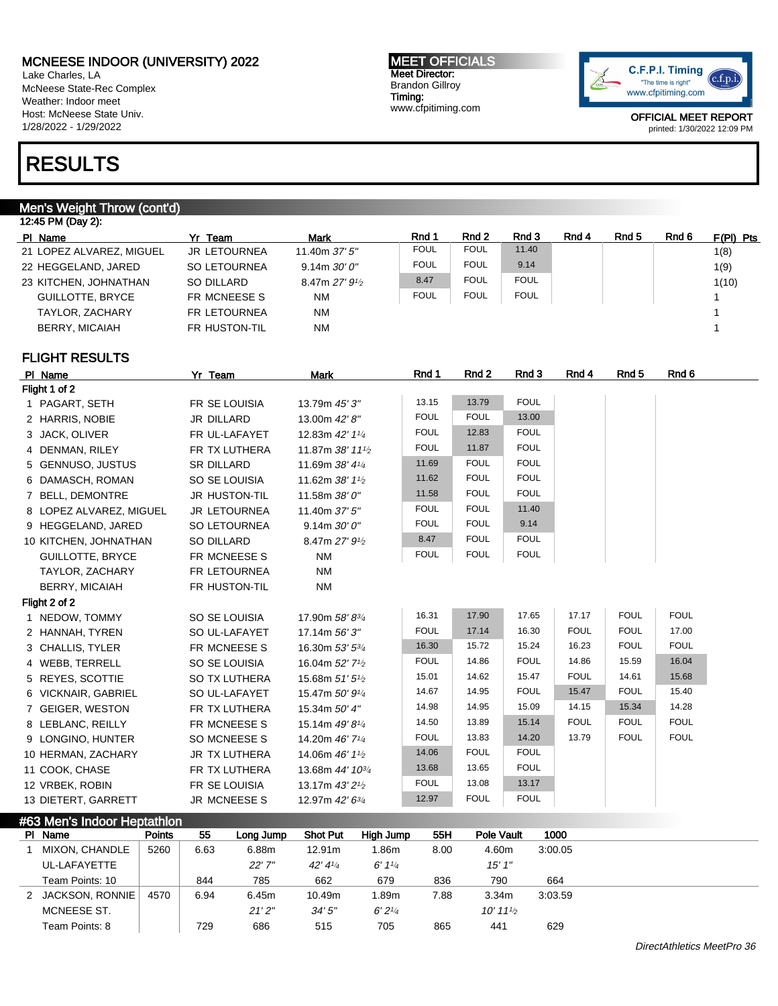Lake Charles, LA McNeese State-Rec Complex Weather: Indoor meet Host: McNeese State Univ. 1/28/2022 - 1/29/2022

# RESULTS

### Men's Weight Throw (cont'd)

| 12:45 PM (Day 2): |                          |                     |                            |             |             |             |       |       |       |             |  |  |  |
|-------------------|--------------------------|---------------------|----------------------------|-------------|-------------|-------------|-------|-------|-------|-------------|--|--|--|
|                   | PI Name                  | Yr Team             | <b>Mark</b>                | Rnd 1       | Rnd 2       | Rnd 3       | Rnd 4 | Rnd 5 | Rnd 6 | $F(PI)$ Pts |  |  |  |
|                   | 21 LOPEZ ALVAREZ, MIGUEL | <b>JR LETOURNEA</b> | 11.40m 37' 5"              | <b>FOUL</b> | <b>FOUL</b> | 11.40       |       |       |       | 1(8)        |  |  |  |
|                   | 22 HEGGELAND, JARED      | <b>SO LETOURNEA</b> | $9.14m$ $30'0''$           | <b>FOUL</b> | <b>FOUL</b> | 9.14        |       |       |       | 1(9)        |  |  |  |
|                   | 23 KITCHEN, JOHNATHAN    | SO DILLARD          | 8.47m $27'$ $9\frac{1}{2}$ | 8.47        | <b>FOUL</b> | <b>FOUL</b> |       |       |       | 1(10)       |  |  |  |
|                   | <b>GUILLOTTE, BRYCE</b>  | FR MCNEESE S        | <b>NM</b>                  | <b>FOUL</b> | <b>FOUL</b> | <b>FOUL</b> |       |       |       |             |  |  |  |
|                   | TAYLOR, ZACHARY          | <b>FR LETOURNEA</b> | <b>NM</b>                  |             |             |             |       |       |       |             |  |  |  |
|                   | <b>BERRY, MICAIAH</b>    | FR HUSTON-TIL       | <b>NM</b>                  |             |             |             |       |       |       |             |  |  |  |
|                   |                          |                     |                            |             |             |             |       |       |       |             |  |  |  |

### FLIGHT RESULTS

| PI Name                 | Yr Team              | <b>Mark</b>                              | Rnd 1       | Rnd 2       | Rnd 3       | Rnd 4       | Rnd <sub>5</sub> | Rnd 6       |
|-------------------------|----------------------|------------------------------------------|-------------|-------------|-------------|-------------|------------------|-------------|
| Flight 1 of 2           |                      |                                          |             |             |             |             |                  |             |
| 1 PAGART, SETH          | FR SE LOUISIA        | 13.79m 45' 3"                            | 13.15       | 13.79       | <b>FOUL</b> |             |                  |             |
| 2 HARRIS, NOBIE         | <b>JR DILLARD</b>    | 13.00m 42' 8"                            | <b>FOUL</b> | <b>FOUL</b> | 13.00       |             |                  |             |
| 3 JACK, OLIVER          | FR UL-LAFAYET        | 12.83m 42' 11/4                          | <b>FOUL</b> | 12.83       | <b>FOUL</b> |             |                  |             |
| 4 DENMAN, RILEY         | FR TX LUTHERA        | 11.87m 38' 111/2                         | <b>FOUL</b> | 11.87       | <b>FOUL</b> |             |                  |             |
| 5 GENNUSO, JUSTUS       | <b>SR DILLARD</b>    | 11.69m 38' 41/4                          | 11.69       | <b>FOUL</b> | <b>FOUL</b> |             |                  |             |
| 6 DAMASCH, ROMAN        | SO SE LOUISIA        | 11.62m 38' 11/2                          | 11.62       | <b>FOUL</b> | <b>FOUL</b> |             |                  |             |
| 7 BELL, DEMONTRE        | JR HUSTON-TIL        | 11.58m 38' 0"                            | 11.58       | <b>FOUL</b> | <b>FOUL</b> |             |                  |             |
| 8 LOPEZ ALVAREZ, MIGUEL | JR LETOURNEA         | 11.40m 37' 5"                            | <b>FOUL</b> | <b>FOUL</b> | 11.40       |             |                  |             |
| 9 HEGGELAND, JARED      | SO LETOURNEA         | 9.14m 30'0''                             | <b>FOUL</b> | <b>FOUL</b> | 9.14        |             |                  |             |
| 10 KITCHEN, JOHNATHAN   | SO DILLARD           | 8.47m 27' 9 <sup>1</sup> / <sub>2</sub>  | 8.47        | <b>FOUL</b> | <b>FOUL</b> |             |                  |             |
| <b>GUILLOTTE, BRYCE</b> | FR MCNEESE S         | <b>NM</b>                                | <b>FOUL</b> | <b>FOUL</b> | <b>FOUL</b> |             |                  |             |
| TAYLOR, ZACHARY         | FR LETOURNEA         | <b>NM</b>                                |             |             |             |             |                  |             |
| <b>BERRY, MICAIAH</b>   | FR HUSTON-TIL        | <b>NM</b>                                |             |             |             |             |                  |             |
| Flight 2 of 2           |                      |                                          |             |             |             |             |                  |             |
| 1 NEDOW, TOMMY          | SO SE LOUISIA        | 17.90m 58' 83/4                          | 16.31       | 17.90       | 17.65       | 17.17       | <b>FOUL</b>      | <b>FOUL</b> |
| 2 HANNAH, TYREN         | SO UL-LAFAYET        | 17.14m 56' 3"                            | <b>FOUL</b> | 17.14       | 16.30       | <b>FOUL</b> | <b>FOUL</b>      | 17.00       |
| 3 CHALLIS, TYLER        | FR MCNEESE S         | 16.30m 53' 53/4                          | 16.30       | 15.72       | 15.24       | 16.23       | <b>FOUL</b>      | <b>FOUL</b> |
| 4 WEBB, TERRELL         | SO SE LOUISIA        | 16.04m 52' 7 <sup>1</sup> / <sub>2</sub> | <b>FOUL</b> | 14.86       | <b>FOUL</b> | 14.86       | 15.59            | 16.04       |
| 5 REYES, SCOTTIE        | <b>SO TX LUTHERA</b> | 15.68m 51' 5 <sup>1</sup> / <sub>2</sub> | 15.01       | 14.62       | 15.47       | <b>FOUL</b> | 14.61            | 15.68       |
| 6 VICKNAIR, GABRIEL     | SO UL-LAFAYET        | 15.47m 50' 91/4                          | 14.67       | 14.95       | <b>FOUL</b> | 15.47       | <b>FOUL</b>      | 15.40       |
| 7 GEIGER, WESTON        | FR TX LUTHERA        | 15.34m 50' 4"                            | 14.98       | 14.95       | 15.09       | 14.15       | 15.34            | 14.28       |
| 8 LEBLANC, REILLY       | FR MCNEESE S         | 15.14m 49' 81/4                          | 14.50       | 13.89       | 15.14       | <b>FOUL</b> | <b>FOUL</b>      | <b>FOUL</b> |
| 9 LONGINO, HUNTER       | SO MCNEESE S         | 14.20m 46' 71/4                          | <b>FOUL</b> | 13.83       | 14.20       | 13.79       | <b>FOUL</b>      | <b>FOUL</b> |
| 10 HERMAN, ZACHARY      | <b>JR TX LUTHERA</b> | 14.06m 46' 11/2                          | 14.06       | <b>FOUL</b> | <b>FOUL</b> |             |                  |             |
| 11 COOK, CHASE          | FR TX LUTHERA        | 13.68m 44' 10 <sup>3/4</sup>             | 13.68       | 13.65       | <b>FOUL</b> |             |                  |             |
| 12 VRBEK, ROBIN         | FR SE LOUISIA        | 13.17m 43' 2 <sup>1</sup> / <sub>2</sub> | <b>FOUL</b> | 13.08       | 13.17       |             |                  |             |
| 13 DIETERT, GARRETT     | <b>JR MCNEESES</b>   | 12.97m 42' 63/4                          | 12.97       | <b>FOUL</b> | <b>FOUL</b> |             |                  |             |

| #63 Men's Indoor Heptathlon |               |      |           |                 |           |      |                        |         |  |  |  |  |  |
|-----------------------------|---------------|------|-----------|-----------------|-----------|------|------------------------|---------|--|--|--|--|--|
| PI Name                     | <b>Points</b> | 55   | Long Jump | <b>Shot Put</b> | High Jump | 55H  | Pole Vault             | 1000    |  |  |  |  |  |
| MIXON, CHANDLE              | 5260          | 6.63 | 6.88m     | 12.91m          | 1.86m     | 8.00 | 4.60m                  | 3:00.05 |  |  |  |  |  |
| UL-LAFAYETTE                |               |      | $22'$ 7"  | 42' 41/4        | 6'11/4    |      | 15'1''                 |         |  |  |  |  |  |
| Team Points: 10             |               | 844  | 785       | 662             | 679       | 836  | 790                    | 664     |  |  |  |  |  |
| <b>JACKSON, RONNIE</b>      | 4570          | 6.94 | 6.45m     | 10.49m          | 1.89m     | 7.88 | 3.34 <sub>m</sub>      | 3:03.59 |  |  |  |  |  |
|                             |               |      |           |                 |           |      |                        |         |  |  |  |  |  |
| MCNEESE ST.                 |               |      | 21'2''    | 34'5''          | 6'2''     |      | $10'$ 11 $\frac{1}{2}$ |         |  |  |  |  |  |

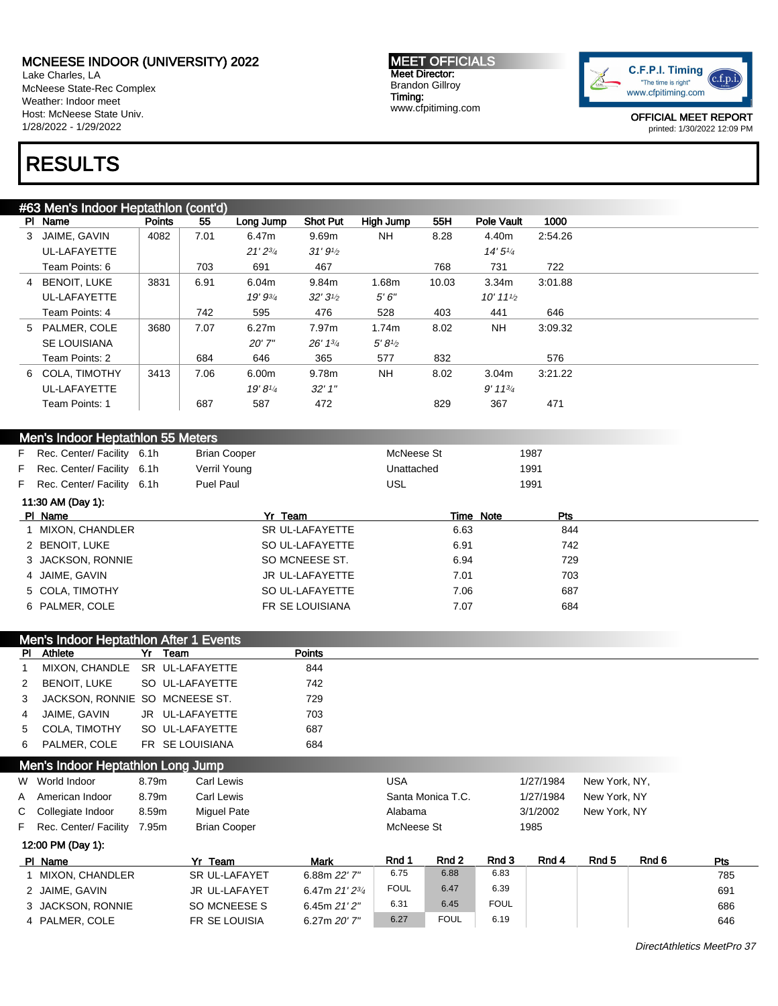Lake Charles, LA McNeese State-Rec Complex Weather: Indoor meet Host: McNeese State Univ. 1/28/2022 - 1/29/2022

#### MEET OFFICIALS Meet Director: Brandon Gillroy Timing: www.cfpitiming.com



OFFICIAL MEET REPORT printed: 1/30/2022 12:09 PM

# RESULTS

| #63 Men's Indoor Heptathlon (cont'd) |               |      |                    |                   |           |       |                        |         |  |  |  |  |  |
|--------------------------------------|---------------|------|--------------------|-------------------|-----------|-------|------------------------|---------|--|--|--|--|--|
| PI Name                              | <b>Points</b> | 55   | Long Jump          | <b>Shot Put</b>   | High Jump | 55H   | <b>Pole Vault</b>      | 1000    |  |  |  |  |  |
| JAIME. GAVIN<br>3                    | 4082          | 7.01 | 6.47m              | 9.69m             | <b>NH</b> | 8.28  | 4.40m                  | 2:54.26 |  |  |  |  |  |
| UL-LAFAYETTE                         |               |      | $21'2^{3/4}$       | 31'9''            |           |       | 14'5''                 |         |  |  |  |  |  |
| Team Points: 6                       |               | 703  | 691                | 467               |           | 768   | 731                    | 722     |  |  |  |  |  |
| <b>BENOIT, LUKE</b><br>4             | 3831          | 6.91 | 6.04m              | 9.84m             | 1.68m     | 10.03 | 3.34m                  | 3:01.88 |  |  |  |  |  |
| UL-LAFAYETTE                         |               |      | 19' 93/4           | $32'3\frac{1}{2}$ | 5'6''     |       | $10'$ 11 $\frac{1}{2}$ |         |  |  |  |  |  |
| Team Points: 4                       |               | 742  | 595                | 476               | 528       | 403   | 441                    | 646     |  |  |  |  |  |
| 5 PALMER, COLE                       | 3680          | 7.07 | 6.27m              | 7.97m             | 1.74m     | 8.02  | <b>NH</b>              | 3:09.32 |  |  |  |  |  |
| <b>SE LOUISIANA</b>                  |               |      | 20'7''             | 26' 13'           | 5'8''     |       |                        |         |  |  |  |  |  |
| Team Points: 2                       |               | 684  | 646                | 365               | 577       | 832   |                        | 576     |  |  |  |  |  |
| 6 COLA, TIMOTHY                      | 3413          | 7.06 | 6.00m              | 9.78m             | <b>NH</b> | 8.02  | 3.04m                  | 3:21.22 |  |  |  |  |  |
| UL-LAFAYETTE                         |               |      | $19' 8\frac{1}{4}$ | 32'1''            |           |       | $9' 11^{3/4}$          |         |  |  |  |  |  |
| Team Points: 1                       |               | 687  | 587                | 472               |           | 829   | 367                    | 471     |  |  |  |  |  |
|                                      |               |      |                    |                   |           |       |                        |         |  |  |  |  |  |

| Men's Indoor Heptathlon 55 Meters |                              |  |              |            |      |  |  |  |  |  |  |  |
|-----------------------------------|------------------------------|--|--------------|------------|------|--|--|--|--|--|--|--|
|                                   | F Rec. Center/ Facility 6.1h |  | Brian Cooper | McNeese St | 1987 |  |  |  |  |  |  |  |
|                                   | F Rec. Center/ Facility 6.1h |  | Verril Young | Unattached | 1991 |  |  |  |  |  |  |  |
|                                   | F Rec. Center/ Facility 6.1h |  | Puel Paul    | USL        | 1991 |  |  |  |  |  |  |  |

| 11:30 AM (Day 1): |                 |           |            |
|-------------------|-----------------|-----------|------------|
| PI Name           | Yr Team         | Time Note | <b>Pts</b> |
| 1 MIXON, CHANDLER | SR UL-LAFAYETTE | 6.63      | 844        |
| 2 BENOIT, LUKE    | SO UL-LAFAYETTE | 6.91      | 742        |
| 3 JACKSON, RONNIE | SO MCNEESE ST.  | 6.94      | 729        |
| 4 JAIME, GAVIN    | JR UL-LAFAYETTE | 7.01      | 703        |
| 5 COLA, TIMOTHY   | SO UL-LAFAYETTE | 7.06      | 687        |
| 6 PALMER, COLE    | FR SE LOUISIANA | 7.07      | 684        |

| Men's Indoor Heptathlon After 1 Events |                                  |  |                 |               |  |  |  |  |  |
|----------------------------------------|----------------------------------|--|-----------------|---------------|--|--|--|--|--|
|                                        | <b>PI</b> Athlete                |  | Yr Team         | <b>Points</b> |  |  |  |  |  |
| $\mathbf{1}$                           | MIXON, CHANDLE SR UL-LAFAYETTE   |  |                 | 844           |  |  |  |  |  |
|                                        | 2 BENOIT. LUKE                   |  | SO UL-LAFAYETTE | 742           |  |  |  |  |  |
|                                        | 3 JACKSON, RONNIE SO MCNEESE ST. |  |                 | 729           |  |  |  |  |  |
|                                        | 4 JAIME. GAVIN                   |  | JR UL-LAFAYETTE | 703           |  |  |  |  |  |
|                                        | 5 COLA. TIMOTHY                  |  | SO UL-LAFAYETTE | 687           |  |  |  |  |  |
|                                        | 6 PALMER. COLE                   |  | FR SE LOUISIANA | 684           |  |  |  |  |  |

|  | Men's Indoor Heptathlon Long Jump |  |
|--|-----------------------------------|--|

3 JACKSON, RONNIE SO MCNEESE S 6.45m 21' 2"

4 PALMER, COLE FR SE LOUISIA 6.27m 20' 7"

| W World Indoor                           | 8.79m                       | Carl Lewis           |                | USA         |       |           | 1/27/1984    | New York, NY, |       |  |
|------------------------------------------|-----------------------------|----------------------|----------------|-------------|-------|-----------|--------------|---------------|-------|--|
| A American Indoor<br>Carl Lewis<br>8.79m |                             | Santa Monica T.C.    |                |             |       | 1/27/1984 | New York, NY |               |       |  |
| C Collegiate Indoor                      | <b>Miquel Pate</b><br>8.59m |                      | Alabama        |             |       | 3/1/2002  | New York, NY |               |       |  |
| F Rec. Center/ Facility                  | 7.95m                       | <b>Brian Cooper</b>  |                | McNeese St  |       | 1985      |              |               |       |  |
| 12:00 PM (Day 1):                        |                             |                      |                |             |       |           |              |               |       |  |
| PI Name                                  |                             | Yr Team              | <b>Mark</b>    | Rnd 1       | Rnd 2 | Rnd 3     | Rnd 4        | Rnd 5         | Rnd 6 |  |
| <b>MIXON, CHANDLER</b>                   |                             | <b>SR UL-LAFAYET</b> | 6.88m 22' 7"   | 6.75        | 6.88  | 6.83      |              |               |       |  |
| 2 JAIME, GAVIN                           |                             | <b>JR UL-LAFAYET</b> | 6.47m 21' 23/4 | <b>FOUL</b> | 6.47  | 6.39      |              |               |       |  |

6.31 6.45 FOUL **6.45** FOUL

6.27 FOUL 6.19 6.19 646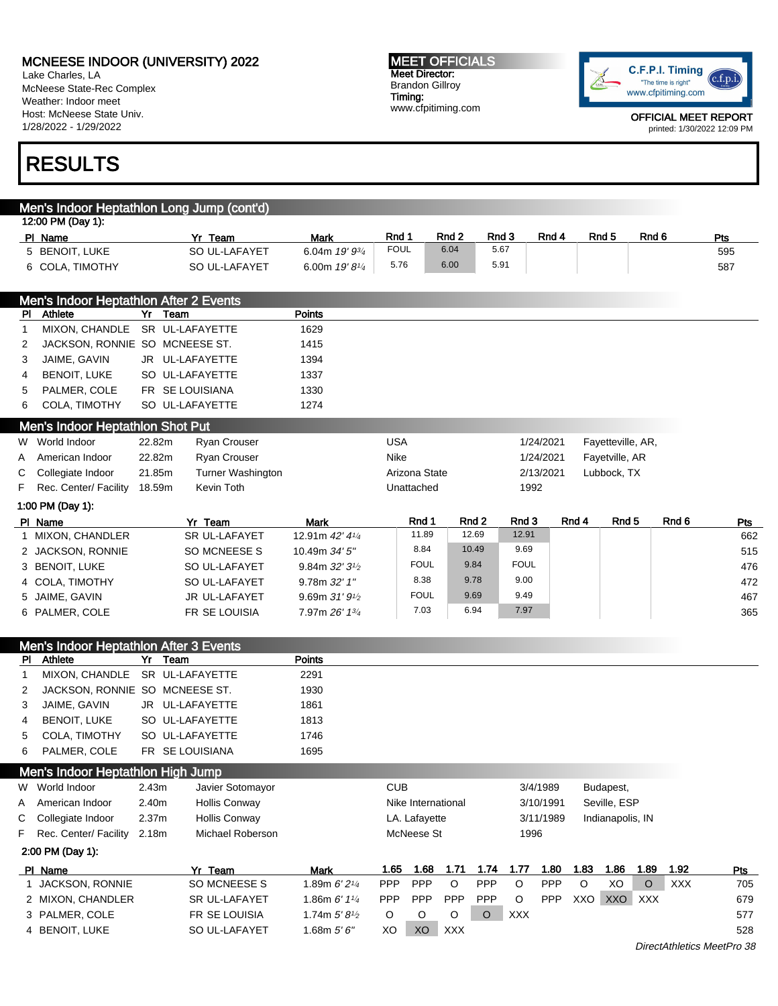Men's Indoor Heptathlon Long Jump (cont'd)

6 COLA, TIMOTHY SO UL-LAFAYET 6.00m 19' 81/<sup>4</sup>

Lake Charles, LA McNeese State-Rec Complex Weather: Indoor meet Host: McNeese State Univ. 1/28/2022 - 1/29/2022

# RESULTS

12:00 PM (Day 1):

#### MEET OFFICIALS Meet Director: Brandon Gillroy Timing: www.cfpitiming.com



5.76 6.00 5.91 587

OFFICIAL MEET REPORT printed: 1/30/2022 12:09 PM

| Men's Indoor Heptathlon After 2 Events |                                        |        |                          |                            |               |             |                  |             |       |                   |       |            |  |
|----------------------------------------|----------------------------------------|--------|--------------------------|----------------------------|---------------|-------------|------------------|-------------|-------|-------------------|-------|------------|--|
| PI.                                    | Athlete                                | Yr     | Team                     | <b>Points</b>              |               |             |                  |             |       |                   |       |            |  |
|                                        | MIXON, CHANDLE                         |        | SR UL-LAFAYETTE          | 1629                       |               |             |                  |             |       |                   |       |            |  |
| 2                                      | JACKSON, RONNIE SO MCNEESE ST.         |        |                          | 1415                       |               |             |                  |             |       |                   |       |            |  |
| 3                                      | JAIME, GAVIN                           |        | JR UL-LAFAYETTE          | 1394                       |               |             |                  |             |       |                   |       |            |  |
| 4                                      | <b>BENOIT, LUKE</b>                    |        | SO UL-LAFAYETTE          | 1337                       |               |             |                  |             |       |                   |       |            |  |
| 5                                      | PALMER, COLE                           |        | FR SE LOUISIANA          | 1330                       |               |             |                  |             |       |                   |       |            |  |
| 6                                      | COLA, TIMOTHY                          |        | SO UL-LAFAYETTE          | 1274                       |               |             |                  |             |       |                   |       |            |  |
|                                        | Men's Indoor Heptathlon Shot Put       |        |                          |                            |               |             |                  |             |       |                   |       |            |  |
| W                                      | World Indoor                           | 22.82m | <b>Ryan Crouser</b>      |                            | <b>USA</b>    |             |                  | 1/24/2021   |       | Fayetteville, AR, |       |            |  |
| A                                      | American Indoor                        | 22.82m | Ryan Crouser             |                            | <b>Nike</b>   |             |                  | 1/24/2021   |       | Fayetville, AR    |       |            |  |
| C                                      | Collegiate Indoor                      | 21.85m | <b>Turner Washington</b> |                            | Arizona State |             |                  | 2/13/2021   |       | Lubbock, TX       |       |            |  |
| F                                      | Rec. Center/ Facility                  | 18.59m | Kevin Toth               |                            | Unattached    |             |                  | 1992        |       |                   |       |            |  |
|                                        | 1:00 PM (Day 1):                       |        |                          |                            |               |             |                  |             |       |                   |       |            |  |
|                                        | PI Name                                |        | Yr Team                  | <b>Mark</b>                |               | Rnd 1       | Rnd <sub>2</sub> | Rnd 3       | Rnd 4 | Rnd <sub>5</sub>  | Rnd 6 | <b>Pts</b> |  |
|                                        | 1 MIXON, CHANDLER                      |        | <b>SR UL-LAFAYET</b>     | 12.91m 42' 41/4            |               | 11.89       | 12.69            | 12.91       |       |                   |       | 662        |  |
|                                        | 2 JACKSON, RONNIE                      |        | SO MCNEESE S             | 10.49m 34' 5"              |               | 8.84        | 10.49            | 9.69        |       |                   |       | 515        |  |
|                                        | 3 BENOIT, LUKE                         |        | SO UL-LAFAYET            | 9.84m 32' 3 <sup>1/2</sup> |               | <b>FOUL</b> | 9.84             | <b>FOUL</b> |       |                   |       | 476        |  |
|                                        | 4 COLA, TIMOTHY                        |        | SO UL-LAFAYET            | 9.78m 32' 1"               |               | 8.38        | 9.78             | 9.00        |       |                   |       | 472        |  |
|                                        | 5 JAIME, GAVIN                         |        | JR UL-LAFAYET            | 9.69m $31'91/2$            |               | <b>FOUL</b> | 9.69             | 9.49        |       |                   |       | 467        |  |
|                                        | 6 PALMER, COLE                         |        | FR SE LOUISIA            | 7.97m 26' 13/4             |               | 7.03        | 6.94             | 7.97        |       |                   |       | 365        |  |
|                                        |                                        |        |                          |                            |               |             |                  |             |       |                   |       |            |  |
|                                        | Men's Indoor Heptathlon After 3 Events |        |                          |                            |               |             |                  |             |       |                   |       |            |  |
| PI.                                    | Athlete                                | Yr     | Team                     | Points                     |               |             |                  |             |       |                   |       |            |  |
|                                        | MIXON, CHANDLE                         |        | SR UL-LAFAYETTE          | 2291                       |               |             |                  |             |       |                   |       |            |  |

Pl Name 3 Note Yr Team 3 Mark Rnd 1 Rnd 2 Rnd 3 Rnd 4 Rnd 5 Rnd 6 Pts 5 BENOIT, LUKE SO UL-LAFAYET 6.04m 19' 93/4 FOUL 6.04 5.67 595<br>6 COI A. TIMOTHY SO UL-LAFAYET 6.00m 19' 81/4 5.76 6.00 5.91 5.91 587

|              | 1 MIXON, CHANDLER                      |                   | SR UL-LAFAYET        | 12.91m 42' 41/4                         |            | 11.89              |            | 12.69      | 12.91       |           |         |                  |         |                            | 662 |
|--------------|----------------------------------------|-------------------|----------------------|-----------------------------------------|------------|--------------------|------------|------------|-------------|-----------|---------|------------------|---------|----------------------------|-----|
|              | 2 JACKSON, RONNIE                      |                   | SO MCNEESE S         | 10.49m 34' 5"                           |            | 8.84               |            | 10.49      | 9.69        |           |         |                  |         |                            | 515 |
|              | 3 BENOIT, LUKE                         |                   | SO UL-LAFAYET        | 9.84m 32' 3 <sup>1</sup> / <sub>2</sub> |            | <b>FOUL</b>        |            | 9.84       | <b>FOUL</b> |           |         |                  |         |                            | 476 |
|              | 4 COLA, TIMOTHY                        |                   | SO UL-LAFAYET        | 9.78m 32' 1"                            |            | 8.38               |            | 9.78       | 9.00        |           |         |                  |         |                            | 472 |
|              | 5 JAIME, GAVIN                         |                   | JR UL-LAFAYET        | 9.69m $31'9'$                           |            | <b>FOUL</b>        |            | 9.69       | 9.49        |           |         |                  |         |                            | 467 |
|              | 6 PALMER, COLE                         |                   | FR SE LOUISIA        | 7.97m 26' 13/4                          |            | 7.03               |            | 6.94       | 7.97        |           |         |                  |         |                            | 365 |
|              |                                        |                   |                      |                                         |            |                    |            |            |             |           |         |                  |         |                            |     |
|              | Men's Indoor Heptathlon After 3 Events |                   |                      |                                         |            |                    |            |            |             |           |         |                  |         |                            |     |
|              | PI Athlete                             |                   | Yr Team              | <b>Points</b>                           |            |                    |            |            |             |           |         |                  |         |                            |     |
| $\mathbf{1}$ | MIXON, CHANDLE                         |                   | SR UL-LAFAYETTE      | 2291                                    |            |                    |            |            |             |           |         |                  |         |                            |     |
| 2            | JACKSON, RONNIE SO MCNEESE ST.         |                   |                      | 1930                                    |            |                    |            |            |             |           |         |                  |         |                            |     |
| 3            | JAIME, GAVIN                           |                   | JR UL-LAFAYETTE      | 1861                                    |            |                    |            |            |             |           |         |                  |         |                            |     |
| 4            | <b>BENOIT, LUKE</b>                    |                   | SO UL-LAFAYETTE      | 1813                                    |            |                    |            |            |             |           |         |                  |         |                            |     |
| 5            | COLA, TIMOTHY                          |                   | SO UL-LAFAYETTE      | 1746                                    |            |                    |            |            |             |           |         |                  |         |                            |     |
| 6            | PALMER, COLE                           |                   | FR SE LOUISIANA      | 1695                                    |            |                    |            |            |             |           |         |                  |         |                            |     |
|              | Men's Indoor Heptathlon High Jump      |                   |                      |                                         |            |                    |            |            |             |           |         |                  |         |                            |     |
|              | W World Indoor                         | 2.43m             | Javier Sotomayor     |                                         | <b>CUB</b> |                    |            |            |             | 3/4/1989  |         | Budapest,        |         |                            |     |
| Α            | American Indoor                        | 2.40m             | <b>Hollis Conway</b> |                                         |            | Nike International |            |            |             | 3/10/1991 |         | Seville, ESP     |         |                            |     |
| С            | Collegiate Indoor                      | 2.37 <sub>m</sub> | <b>Hollis Conway</b> |                                         |            | LA. Lafayette      |            |            |             | 3/11/1989 |         | Indianapolis, IN |         |                            |     |
| F            | Rec. Center/ Facility                  | 2.18m             | Michael Roberson     |                                         |            | McNeese St         |            |            | 1996        |           |         |                  |         |                            |     |
|              | 2:00 PM (Day 1):                       |                   |                      |                                         |            |                    |            |            |             |           |         |                  |         |                            |     |
|              | PI Name                                |                   | Yr Team              | <b>Mark</b>                             | 1.65       | 1.68               | 1.71       | 1.74       | 1.77        | 1.80      | 1.83    | 1.86             | 1.89    | 1.92                       | Pts |
|              | 1 JACKSON, RONNIE                      |                   | SO MCNEESE S         | 1.89m 6' 21/4                           | <b>PPP</b> | PPP                | $\circ$    | PPP        | $\circ$     | PPP       | $\circ$ | XO               | $\circ$ | <b>XXX</b>                 | 705 |
|              | 2 MIXON, CHANDLER                      |                   | SR UL-LAFAYET        | 1.86m $6'$ 1 $\frac{1}{4}$              | <b>PPP</b> | <b>PPP</b>         | PPP        | <b>PPP</b> | O           | PPP       | XXO     | XXO XXX          |         |                            | 679 |
|              | 3 PALMER, COLE                         |                   | FR SE LOUISIA        | 1.74m 5'81/2                            | $\circ$    | $\circ$            | O          | $\circ$    | <b>XXX</b>  |           |         |                  |         |                            | 577 |
|              | 4 BENOIT, LUKE                         |                   | SO UL-LAFAYET        | 1.68m $5'6''$                           | XO         | XO                 | <b>XXX</b> |            |             |           |         |                  |         |                            | 528 |
|              |                                        |                   |                      |                                         |            |                    |            |            |             |           |         |                  |         | DirectAthletics MeetPro 38 |     |
|              |                                        |                   |                      |                                         |            |                    |            |            |             |           |         |                  |         |                            |     |
|              |                                        |                   |                      |                                         |            |                    |            |            |             |           |         |                  |         |                            |     |
|              |                                        |                   |                      |                                         |            |                    |            |            |             |           |         |                  |         |                            |     |
|              |                                        |                   |                      |                                         |            |                    |            |            |             |           |         |                  |         |                            |     |
|              |                                        |                   |                      |                                         |            |                    |            |            |             |           |         |                  |         |                            |     |
|              |                                        |                   |                      |                                         |            |                    |            |            |             |           |         |                  |         |                            |     |
|              |                                        |                   |                      |                                         |            |                    |            |            |             |           |         |                  |         |                            |     |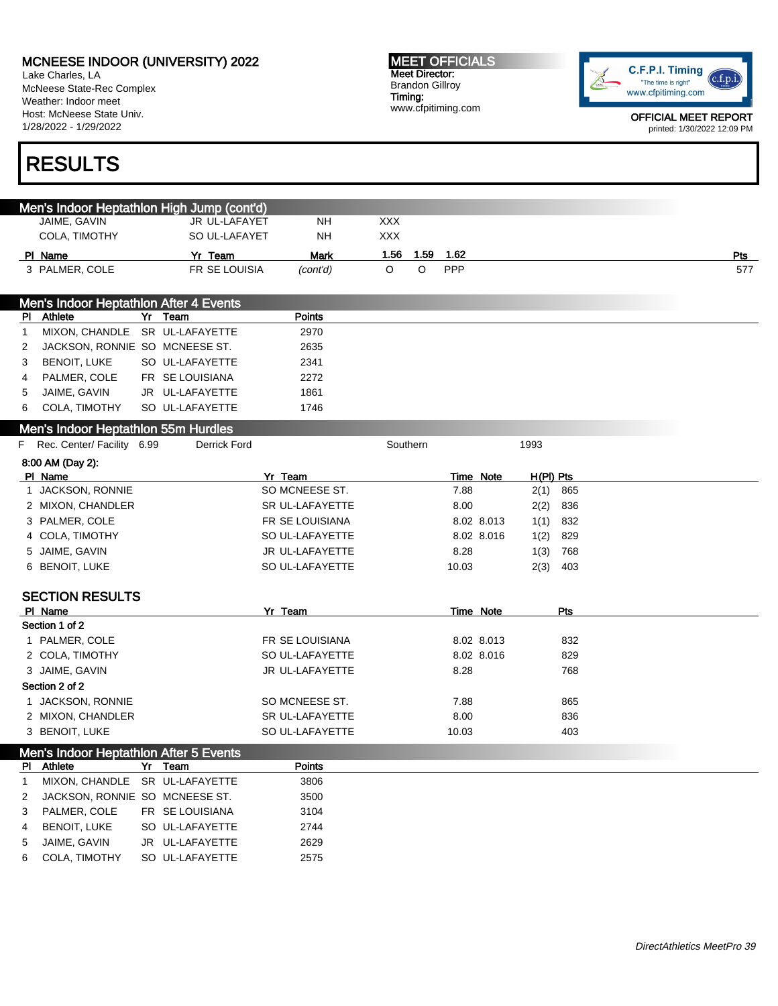Lake Charles, LA McNeese State-Rec Complex Weather: Indoor meet Host: McNeese State Univ. 1/28/2022 - 1/29/2022

# RESULTS

| <b>MEET OFFICIALS</b> |
|-----------------------|
| Meet Director:        |
| Brandon Gillroy       |
| Timing:               |
| www.cfpitiming.com    |



|   | Men's Indoor Heptathlon High Jump (cont'd)   |                 |                 |            |      |       |            |            |     |  |            |
|---|----------------------------------------------|-----------------|-----------------|------------|------|-------|------------|------------|-----|--|------------|
|   | JAIME, GAVIN                                 | JR UL-LAFAYET   | NΗ              | <b>XXX</b> |      |       |            |            |     |  |            |
|   | COLA, TIMOTHY                                | SO UL-LAFAYET   | NΗ              | <b>XXX</b> |      |       |            |            |     |  |            |
|   | PI Name                                      | Yr Team         | <b>Mark</b>     | 1.56       | 1.59 | 1.62  |            |            |     |  | <u>Pts</u> |
|   | 3 PALMER, COLE                               | FR SE LOUISIA   | (cont'd)        | O          | O    | PPP   |            |            |     |  | 577        |
|   |                                              |                 |                 |            |      |       |            |            |     |  |            |
|   | Men's Indoor Heptathlon After 4 Events       |                 |                 |            |      |       |            |            |     |  |            |
|   | PI Athlete                                   | Yr Team         | <b>Points</b>   |            |      |       |            |            |     |  |            |
| 1 | MIXON, CHANDLE                               | SR UL-LAFAYETTE | 2970            |            |      |       |            |            |     |  |            |
| 2 | JACKSON, RONNIE SO MCNEESE ST.               |                 | 2635            |            |      |       |            |            |     |  |            |
| 3 | <b>BENOIT, LUKE</b>                          | SO UL-LAFAYETTE | 2341            |            |      |       |            |            |     |  |            |
| 4 | PALMER, COLE                                 | FR SE LOUISIANA | 2272            |            |      |       |            |            |     |  |            |
| 5 | JAIME, GAVIN                                 | JR UL-LAFAYETTE | 1861            |            |      |       |            |            |     |  |            |
| 6 | COLA, TIMOTHY                                | SO UL-LAFAYETTE | 1746            |            |      |       |            |            |     |  |            |
|   | Men's Indoor Heptathlon 55m Hurdles          |                 |                 |            |      |       |            |            |     |  |            |
|   | F Rec. Center/ Facility 6.99                 | Derrick Ford    |                 | Southern   |      |       |            | 1993       |     |  |            |
|   | 8:00 AM (Day 2):                             |                 |                 |            |      |       |            |            |     |  |            |
|   | PI Name                                      |                 | Yr Team         |            |      |       | Time Note  | H(PI) Pts  |     |  |            |
|   | 1 JACKSON, RONNIE                            |                 | SO MCNEESE ST.  |            |      | 7.88  |            | $2(1)$ 865 |     |  |            |
|   | 2 MIXON, CHANDLER                            |                 | SR UL-LAFAYETTE |            |      | 8.00  |            | 2(2)       | 836 |  |            |
|   | 3 PALMER, COLE                               |                 | FR SE LOUISIANA |            |      |       | 8.02 8.013 | 1(1)       | 832 |  |            |
|   | 4 COLA, TIMOTHY                              |                 | SO UL-LAFAYETTE |            |      |       | 8.02 8.016 | 1(2)       | 829 |  |            |
|   | 5 JAIME, GAVIN                               |                 | JR UL-LAFAYETTE |            |      | 8.28  |            | 1(3)       | 768 |  |            |
|   | 6 BENOIT, LUKE                               |                 | SO UL-LAFAYETTE |            |      | 10.03 |            | 2(3)       | 403 |  |            |
|   |                                              |                 |                 |            |      |       |            |            |     |  |            |
|   | <b>SECTION RESULTS</b>                       |                 |                 |            |      |       |            |            |     |  |            |
|   | PI Name<br>Section 1 of 2                    |                 | Yr Team         |            |      |       | Time Note  |            | Pts |  |            |
|   | 1 PALMER, COLE                               |                 | FR SE LOUISIANA |            |      |       | 8.02 8.013 |            | 832 |  |            |
|   | 2 COLA, TIMOTHY                              |                 | SO UL-LAFAYETTE |            |      |       | 8.02 8.016 |            | 829 |  |            |
|   | 3 JAIME, GAVIN                               |                 | JR UL-LAFAYETTE |            |      | 8.28  |            |            | 768 |  |            |
|   | Section 2 of 2                               |                 |                 |            |      |       |            |            |     |  |            |
|   | 1 JACKSON, RONNIE                            |                 | SO MCNEESE ST.  |            |      | 7.88  |            |            | 865 |  |            |
|   | 2 MIXON, CHANDLER                            |                 | SR UL-LAFAYETTE |            |      | 8.00  |            |            | 836 |  |            |
|   | 3 BENOIT, LUKE                               |                 | SO UL-LAFAYETTE |            |      | 10.03 |            |            | 403 |  |            |
|   |                                              |                 |                 |            |      |       |            |            |     |  |            |
|   | Men's Indoor Heptathlon After 5 Events       |                 | Points          |            |      |       |            |            |     |  |            |
| 1 | PI Athlete<br>MIXON, CHANDLE SR UL-LAFAYETTE | Yr Team         | 3806            |            |      |       |            |            |     |  |            |
| 2 | JACKSON, RONNIE SO MCNEESE ST.               |                 | 3500            |            |      |       |            |            |     |  |            |
| 3 | PALMER, COLE                                 | FR SE LOUISIANA | 3104            |            |      |       |            |            |     |  |            |
| 4 | <b>BENOIT, LUKE</b>                          | SO UL-LAFAYETTE | 2744            |            |      |       |            |            |     |  |            |
| 5 | JAIME, GAVIN                                 | JR UL-LAFAYETTE | 2629            |            |      |       |            |            |     |  |            |
| 6 | COLA, TIMOTHY                                | SO UL-LAFAYETTE | 2575            |            |      |       |            |            |     |  |            |
|   |                                              |                 |                 |            |      |       |            |            |     |  |            |